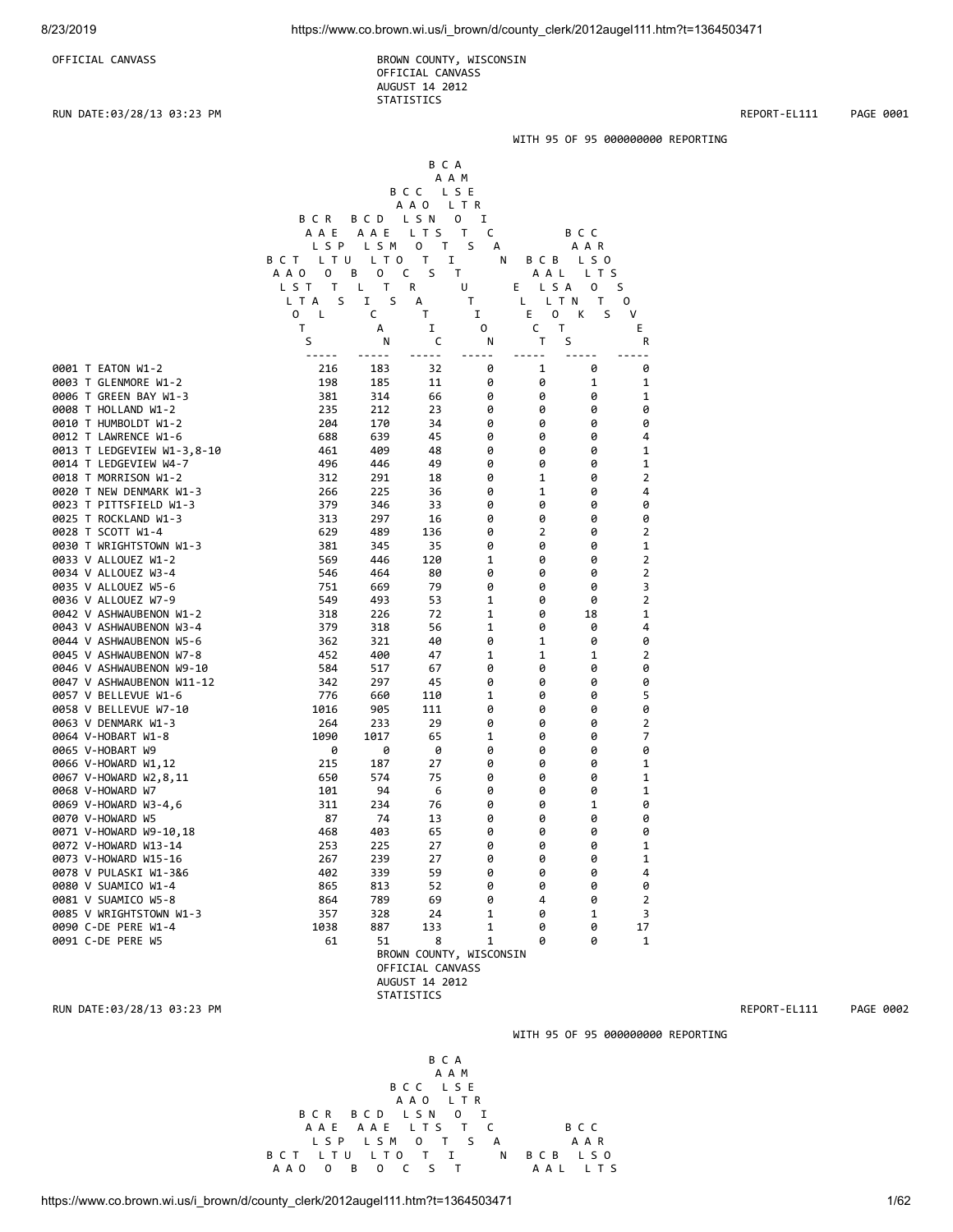OFFICIAL CANVASS BROWN COUNTY, WISCONSIN OFFICIAL CANVASS AUGUST 14 2012 STATISTICS

 B C A A A M

RUN DATE:03/28/13 03:23 PM REPORT-EL111 PAGE 0001

#### WITH 95 OF 95 000000000 REPORTING

|                            |              |                  | B C C   | LSE    |            |        |                |
|----------------------------|--------------|------------------|---------|--------|------------|--------|----------------|
|                            |              |                  | A A O   | L T R  |            |        |                |
|                            | BCR          | BCD              | L S N   | 0<br>I |            |        |                |
|                            | A A E        | A A E            | LTS     | T<br>C |            | B C C  |                |
|                            | L S P        | LSM              | 0<br>T. | S<br>А |            | A A R  |                |
|                            | L T U<br>BCT | L T O            | I<br>Τ  | N      | B C B      | L S 0  |                |
|                            | A A O<br>0   | В<br>$\mathbf 0$ | C<br>S  | T      | A A L      | L T S  |                |
|                            | LST<br>T     | т<br>L           | R       | U      | L S A<br>Е | 0      | S              |
|                            | S<br>L T A   | S<br>I           | А       | T      | L T N<br>L | т      | $\Omega$       |
|                            | 0<br>L       | C                | T.      | I      | E<br>0     | K<br>S | V              |
|                            | $\mathsf{T}$ | A                | I       | 0      | C<br>T     |        | E              |
|                            | S            | N                | C       | N      | T          | S      | R              |
| 0001 T EATON W1-2          | 216          | 183              | 32      | 0      | 1          | 0      | 0              |
| 0003 T GLENMORE W1-2       | 198          | 185              | 11      | 0      | 0          | 1      | 1              |
| 0006 T GREEN BAY W1-3      | 381          | 314              | 66      | 0      | 0          | 0      | 1              |
| 0008 T HOLLAND W1-2        | 235          | 212              | 23      | 0      | 0          | 0      | 0              |
| 0010 T HUMBOLDT W1-2       | 204          | 170              | 34      | 0      | 0          | 0      | 0              |
| 0012 T LAWRENCE W1-6       | 688          | 639              | 45      | 0      | 0          | 0      | 4              |
| 0013 T LEDGEVIEW W1-3,8-10 | 461          | 409              | 48      | 0      | 0          | 0      | 1              |
| 0014 T LEDGEVIEW W4-7      | 496          | 446              | 49      | 0      | 0          | 0      | 1              |
| 0018 T MORRISON W1-2       | 312          | 291              | 18      | 0      | 1          | 0      | $\overline{2}$ |
| 0020 T NEW DENMARK W1-3    | 266          | 225              | 36      | 0      | 1          | 0      | 4              |
| 0023 T PITTSFIELD W1-3     | 379          | 346              | 33      | 0      | 0          | 0      | 0              |
| 0025 T ROCKLAND W1-3       | 313          | 297              | 16      | 0      | 0          | 0      | 0              |
| 0028 T SCOTT W1-4          | 629          | 489              | 136     | 0      | 2          | 0      | $\overline{2}$ |
| 0030 T WRIGHTSTOWN W1-3    | 381          | 345              | 35      | 0      | 0          | 0      | 1              |
| 0033 V ALLOUEZ W1-2        | 569          | 446              | 120     | 1      | 0          | 0      | $\overline{2}$ |
| 0034 V ALLOUEZ W3-4        | 546          | 464              | 80      | 0      | 0          | 0      | $\overline{2}$ |
| 0035 V ALLOUEZ W5-6        | 751          | 669              | 79      | 0      | 0          | 0      | 3              |
| 0036 V ALLOUEZ W7-9        | 549          | 493              | 53      | 1      | 0          | 0      | $\overline{2}$ |
| 0042 V ASHWAUBENON W1-2    | 318          | 226              | 72      | 1      | 0          | 18     | 1              |
| 0043 V ASHWAUBENON W3-4    | 379          | 318              | 56      | 1      | 0          | 0      | 4              |
| 0044 V ASHWAUBENON W5-6    | 362          | 321              | 40      | 0      | 1          | 0      | 0              |
| 0045 V ASHWAUBENON W7-8    | 452          | 400              | 47      | 1      | 1          | 1      | 2              |
| 0046 V ASHWAUBENON W9-10   | 584          | 517              | 67      | 0      | 0          | 0      | 0              |
| 0047 V ASHWAUBENON W11-12  | 342          | 297              | 45      | 0      | 0          | 0      | 0              |
| 0057 V BELLEVUE W1-6       | 776          | 660              | 110     | 1      | 0          | 0      | 5              |
| AA58 V RELLEVILE W7-1A     | 1016         | 905              | 111     | a      | a          | a      | a              |

0058 V BELLEVUE W7-10 1016 905 111 0 0 0 0 0063 V DENMARK W1-3 264 233 29 0 0 0 2 0064 V-HOBART W1-8 1090 1017 1090 1017 100 0

0065 V-HOBART W9 0 0 0 0 0 0 0 0066 V-HOWARD W1,12 215 187 27 0 0 0 1 0067 V-HOWARD W2,8,11 650 574 75 0 0 0 1 0068 V-HOWARD W7 101 94 6 0 0 0 1 0069 V-HOWARD W3-4,6 311 234 76 0 0 1 0 0070 V-HOWARD W5 87 74 13 0 0 0 0 0071 V-HOWARD W9-10,18<br>0071 V-HOWARD W9-10,18<br>0072 V-HOWARD W13-14 253 225 225 27 0 0 0 0 1 0072 V-HOWARD W13-14 253 225 27 0 0 0 1 0073 V-HOWARD W15-16 267 239 27 0 0 0 1

0080 V SUAMICO W1-4 865 813 52 0 0 0 0 0081 V SUAMICO W5-8 864 789 69 0 4 0 2 0085 V WRIGHTSTOWN W1-3 357 328 24 1 0 1

0090 C-DE PERE W1-4 1038 887 133 1 0 0 17

0078 V PULASKI W1-386

RUN DATE:03/28/13 03:23 PM REPORT-EL111 PAGE 0002

WITH 95 OF 95 000000000 REPORTING



BROWN COUNTY, WISCONSIN OFFICIAL CANVASS AUGUST 14 2012 STATISTICS

0091 C-DE PERE W5 61 51 8 1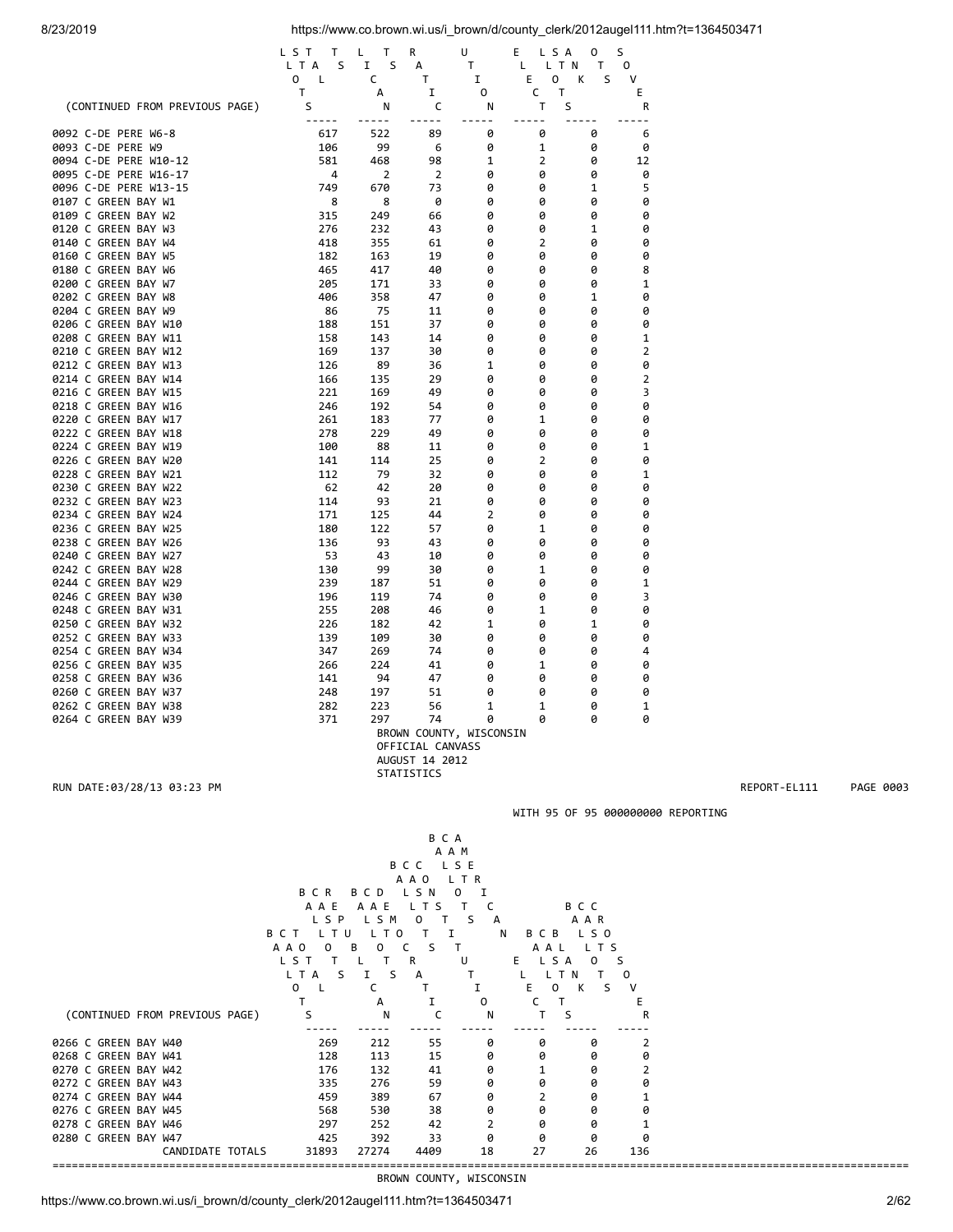|                                              | LST<br>Τ     | L<br>Τ       | R                | U                       | E<br>L S A       | 0      | S              |
|----------------------------------------------|--------------|--------------|------------------|-------------------------|------------------|--------|----------------|
|                                              | L T A<br>S   | S<br>I       | А                | т                       | L T N<br>L       | т      | 0<br>v         |
|                                              | 0<br>L<br>т  | C<br>А       | т<br>I           | 1<br>0                  | E<br>0<br>Τ<br>с | К<br>S | E              |
| (CONTINUED FROM PREVIOUS PAGE)               | S            | N            | С                | N                       | т                | S      | R              |
| 0092 C-DE PERE W6-8                          | -----<br>617 | -----<br>522 | -----<br>89      | -----<br>0              | -----<br>0       | 0      | $ -$<br>6      |
| 0093 C-DE PERE W9                            | 106          | 99           | 6                | 0                       | 1                | 0      | 0              |
| 0094 C-DE PERE W10-12                        | 581          | 468          | 98               | 1                       | 2                | 0      | 12             |
| 0095 C-DE PERE W16-17                        | 4            | 2            | $\overline{2}$   | 0                       | 0                | 0      | 0              |
| 0096 C-DE PERE W13-15                        | 749          | 670          | 73               | 0                       | 0                | 1      | 5              |
| 0107 C GREEN BAY W1                          | 8            | 8            | 0                | 0                       | 0                | 0      | 0              |
| 0109 C GREEN BAY W2                          | 315          | 249          | 66               | 0                       | 0                | 0      | 0              |
| 0120 C GREEN BAY W3                          | 276          | 232          | 43               | 0                       | 0                | 1      | 0              |
| 0140 C GREEN BAY W4                          | 418          | 355          | 61               | 0                       | 2                | 0      | 0              |
| 0160 C GREEN BAY W5                          | 182          | 163          | 19               | 0                       | 0                | 0      | 0              |
| 0180 C GREEN BAY W6                          | 465          | 417          | 40               | 0                       | 0                | 0      | 8              |
| 0200 C GREEN BAY W7                          | 205          | 171          | 33               | 0                       | 0                | 0      | 1              |
| 0202 C GREEN BAY W8                          | 406          | 358          | 47               | 0                       | 0                | 1      | 0              |
| 0204 C GREEN BAY W9                          | 86           | 75           | 11               | 0                       | 0                | 0      | 0              |
| 0206 C GREEN BAY W10                         | 188          | 151          | 37               | 0                       | 0                | 0      | 0              |
| 0208 C GREEN BAY W11                         | 158          | 143          | 14               | 0                       | 0                | 0      | 1              |
| 0210 C GREEN BAY W12                         | 169          | 137          | 30               | 0                       | 0                | 0      | 2              |
| 0212 C GREEN BAY W13                         | 126          | 89           | 36               | 1                       | 0                | 0      | 0              |
| 0214 C GREEN BAY W14                         | 166          | 135          | 29               | 0                       | 0                | 0      | $\overline{2}$ |
| 0216 C GREEN BAY W15                         | 221          | 169          | 49               | 0                       | 0                | 0      | 3              |
| 0218 C GREEN BAY W16                         | 246          | 192          | 54               | 0                       | 0                | 0      | 0              |
| 0220 C GREEN BAY W17                         | 261          | 183          | 77               | 0                       | 1                | 0      | 0              |
| 0222 C GREEN BAY W18                         | 278          | 229          | 49               | 0                       | 0                | 0      | 0              |
| 0224 C GREEN BAY W19                         | 100          | 88           | 11               | 0                       | 0                | 0      | 1              |
| 0226 C GREEN BAY W20                         | 141          | 114          | 25               | 0                       | 2                | 0      | 0              |
| 0228 C GREEN BAY W21                         | 112          | 79           | 32               | 0                       | 0                | 0      | 1              |
| 0230 C GREEN BAY W22                         | 62           | 42           | 20               | 0                       | 0                | 0      | 0              |
| 0232 C GREEN BAY W23                         | 114          | 93           | 21               | 0                       | 0                | 0      | 0              |
| 0234 C GREEN BAY W24                         | 171          | 125          | 44               | 2                       | 0                | 0      | 0              |
| 0236 C GREEN BAY W25<br>0238 C GREEN BAY W26 | 180          | 122<br>93    | 57<br>43         | 0<br>0                  | 1<br>0           | 0<br>0 | 0<br>0         |
| 0240 C GREEN BAY W27                         | 136<br>53    | 43           | 10               | 0                       | 0                | 0      | 0              |
| 0242 C GREEN BAY W28                         | 130          | 99           | 30               | 0                       | 1                | 0      | 0              |
| 0244 C GREEN BAY W29                         | 239          | 187          | 51               | 0                       | 0                | 0      | 1              |
| 0246 C GREEN BAY W30                         | 196          | 119          | 74               | 0                       | 0                | 0      | 3              |
| 0248 C GREEN BAY W31                         | 255          | 208          | 46               | 0                       | 1                | 0      | 0              |
| 0250 C GREEN BAY W32                         | 226          | 182          | 42               | 1                       | 0                | 1      | 0              |
| 0252 C GREEN BAY W33                         | 139          | 109          | 30               | 0                       | 0                | 0      | 0              |
| 0254 C GREEN BAY W34                         | 347          | 269          | 74               | 0                       | 0                | 0      | 4              |
| 0256 C GREEN BAY W35                         | 266          | 224          | 41               | 0                       | 1                | 0      | 0              |
| 0258 C GREEN BAY W36                         | 141          | 94           | 47               | 0                       | 0                | 0      | 0              |
| 0260 C GREEN BAY W37                         | 248          | 197          | 51               | 0                       | 0                | 0      | 0              |
| 0262 C GREEN BAY W38                         | 282          | 223          | 56               | 1                       | 1                | 0      | 1              |
| 0264 C GREEN BAY W39                         | 371          | 297          | 74               | 0                       | 0                | 0      | 0              |
|                                              |              |              |                  | BROWN COUNTY, WISCONSIN |                  |        |                |
|                                              |              |              | OFFICIAL CANVASS |                         |                  |        |                |
|                                              |              |              | AUGUST 14 2012   |                         |                  |        |                |
|                                              |              |              | STATISTICS       |                         |                  |        |                |

RUN DATE:03/28/13 03:23 PM REPORT-EL111 PAGE 0003



BROWN COUNTY, WISCONSIN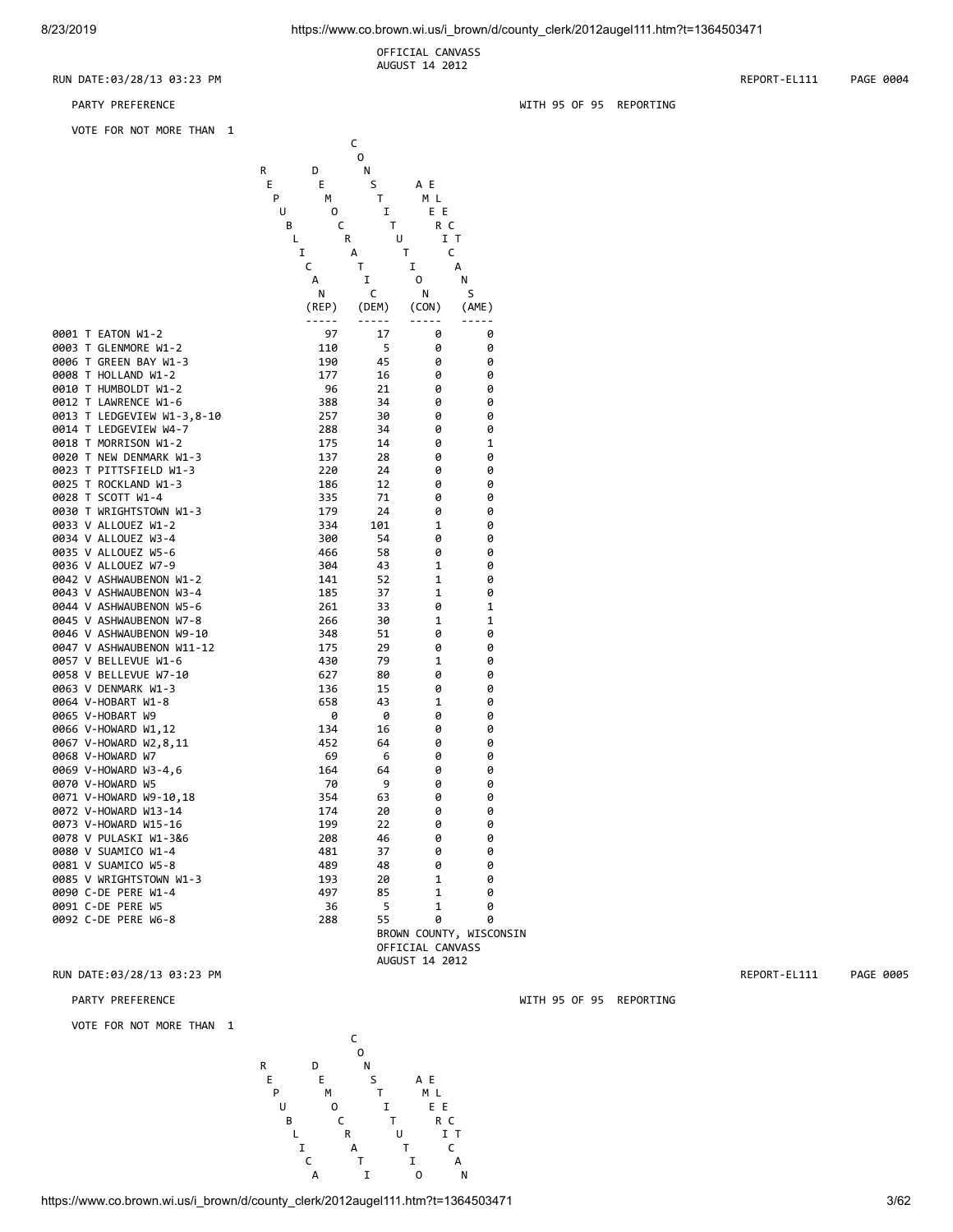OFFICIAL CANVASS AUGUST 14 2012

## RUN DATE:03/28/13 03:23 PM REPORT-EL111 PAGE 0004

VOTE FOR NOT MORE THAN 1

|                                                    |   |             | с        |                  |                         |
|----------------------------------------------------|---|-------------|----------|------------------|-------------------------|
|                                                    |   |             | 0        |                  |                         |
|                                                    | R | D           | N        |                  |                         |
|                                                    | Е | Е           | S        | A E              |                         |
|                                                    | P | М           | Τ        | M L              |                         |
|                                                    | U | 0           | I        | E E              |                         |
|                                                    | В | c           |          | Τ<br>R C         |                         |
|                                                    | Г |             | R        | U<br>Τ           | IT<br>c                 |
|                                                    |   | I<br>c      | А<br>T.  | Ι.               | A                       |
|                                                    |   | А           | Ι.       | 0                | Ν                       |
|                                                    |   | Ν           | С        | N                | S                       |
|                                                    |   | (REP)       | (DEM)    | (CON)            | (AME)                   |
|                                                    |   | $- - - - -$ | -----    | $- - - - -$      |                         |
| 0001 T EATON W1-2                                  |   | 97          | 17       | 0                | 0                       |
| 0003 T GLENMORE W1-2                               |   | 110         | 5        | 0                | 0                       |
| 0006 T GREEN BAY W1-3                              |   | 190         | 45       | 0                | 0                       |
| 0008 T HOLLAND W1-2                                |   | 177         | 16       | 0                | 0                       |
| 0010 T HUMBOLDT W1-2                               |   | 96          | 21       | 0                | 0                       |
| 0012 T LAWRENCE W1-6                               |   | 388         | 34       | 0                | 0                       |
| 0013 T LEDGEVIEW W1-3,8-10                         |   | 257         | 30       | 0                | 0                       |
| 0014 T LEDGEVIEW W4-7                              |   | 288         | 34       | 0                | 0                       |
| 0018 T MORRISON W1-2                               |   | 175         | 14       | 0                | 1                       |
| 0020 T NEW DENMARK W1-3                            |   | 137         | 28       | 0                | 0                       |
| 0023 T PITTSFIELD W1-3                             |   | 220         | 24       | 0                | 0                       |
| 0025 T ROCKLAND W1-3                               |   | 186         | 12       | 0                | 0                       |
| 0028 T SCOTT W1-4                                  |   | 335         | 71       | 0                | 0                       |
| 0030 T WRIGHTSTOWN W1-3                            |   | 179         | 24       | 0                | 0                       |
| 0033 V ALLOUEZ W1-2                                |   | 334         | 101      | 1                | 0                       |
| 0034 V ALLOUEZ W3-4                                |   | 300         | 54       | 0                | 0                       |
| 0035 V ALLOUEZ W5-6                                |   | 466         | 58       | 0                | 0                       |
| 0036 V ALLOUEZ W7-9                                |   | 304         | 43       | 1                | 0                       |
| 0042 V ASHWAUBENON W1-2                            |   | 141         | 52       | 1                | 0                       |
| 0043 V ASHWAUBENON W3-4                            |   | 185         | 37       | 1                | 0                       |
| 0044 V ASHWAUBENON W5-6<br>0045 V ASHWAUBENON W7-8 |   | 261         | 33<br>30 | 0<br>1           | 1<br>1                  |
| 0046 V ASHWAUBENON W9-10                           |   | 266<br>348  | 51       | 0                | 0                       |
| 0047 V ASHWAUBENON W11-12                          |   | 175         | 29       | 0                | 0                       |
| 0057 V BELLEVUE W1-6                               |   | 430         | 79       | 1                | 0                       |
| 0058 V BELLEVUE W7-10                              |   | 627         | 80       | 0                | 0                       |
| 0063 V DENMARK W1-3                                |   | 136         | 15       | 0                | 0                       |
| 0064 V-HOBART W1-8                                 |   | 658         | 43       | 1                | 0                       |
| 0065 V-HOBART W9                                   |   | 0           | 0        | 0                | 0                       |
| 0066 V-HOWARD W1,12                                |   | 134         | 16       | 0                | 0                       |
| 0067 V-HOWARD W2,8,11                              |   | 452         | 64       | 0                | 0                       |
| 0068 V-HOWARD W7                                   |   | 69          | 6        | 0                | 0                       |
| 0069 V-HOWARD W3-4,6                               |   | 164         | 64       | 0                | 0                       |
| 0070 V-HOWARD W5                                   |   | 70          | 9        | 0                | 0                       |
| 0071 V-HOWARD W9-10,18                             |   | 354         | 63       | 0                | 0                       |
| 0072 V-HOWARD W13-14                               |   | 174         | 20       | 0                | 0                       |
| 0073 V-HOWARD W15-16                               |   | 199         | 22       | 0                | 0                       |
| 0078 V PULASKI W1-3&6                              |   | 208         | 46       | 0                | 0                       |
| 0080 V SUAMICO W1-4                                |   | 481         | 37       | 0                | 0                       |
| 0081 V SUAMICO W5-8                                |   | 489         | 48       | 0                | 0                       |
| 0085 V WRIGHTSTOWN W1-3                            |   | 193         | 20       | 1                | 0                       |
| 0090 C-DE PERE W1-4                                |   | 497         | 85       | 1                | 0                       |
| 0091 C-DE PERE W5                                  |   | 36          | 5        | 1                | 0                       |
| 0092 C-DE PERE W6-8                                |   | 288         | 55       | 0                | 0                       |
|                                                    |   |             |          | OFFICIAL CANVASS | BROWN COUNTY, WISCONSIN |
|                                                    |   |             |          | AUGUST 14 2012   |                         |
|                                                    |   |             |          |                  |                         |

## RUN DATE:03/28/13 03:23 PM REPORT-EL111 PAGE 0005

PARTY PREFERENCE WITH 95 OF 95 REPORTING

VOTE FOR NOT MORE THAN 1



PARTY PREFERENCE **WITH 95 OF 95 REPORTING**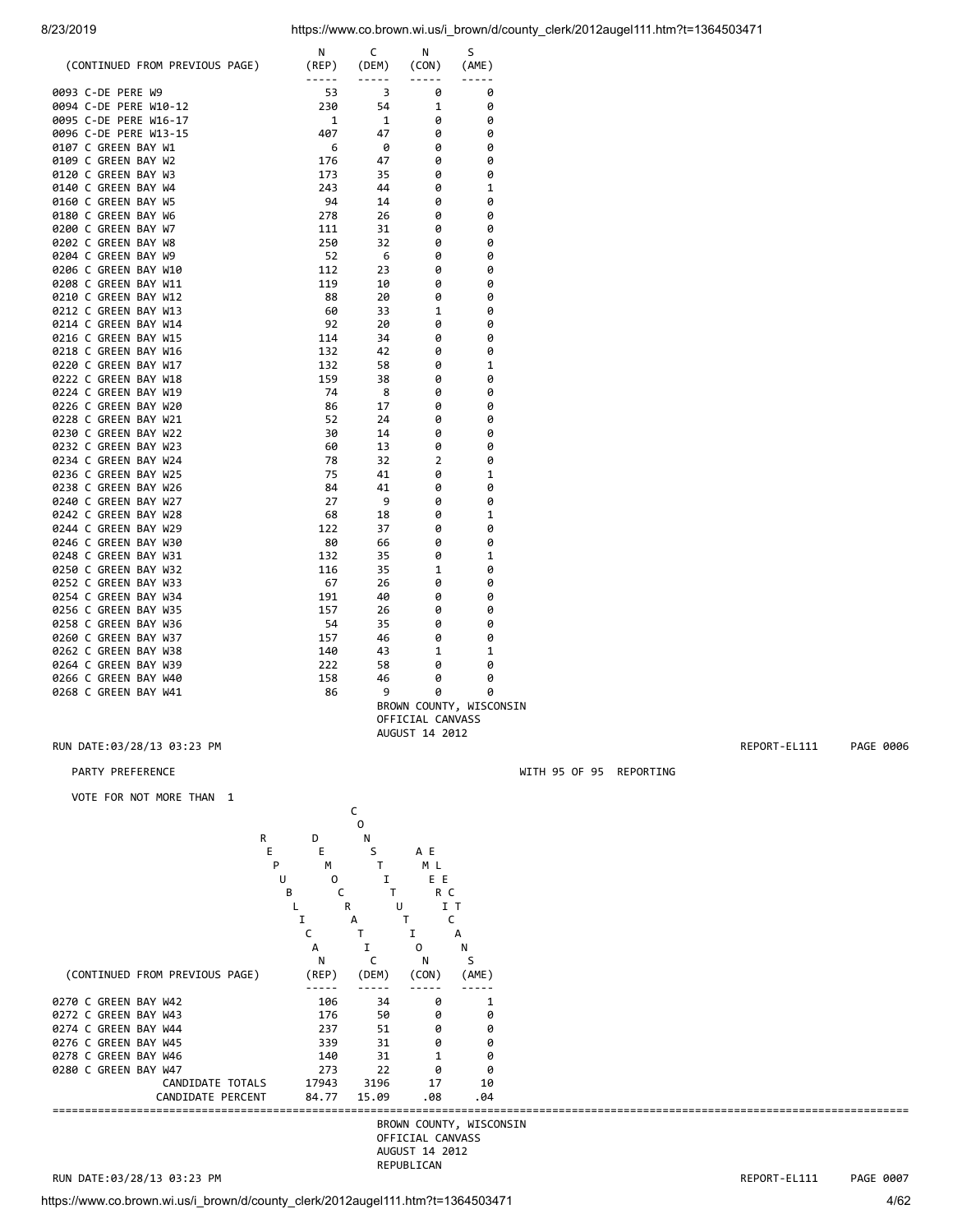| (CONTINUED FROM PREVIOUS PAGE)               | Ν<br>(REP)  | C<br>(DEM) | N<br>(CON)       | S<br>(AME)              |
|----------------------------------------------|-------------|------------|------------------|-------------------------|
| 0093 C-DE PERE W9                            | -----<br>53 | -----<br>3 | $- - - - -$<br>0 | -----<br>0              |
| 0094 C-DE PERE W10-12                        | 230         | 54         | 1                | 0                       |
| 0095 C-DE PERE W16-17                        | 1           | 1          | 0                | 0                       |
| 0096 C-DE PERE W13-15                        | 407         | 47         | 0                | 0                       |
| 0107 C GREEN BAY W1                          | 6           | 0          | 0                | 0                       |
| 0109 C GREEN BAY W2                          | 176         | 47         | 0                | 0                       |
| 0120 C GREEN BAY W3                          | 173         | 35         | 0                | 0                       |
| 0140 C GREEN BAY W4                          | 243         | 44         | 0                | $\mathbf{1}$            |
| 0160 C GREEN BAY W5                          | 94          | 14         | 0                | 0                       |
| 0180 C GREEN BAY W6                          | 278         | 26         | 0                | 0                       |
| 0200 C GREEN BAY W7                          | 111         | 31         | 0                | 0                       |
| 0202 C GREEN BAY W8                          | 250         | 32         | ø                | 0                       |
| 0204 C GREEN BAY W9                          | 52          | 6          | 0                | 0                       |
| 0206 C GREEN BAY W10                         | 112         | 23         | ø                | 0                       |
| 0208 C GREEN BAY W11                         | 119         | 10         | 0                | 0                       |
| 0210 C GREEN BAY W12                         | 88          | 20         | 0                | 0                       |
| 0212 C GREEN BAY W13                         | 60          | 33         | 1                | 0                       |
| 0214 C GREEN BAY W14                         | 92          | 20         | 0                | 0                       |
| 0216 C GREEN BAY W15                         | 114         | 34         | 0                | 0                       |
| 0218 C GREEN BAY W16                         | 132         | 42         | 0                | 0                       |
| 0220 C GREEN BAY W17                         | 132         | 58         | 0                | 1                       |
| 0222 C GREEN BAY W18                         | 159         | 38         | 0                | 0                       |
| 0224 C GREEN BAY W19                         | 74          | 8          | 0                | 0                       |
| 0226 C GREEN BAY W20                         | 86          | 17         | 0                | 0                       |
| 0228 C GREEN BAY W21                         | 52          | 24         | 0                | 0                       |
| 0230 C GREEN BAY W22<br>0232 C GREEN BAY W23 | 30          | 14<br>13   | 0<br>0           | 0<br>0                  |
| 0234 C GREEN BAY W24                         | 60<br>78    | 32         | 2                | 0                       |
| 0236 C GREEN BAY W25                         | 75          | 41         | 0                | $\mathbf{1}$            |
| 0238 C GREEN BAY W26                         | 84          | 41         | 0                | 0                       |
| 0240 C GREEN BAY W27                         | 27          | 9          | 0                | 0                       |
| 0242 C GREEN BAY W28                         | 68          | 18         | 0                | $\mathbf{1}$            |
| 0244 C GREEN BAY W29                         | 122         | 37         | 0                | 0                       |
| 0246 C GREEN BAY W30                         | 80          | 66         | 0                | 0                       |
| 0248 C GREEN BAY W31                         | 132         | 35         | 0                | 1                       |
| 0250 C GREEN BAY W32                         | 116         | 35         | 1                | 0                       |
| 0252 C GREEN BAY W33                         | 67          | 26         | 0                | 0                       |
| 0254 C GREEN BAY W34                         | 191         | 40         | 0                | 0                       |
| 0256 C GREEN BAY W35                         | 157         | 26         | 0                | 0                       |
| 0258 C GREEN BAY W36                         | 54          | 35         | 0                | 0                       |
| 0260 C GREEN BAY W37                         | 157         | 46         | 0                | 0                       |
| 0262 C GREEN BAY W38                         | 140         | 43         | 1                | 1                       |
| 0264 C GREEN BAY W39                         | 222         | 58         | 0                | 0                       |
| 0266 C GREEN BAY W40                         | 158         | 46         | 0                | 0                       |
| 0268 C GREEN BAY W41                         | 86          | 9          | 0                | 0                       |
|                                              |             |            | OFFICIAL CANVASS | BROWN COUNTY, WISCONSIN |

RUN DATE:03/28/13 03:23 PM REPORT-EL111 PAGE 0006

## PARTY PREFERENCE **WITH 95 OF 95 REPORTING**

VOTE FOR NOT MORE THAN 1

| VUIE FUR NUI MURE IHAN I       |        |              |                  |                         |  |              |           |
|--------------------------------|--------|--------------|------------------|-------------------------|--|--------------|-----------|
|                                |        |              |                  |                         |  |              |           |
|                                |        | 0            |                  |                         |  |              |           |
|                                | R<br>D | N            |                  |                         |  |              |           |
|                                | E<br>Ε | S            | A E              |                         |  |              |           |
|                                | M<br>P |              | M L              |                         |  |              |           |
|                                | U<br>0 |              | E E              |                         |  |              |           |
|                                | В      | T.           | R C              |                         |  |              |           |
|                                |        | $\mathsf{R}$ | U                | I T                     |  |              |           |
|                                |        | А            |                  | C                       |  |              |           |
|                                |        |              |                  | А                       |  |              |           |
|                                | А      |              | 0                | N                       |  |              |           |
|                                | N      |              | N                | S                       |  |              |           |
| (CONTINUED FROM PREVIOUS PAGE) | (REP)  | (DEM)        | (CON)            | (AME)                   |  |              |           |
|                                |        |              |                  |                         |  |              |           |
| 0270 C GREEN BAY W42           | 106    | 34           | 0                |                         |  |              |           |
| 0272 C GREEN BAY W43           | 176    | 50           | 0                | 0                       |  |              |           |
| 0274 C GREEN BAY W44           | 237    | 51           | 0                | 0                       |  |              |           |
| 0276 C GREEN BAY W45           | 339    | 31           | 0                | 0                       |  |              |           |
| 0278 C GREEN BAY W46           | 140    | 31           |                  | 0                       |  |              |           |
| 0280 C GREEN BAY W47           | 273    | 22           | 0                | 0                       |  |              |           |
| CANDIDATE TOTALS               | 17943  | 3196         | 17               | 10                      |  |              |           |
| CANDIDATE PERCENT              | 84.77  | 15.09        | .08              | .04                     |  |              |           |
|                                |        |              |                  | BROWN COUNTY, WISCONSIN |  |              |           |
|                                |        |              | OFFICIAL CANVASS |                         |  |              |           |
|                                |        |              | AUGUST 14 2012   |                         |  |              |           |
|                                |        |              | REPUBLICAN       |                         |  |              |           |
| RUN DATE:03/28/13 03:23 PM     |        |              |                  |                         |  | REPORT-EL111 | PAGE 0007 |
|                                |        |              |                  |                         |  |              |           |

AUGUST 14 2012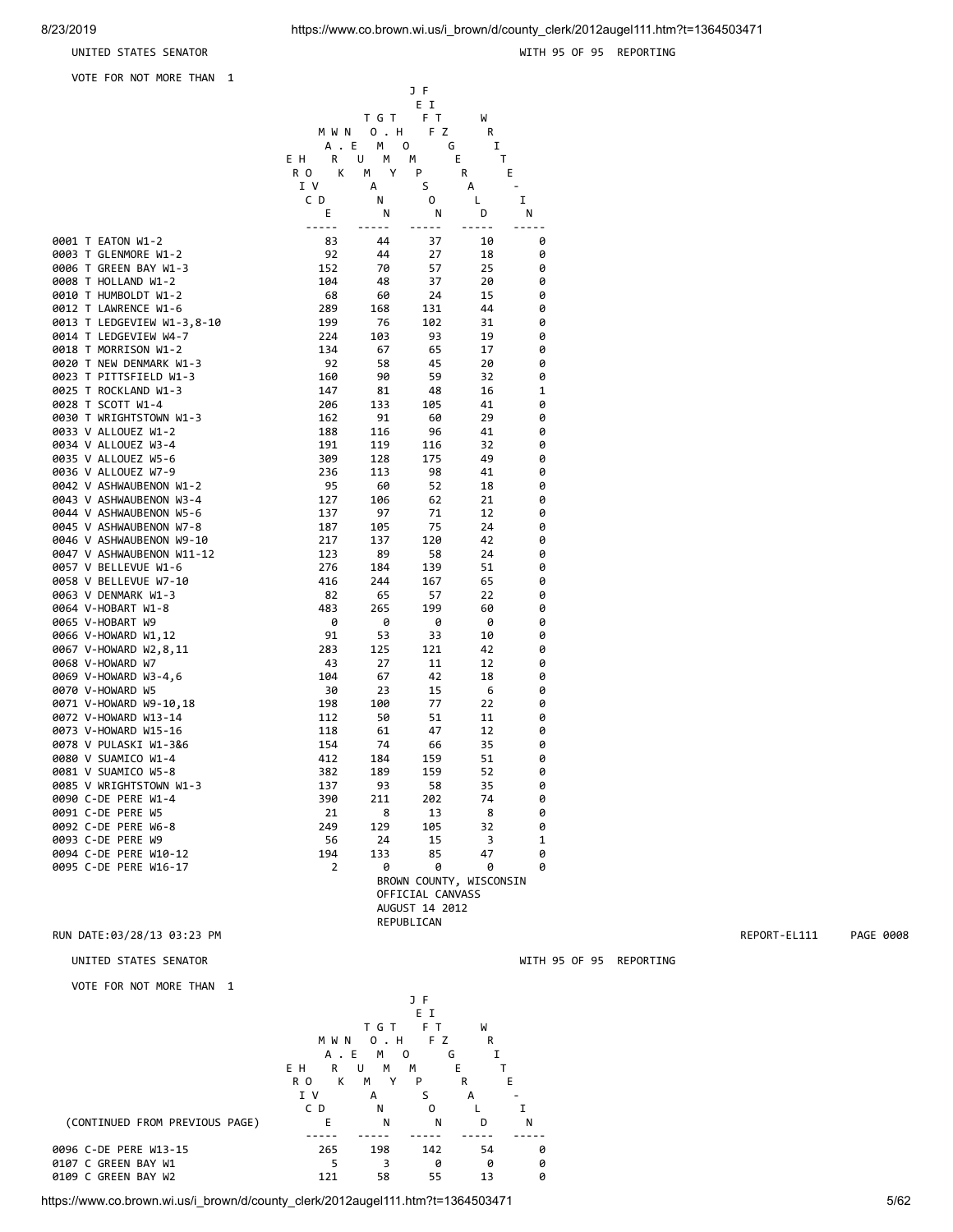## UNITED STATES SENATOR

VOTE FOR NOT MORE THAN 1

|  |  | WITH 95 OF 95 REPORTING |
|--|--|-------------------------|
|  |  |                         |

|                                                     |             |                | JF                      |          |                                                                                                                                                                                                                                                                                                                                                                                              |              |           |
|-----------------------------------------------------|-------------|----------------|-------------------------|----------|----------------------------------------------------------------------------------------------------------------------------------------------------------------------------------------------------------------------------------------------------------------------------------------------------------------------------------------------------------------------------------------------|--------------|-----------|
|                                                     |             |                | E I                     |          |                                                                                                                                                                                                                                                                                                                                                                                              |              |           |
|                                                     | M W N       | T G T<br>0 . H | F T<br>F Z              | W<br>R   |                                                                                                                                                                                                                                                                                                                                                                                              |              |           |
|                                                     |             | A.E MO         | G                       | Ι.       |                                                                                                                                                                                                                                                                                                                                                                                              |              |           |
|                                                     | E H<br>R    | U<br>M M       |                         | E.<br>T  |                                                                                                                                                                                                                                                                                                                                                                                              |              |           |
|                                                     | К<br>R O    | M Y            | P                       | R        | Е                                                                                                                                                                                                                                                                                                                                                                                            |              |           |
|                                                     | I V         | А              | S                       | А        | $\sim$                                                                                                                                                                                                                                                                                                                                                                                       |              |           |
|                                                     | C D<br>Ε    | Ν<br>Ν         | 0<br>Ν                  | L<br>D   | Ι.<br>N                                                                                                                                                                                                                                                                                                                                                                                      |              |           |
|                                                     | $- - - - -$ | $- - - - - -$  | -----                   | -----    | $\frac{1}{2} \frac{1}{2} \frac{1}{2} \frac{1}{2} \frac{1}{2} \frac{1}{2} \frac{1}{2} \frac{1}{2} \frac{1}{2} \frac{1}{2} \frac{1}{2} \frac{1}{2} \frac{1}{2} \frac{1}{2} \frac{1}{2} \frac{1}{2} \frac{1}{2} \frac{1}{2} \frac{1}{2} \frac{1}{2} \frac{1}{2} \frac{1}{2} \frac{1}{2} \frac{1}{2} \frac{1}{2} \frac{1}{2} \frac{1}{2} \frac{1}{2} \frac{1}{2} \frac{1}{2} \frac{1}{2} \frac{$ |              |           |
| 0001 T EATON W1-2                                   | 83          | 44             | 37                      | 10       | 0                                                                                                                                                                                                                                                                                                                                                                                            |              |           |
| 0003 T GLENMORE W1-2                                | 92          | 44             | 27                      | 18       | 0                                                                                                                                                                                                                                                                                                                                                                                            |              |           |
| 0006 T GREEN BAY W1-3                               | 152         | 70             | 57                      | 25       | 0                                                                                                                                                                                                                                                                                                                                                                                            |              |           |
| 0008 T HOLLAND W1-2                                 | 104         | 48             | 37                      | 20       | 0                                                                                                                                                                                                                                                                                                                                                                                            |              |           |
| 0010 T HUMBOLDT W1-2                                | 68          | 60             | 24                      | 15       | 0                                                                                                                                                                                                                                                                                                                                                                                            |              |           |
| 0012 T LAWRENCE W1-6                                | 289<br>199  | 168<br>76      | 131<br>102              | 44<br>31 | 0<br>0                                                                                                                                                                                                                                                                                                                                                                                       |              |           |
| 0013 T LEDGEVIEW W1-3,8-10<br>0014 T LEDGEVIEW W4-7 | 224         | 103            | 93                      | 19       | 0                                                                                                                                                                                                                                                                                                                                                                                            |              |           |
| 0018 T MORRISON W1-2                                | 134         | 67             | 65                      | 17       | 0                                                                                                                                                                                                                                                                                                                                                                                            |              |           |
| 0020 T NEW DENMARK W1-3                             | 92          | 58             | 45                      | 20       | 0                                                                                                                                                                                                                                                                                                                                                                                            |              |           |
| 0023 T PITTSFIELD W1-3                              | 160         | 90             | 59                      | 32       | 0                                                                                                                                                                                                                                                                                                                                                                                            |              |           |
| 0025 T ROCKLAND W1-3                                | 147         | 81             | 48                      | 16       | 1                                                                                                                                                                                                                                                                                                                                                                                            |              |           |
| 0028 T SCOTT W1-4                                   | 206         | 133            | 105                     | 41       | 0                                                                                                                                                                                                                                                                                                                                                                                            |              |           |
| 0030 T WRIGHTSTOWN W1-3                             | 162         | 91             | 60                      | 29       | 0                                                                                                                                                                                                                                                                                                                                                                                            |              |           |
| 0033 V ALLOUEZ W1-2                                 | 188         | 116            | 96                      | 41       | 0                                                                                                                                                                                                                                                                                                                                                                                            |              |           |
| 0034 V ALLOUEZ W3-4                                 | 191<br>309  | 119<br>128     | 116                     | 32<br>49 | 0<br>0                                                                                                                                                                                                                                                                                                                                                                                       |              |           |
| 0035 V ALLOUEZ W5-6<br>0036 V ALLOUEZ W7-9          | 236         | 113            | 175<br>98               | 41       | 0                                                                                                                                                                                                                                                                                                                                                                                            |              |           |
| 0042 V ASHWAUBENON W1-2                             | 95          | 60             | 52                      | 18       | 0                                                                                                                                                                                                                                                                                                                                                                                            |              |           |
| 0043 V ASHWAUBENON W3-4                             | 127         | 106            | 62                      | 21       | 0                                                                                                                                                                                                                                                                                                                                                                                            |              |           |
| 0044 V ASHWAUBENON W5-6                             | 137         | 97             | 71                      | 12       | 0                                                                                                                                                                                                                                                                                                                                                                                            |              |           |
| 0045 V ASHWAUBENON W7-8                             | 187         | 105            | 75                      | 24       | 0                                                                                                                                                                                                                                                                                                                                                                                            |              |           |
| 0046 V ASHWAUBENON W9-10                            | 217         | 137            | 120                     | 42       | 0                                                                                                                                                                                                                                                                                                                                                                                            |              |           |
| 0047 V ASHWAUBENON W11-12                           | 123         | 89             | 58                      | 24       | 0                                                                                                                                                                                                                                                                                                                                                                                            |              |           |
| 0057 V BELLEVUE W1-6                                | 276         | 184            | 139                     | 51       | 0                                                                                                                                                                                                                                                                                                                                                                                            |              |           |
| 0058 V BELLEVUE W7-10                               | 416<br>82   | 244<br>65      | 167<br>57               | 65<br>22 | 0<br>0                                                                                                                                                                                                                                                                                                                                                                                       |              |           |
| 0063 V DENMARK W1-3<br>0064 V-HOBART W1-8           | 483         | 265            | 199                     | 60       | 0                                                                                                                                                                                                                                                                                                                                                                                            |              |           |
| 0065 V-HOBART W9                                    | 0           | 0              | 0                       | 0        | 0                                                                                                                                                                                                                                                                                                                                                                                            |              |           |
| 0066 V-HOWARD W1,12                                 | 91          | 53             | 33                      | 10       | 0                                                                                                                                                                                                                                                                                                                                                                                            |              |           |
| 0067 V-HOWARD W2,8,11                               | 283         | 125            | 121                     | 42       | 0                                                                                                                                                                                                                                                                                                                                                                                            |              |           |
| 0068 V-HOWARD W7                                    | 43          | 27             | 11                      | 12       | 0                                                                                                                                                                                                                                                                                                                                                                                            |              |           |
| 0069 V-HOWARD W3-4,6                                | 104         | 67             | 42                      | 18       | 0                                                                                                                                                                                                                                                                                                                                                                                            |              |           |
| 0070 V-HOWARD W5                                    | 30          | 23             | 15                      | 6        | 0                                                                                                                                                                                                                                                                                                                                                                                            |              |           |
| 0071 V-HOWARD W9-10,18                              | 198         | 100            | 77                      | 22       | 0                                                                                                                                                                                                                                                                                                                                                                                            |              |           |
| 0072 V-HOWARD W13-14                                | 112<br>118  | 50<br>61       | 51<br>47                | 11<br>12 | 0<br>0                                                                                                                                                                                                                                                                                                                                                                                       |              |           |
| 0073 V-HOWARD W15-16<br>0078 V PULASKI W1-3&6       | 154         | 74             | 66                      | 35       | 0                                                                                                                                                                                                                                                                                                                                                                                            |              |           |
| 0080 V SUAMICO W1-4                                 | 412         | 184            | 159                     | 51       | 0                                                                                                                                                                                                                                                                                                                                                                                            |              |           |
| 0081 V SUAMICO W5-8                                 | 382         | 189            | 159                     | 52       | 0                                                                                                                                                                                                                                                                                                                                                                                            |              |           |
| 0085 V WRIGHTSTOWN W1-3                             | 137         | 93             | 58                      | 35       | 0                                                                                                                                                                                                                                                                                                                                                                                            |              |           |
| 0090 C-DE PERE W1-4                                 | 390         | 211            | 202                     | 74       | 0                                                                                                                                                                                                                                                                                                                                                                                            |              |           |
| 0091 C-DE PERE W5                                   | 21          | 8              | 13                      | 8        | 0                                                                                                                                                                                                                                                                                                                                                                                            |              |           |
| 0092 C-DE PERE W6-8                                 | 249         | 129            | 105                     | 32       | 0                                                                                                                                                                                                                                                                                                                                                                                            |              |           |
| 0093 C-DE PERE W9                                   | 56          | 24             | 15                      | 3        | 1                                                                                                                                                                                                                                                                                                                                                                                            |              |           |
| 0094 C-DE PERE W10-12<br>0095 C-DE PERE W16-17      | 194<br>2    | 133<br>0       | 85<br>0                 | 47<br>0  | 0<br>0                                                                                                                                                                                                                                                                                                                                                                                       |              |           |
|                                                     |             |                | BROWN COUNTY, WISCONSIN |          |                                                                                                                                                                                                                                                                                                                                                                                              |              |           |
|                                                     |             |                | OFFICIAL CANVASS        |          |                                                                                                                                                                                                                                                                                                                                                                                              |              |           |
|                                                     |             |                | AUGUST 14 2012          |          |                                                                                                                                                                                                                                                                                                                                                                                              |              |           |
|                                                     |             |                | REPUBLICAN              |          |                                                                                                                                                                                                                                                                                                                                                                                              |              |           |
| RUN DATE:03/28/13 03:23 PM                          |             |                |                         |          |                                                                                                                                                                                                                                                                                                                                                                                              | REPORT-EL111 | PAGE 0008 |

## UNITED STATES SENATOR WITH 95 OF 95 REPORTING

VOTE FOR NOT MORE THAN 1

|                                | J F                 |        |     |    |   |
|--------------------------------|---------------------|--------|-----|----|---|
|                                |                     |        | ΕI  |    |   |
|                                |                     | T G T  | F T | W  |   |
|                                | M W N               | 0.H    | F Z | R  |   |
|                                | A.                  | E<br>M | 0   | G  |   |
|                                | R<br>E H            | M<br>U | M   | Е  |   |
|                                | К<br>R <sub>0</sub> | м<br>Υ | P   | R  | E |
|                                | I V                 | А      | s   | A  |   |
|                                | C D                 | N      | 0   |    |   |
| (CONTINUED FROM PREVIOUS PAGE) | E                   | N      | N   | D  | Ν |
|                                |                     |        |     |    |   |
| 0096 C-DE PERE W13-15          | 265                 | 198    | 142 | 54 | ø |
| 0107 C GREEN BAY W1            | 5                   | 3      | ø   | 0  | ø |
| 0109 C GREEN BAY W2            | 121                 | 58     | 55  | 13 | ø |

https://www.co.brown.wi.us/i\_brown/d/county\_clerk/2012augel111.htm?t=1364503471 5/62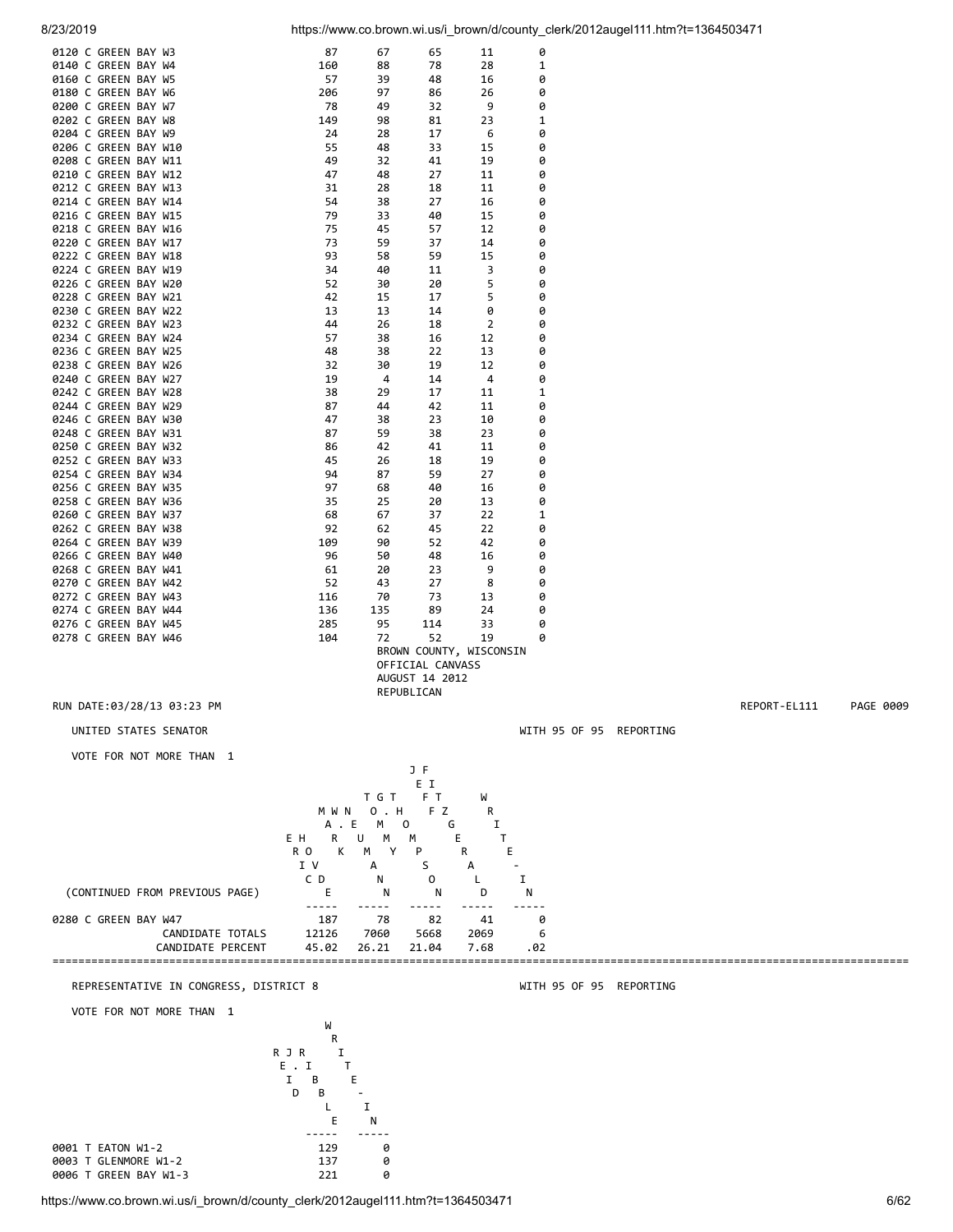| 8/23/2019                                    |                         |                                     |                              |                         |                         | https://www.co.brown.wi.us/i_brown/d/county_clerk/2012augel111.htm?t=1364503471 |              |           |
|----------------------------------------------|-------------------------|-------------------------------------|------------------------------|-------------------------|-------------------------|---------------------------------------------------------------------------------|--------------|-----------|
| 0120 C GREEN BAY W3                          | 87                      | 67                                  | 65                           | 11                      | 0                       |                                                                                 |              |           |
| 0140 C GREEN BAY W4                          | 160                     | 88                                  | 78                           | 28                      | 1                       |                                                                                 |              |           |
| 0160 C GREEN BAY W5                          | 57                      | 39                                  | 48                           | 16                      | 0                       |                                                                                 |              |           |
| 0180 C GREEN BAY W6<br>0200 C GREEN BAY W7   | 206<br>78               | 97<br>49                            | 86<br>32                     | 26<br>9                 | 0<br>0                  |                                                                                 |              |           |
| 0202 C GREEN BAY W8                          | 149                     | 98                                  | 81                           | 23                      | $\mathbf 1$             |                                                                                 |              |           |
| 0204 C GREEN BAY W9                          | 24                      | 28                                  | 17                           | 6                       | 0                       |                                                                                 |              |           |
| 0206 C GREEN BAY W10                         | 55                      | 48                                  | 33                           | 15                      | 0                       |                                                                                 |              |           |
| 0208 C GREEN BAY W11<br>0210 C GREEN BAY W12 | 49<br>47                | 32<br>48                            | 41<br>27                     | 19<br>11                | 0<br>0                  |                                                                                 |              |           |
| 0212 C GREEN BAY W13                         | 31                      | 28                                  | 18                           | 11                      | 0                       |                                                                                 |              |           |
| 0214 C GREEN BAY W14                         | 54                      | 38                                  | 27                           | 16                      | 0                       |                                                                                 |              |           |
| 0216 C GREEN BAY W15<br>0218 C GREEN BAY W16 | 79<br>75                | 33<br>45                            | 40<br>57                     | 15<br>12                | 0<br>0                  |                                                                                 |              |           |
| 0220 C GREEN BAY W17                         | 73                      | 59                                  | 37                           | 14                      | 0                       |                                                                                 |              |           |
| 0222 C GREEN BAY W18                         | 93                      | 58                                  | 59                           | 15                      | 0                       |                                                                                 |              |           |
| 0224 C GREEN BAY W19<br>0226 C GREEN BAY W20 | 34<br>52                | 40<br>30                            | 11<br>20                     | 3<br>5                  | 0<br>0                  |                                                                                 |              |           |
| 0228 C GREEN BAY W21                         | 42                      | 15                                  | 17                           | 5                       | 0                       |                                                                                 |              |           |
| 0230 C GREEN BAY W22                         | 13                      | 13                                  | 14                           | 0                       | 0                       |                                                                                 |              |           |
| 0232 C GREEN BAY W23<br>0234 C GREEN BAY W24 | 44<br>57                | 26<br>38                            | 18<br>16                     | 2<br>12                 | 0<br>0                  |                                                                                 |              |           |
| 0236 C GREEN BAY W25                         | 48                      | 38                                  | 22                           | 13                      | 0                       |                                                                                 |              |           |
| 0238 C GREEN BAY W26                         | 32                      | 30                                  | 19                           | 12                      | 0                       |                                                                                 |              |           |
| 0240 C GREEN BAY W27                         | 19                      | 4                                   | 14                           | 4                       | 0                       |                                                                                 |              |           |
| 0242 C GREEN BAY W28<br>0244 C GREEN BAY W29 | 38<br>87                | 29<br>44                            | 17<br>42                     | 11<br>11                | 1<br>0                  |                                                                                 |              |           |
| 0246 C GREEN BAY W30                         | 47                      | 38                                  | 23                           | 10                      | 0                       |                                                                                 |              |           |
| 0248 C GREEN BAY W31                         | 87                      | 59                                  | 38                           | 23                      | 0                       |                                                                                 |              |           |
| 0250 C GREEN BAY W32<br>0252 C GREEN BAY W33 | 86<br>45                | 42<br>26                            | 41<br>18                     | 11<br>19                | 0<br>0                  |                                                                                 |              |           |
| 0254 C GREEN BAY W34                         | 94                      | 87                                  | 59                           | 27                      | 0                       |                                                                                 |              |           |
| 0256 C GREEN BAY W35                         | 97                      | 68                                  | 40                           | 16                      | 0                       |                                                                                 |              |           |
| 0258 C GREEN BAY W36<br>0260 C GREEN BAY W37 | 35<br>68                | 25<br>67                            | 20<br>37                     | 13<br>22                | 0<br>1                  |                                                                                 |              |           |
| 0262 C GREEN BAY W38                         | 92                      | 62                                  | 45                           | 22                      | 0                       |                                                                                 |              |           |
| 0264 C GREEN BAY W39                         | 109                     | 90                                  | 52                           | 42                      | 0                       |                                                                                 |              |           |
| 0266 C GREEN BAY W40<br>0268 C GREEN BAY W41 | 96                      | 50                                  | 48<br>23                     | 16<br>9                 | 0<br>0                  |                                                                                 |              |           |
| 0270 C GREEN BAY W42                         | 61<br>52                | 20<br>43                            | 27                           | 8                       | 0                       |                                                                                 |              |           |
| 0272 C GREEN BAY W43                         | 116                     | 70                                  | 73                           | 13                      | 0                       |                                                                                 |              |           |
| 0274 C GREEN BAY W44                         | 136                     | 135                                 | 89                           | 24                      | 0                       |                                                                                 |              |           |
| 0276 C GREEN BAY W45<br>0278 C GREEN BAY W46 | 285<br>104              | 95<br>72                            | 114<br>52                    | 33<br>19                | 0<br>0                  |                                                                                 |              |           |
|                                              |                         |                                     |                              | BROWN COUNTY, WISCONSIN |                         |                                                                                 |              |           |
|                                              |                         |                                     | OFFICIAL CANVASS             |                         |                         |                                                                                 |              |           |
|                                              |                         |                                     | AUGUST 14 2012<br>REPUBLICAN |                         |                         |                                                                                 |              |           |
| RUN DATE:03/28/13 03:23 PM                   |                         |                                     |                              |                         |                         |                                                                                 | REPORT-EL111 | PAGE 0009 |
| UNITED STATES SENATOR                        |                         |                                     |                              |                         | WITH 95 OF 95 REPORTING |                                                                                 |              |           |
|                                              |                         |                                     |                              |                         |                         |                                                                                 |              |           |
| VOTE FOR NOT MORE THAN 1                     |                         |                                     |                              |                         |                         |                                                                                 |              |           |
|                                              |                         |                                     | J F<br>E I                   |                         |                         |                                                                                 |              |           |
|                                              |                         | T G T                               | FT.                          | W                       |                         |                                                                                 |              |           |
|                                              | M W N                   | 0 . H                               | F Z                          | R                       |                         |                                                                                 |              |           |
|                                              | A . E<br>E H<br>R       | M <sub>1</sub><br>$\circ$<br>U<br>M | G<br>M                       | Ι.<br>T<br>Е.           |                         |                                                                                 |              |           |
|                                              | К<br>R O                | м<br>Υ                              | P                            | R<br>Е                  |                         |                                                                                 |              |           |
|                                              | I V                     | A                                   | S                            | А                       |                         |                                                                                 |              |           |
| (CONTINUED FROM PREVIOUS PAGE)               | C D<br>Е                | N<br>N                              | 0<br>N                       | Ι.<br>L<br>D            | N                       |                                                                                 |              |           |
|                                              |                         |                                     |                              |                         |                         |                                                                                 |              |           |
| 0280 C GREEN BAY W47<br>CANDIDATE TOTALS     | 187<br>12126            | 78                                  | 82                           | 41                      | 0<br>6                  |                                                                                 |              |           |
| CANDIDATE PERCENT                            | 45.02                   | 7060<br>26.21                       | 5668<br>21.04                | 2069<br>7.68            | .02                     |                                                                                 |              |           |
|                                              |                         |                                     |                              |                         |                         |                                                                                 |              |           |
| REPRESENTATIVE IN CONGRESS, DISTRICT 8       |                         |                                     |                              |                         | WITH 95 OF 95 REPORTING |                                                                                 |              |           |
| VOTE FOR NOT MORE THAN 1                     |                         |                                     |                              |                         |                         |                                                                                 |              |           |
|                                              | W                       |                                     |                              |                         |                         |                                                                                 |              |           |
|                                              | R                       |                                     |                              |                         |                         |                                                                                 |              |           |
|                                              | R J R<br>Ι.<br>E.I<br>Τ |                                     |                              |                         |                         |                                                                                 |              |           |
|                                              | В<br>Ι.                 | E                                   |                              |                         |                         |                                                                                 |              |           |
|                                              | D<br>B                  |                                     |                              |                         |                         |                                                                                 |              |           |

 L I E N ----- ----- 0001 T EATON W1-2 129 0 0003 T GLENMORE W1-2 137 0 0006 T GREEN BAY W1-3 221 0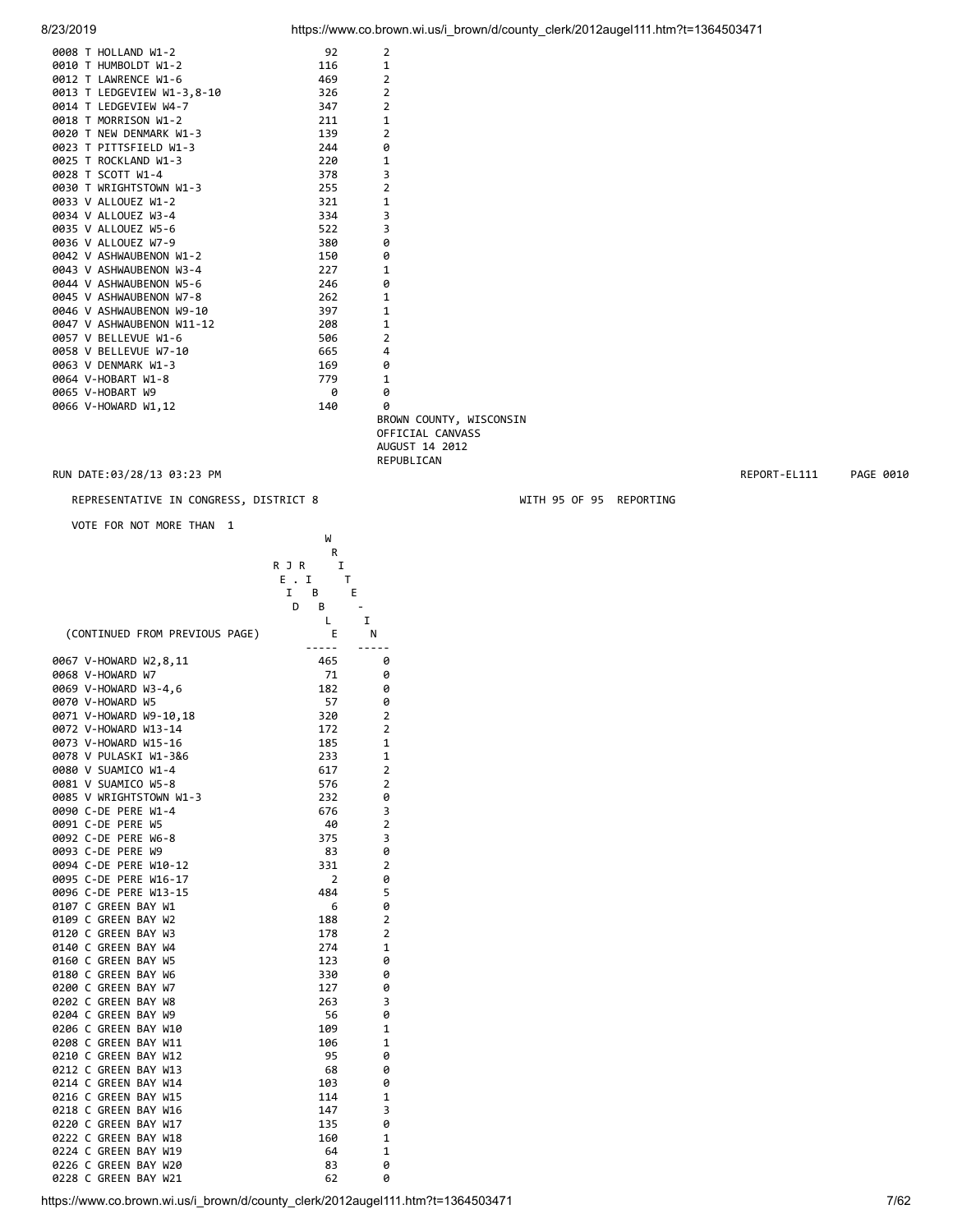| 8/23/2019 |  |  |
|-----------|--|--|
|           |  |  |

| 8/23/2019 | https://www.co.brown.wi.us/i brown/d/county clerk/2012augel111.htm?t=1364503471 |  |
|-----------|---------------------------------------------------------------------------------|--|
|           |                                                                                 |  |

| 0008 T HOLLAND W1-2        | 92  | 2              |
|----------------------------|-----|----------------|
| 0010 T HUMBOLDT W1-2       | 116 | 1              |
| 0012 T LAWRENCE W1-6       | 469 | 2              |
| 0013 T LEDGEVIEW W1-3,8-10 | 326 | $\overline{2}$ |
| 0014 T LEDGEVIEW W4-7      | 347 | $\overline{2}$ |
| 0018 T MORRISON W1-2       | 211 | $\mathbf{1}$   |
| 0020 T NEW DENMARK W1-3    | 139 | $\overline{2}$ |
| 0023 T PITTSFIELD W1-3     | 244 | 0              |
| 0025 T ROCKLAND W1-3       | 220 | 1              |
| 0028 T SCOTT W1-4          | 378 | 3              |
| 0030 T WRIGHTSTOWN W1-3    | 255 | $\overline{2}$ |
| 0033 V ALLOUEZ W1-2        | 321 | $\mathbf{1}$   |
| 0034 V ALLOUEZ W3-4        | 334 | 3              |
| 0035 V ALLOUEZ W5-6        | 522 | 3              |
| 0036 V ALLOUEZ W7-9        | 380 | 0              |
| 0042 V ASHWAUBENON W1-2    | 150 | 0              |
| 0043 V ASHWAUBENON W3-4    | 227 | 1              |
| 0044 V ASHWAUBENON W5-6    | 246 | 0              |
| 0045 V ASHWAUBENON W7-8    | 262 | $\mathbf{1}$   |
| 0046 V ASHWAUBENON W9-10   | 397 | $\mathbf{1}$   |
| 0047 V ASHWAUBENON W11-12  | 208 | $\mathbf{1}$   |
| 0057 V BELLEVUE W1-6       | 506 | 2              |
| 0058 V BELLEVUE W7-10      | 665 | 4              |
| 0063 V DENMARK W1-3        | 169 | 0              |
| 0064 V-HOBART W1-8         | 779 | $\mathbf{1}$   |
| 0065 V-HOBART W9           | ø   | 0              |
| 0066 V-HOWARD W1,12        | 140 | 0              |
|                            |     |                |

 BROWN COUNTY, WISCONSIN OFFICIAL CANVASS AUGUST 14 2012 REPUBLICAN

RUN DATE:03/28/13 03:23 PM REPORT-EL111 PAGE 0010

# REPRESENTATIVE IN CONGRESS, DISTRICT 8 WITH 95 OF 95 REPORTING

VOTE FOR NOT MORE THAN 1

|                                                                                 | W              |                          |
|---------------------------------------------------------------------------------|----------------|--------------------------|
|                                                                                 | R              |                          |
|                                                                                 | I<br>R J R     |                          |
|                                                                                 | E.I<br>т       |                          |
|                                                                                 | B<br>I         | Е                        |
|                                                                                 | D<br>B         | $\overline{\phantom{a}}$ |
|                                                                                 | L              | I                        |
| (CONTINUED FROM PREVIOUS PAGE)                                                  | E              | N                        |
|                                                                                 | 465            | -----<br>0               |
| 0067 V-HOWARD W2,8,11<br>0068 V-HOWARD W7                                       | 71             | 0                        |
| 0069 V-HOWARD W3-4,6                                                            | 182            | 0                        |
| 0070 V-HOWARD W5                                                                | 57             | 0                        |
|                                                                                 |                | $\mathbf 2$              |
| 0071 V-HOWARD W9-10,18                                                          | 320<br>172     | $\overline{2}$           |
| 0072 V-HOWARD W13-14                                                            |                |                          |
| 0073 V-HOWARD W15-16                                                            | 185            | $\mathbf 1$              |
| 0078 V PULASKI W1-3&6                                                           | 233            | $\mathbf 1$              |
| 0080 V SUAMICO W1-4                                                             | 617            | $\overline{2}$           |
| 0081 V SUAMICO W5-8                                                             | 576            | $\mathbf 2$              |
| 0085 V WRIGHTSTOWN W1-3                                                         | 232            | 0                        |
| 0090 C-DE PERE W1-4                                                             | 676            | 3                        |
| 0091 C-DE PERE W5                                                               | 40             | $\mathbf 2$              |
| 0092 C-DE PERE W6-8                                                             | 375            | 3                        |
| 0093 C-DE PERE W9                                                               | 83             | 0                        |
| 0094 C-DE PERE W10-12                                                           | 331            | $\mathbf 2$              |
| 0095 C-DE PERE W16-17                                                           | $\overline{2}$ | 0                        |
| 0096 C-DE PERE W13-15                                                           | 484            | 5                        |
| 0107 C GREEN BAY W1                                                             | 6              | 0                        |
| 0109 C GREEN BAY W2                                                             | 188            | $\mathbf 2$              |
| 0120 C GREEN BAY W3                                                             | 178            | $\overline{2}$           |
| 0140 C GREEN BAY W4                                                             | 274            | $\mathbf 1$              |
| 0160 C GREEN BAY W5                                                             | 123            | 0                        |
| 0180 C GREEN BAY W6                                                             | 330            | 0                        |
| 0200 C GREEN BAY W7                                                             | 127            | 0                        |
| 0202 C GREEN BAY W8                                                             | 263            | 3                        |
| 0204 C GREEN BAY W9                                                             | 56             | 0                        |
| 0206 C GREEN BAY W10                                                            | 109            | $\mathbf 1$              |
| 0208 C GREEN BAY W11                                                            | 106            | $\mathbf 1$              |
| 0210 C GREEN BAY W12                                                            | 95             | 0                        |
| 0212 C GREEN BAY W13                                                            | 68             | 0                        |
| 0214 C GREEN BAY W14                                                            | 103            | 0                        |
| 0216 C GREEN BAY W15                                                            | 114            | $\mathbf 1$              |
|                                                                                 |                | 3                        |
| 0218 C GREEN BAY W16                                                            | 147            |                          |
| 0220 C GREEN BAY W17                                                            | 135            | 0                        |
| 0222 C GREEN BAY W18                                                            | 160            | 1                        |
| 0224 C GREEN BAY W19                                                            | 64             | $\mathbf 1$              |
| 0226 C GREEN BAY W20                                                            | 83             | 0                        |
| 0228 C GREEN BAY W21                                                            | 62             | 0                        |
| https://www.co.brown.wi.us/i brown/d/county clerk/2012augel111.htm?t=1364503471 |                |                          |
|                                                                                 |                |                          |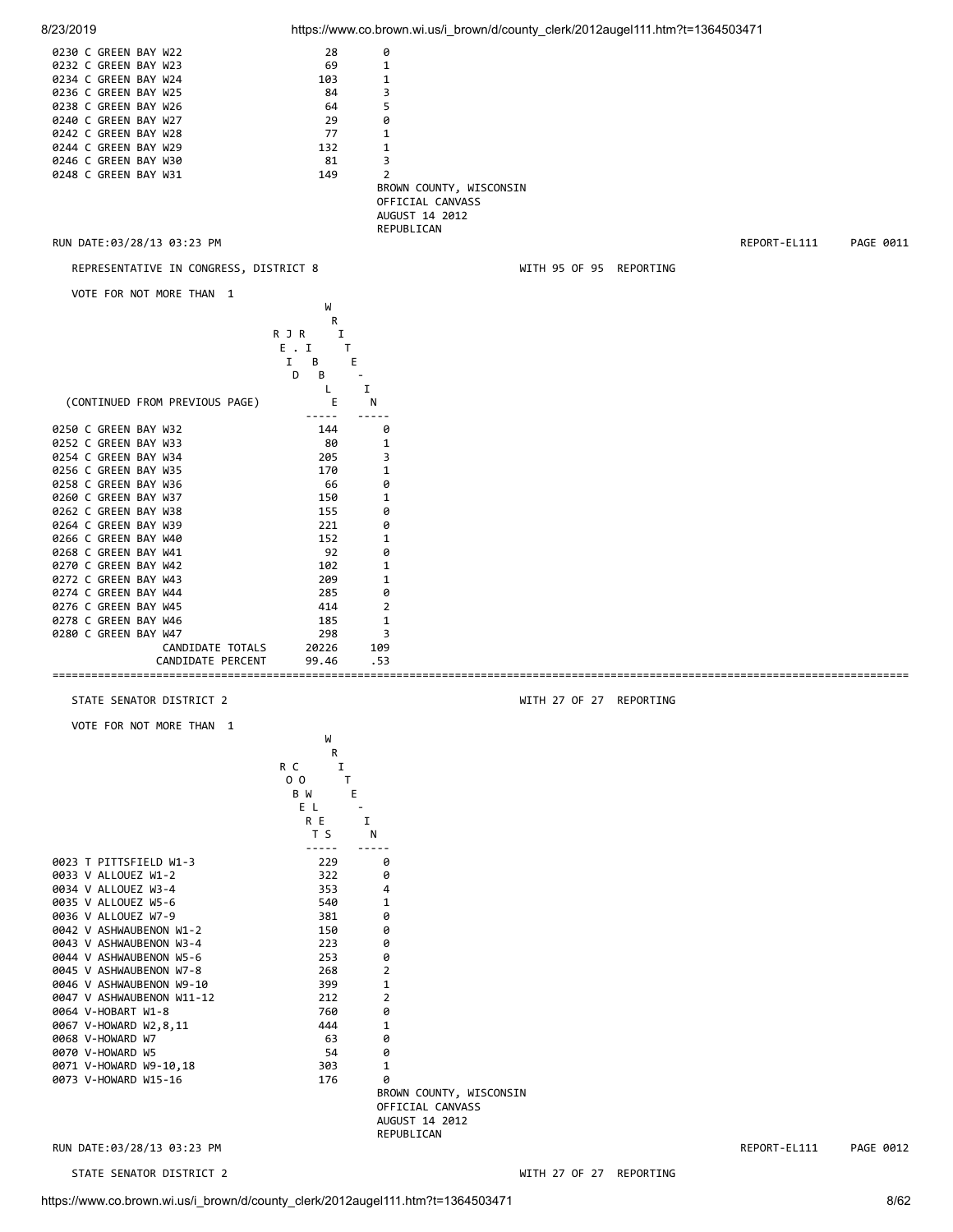| 8/23/2019                                          |                          |                                    | https://www.co.brown.wi.us/i_brown/d/county_clerk/2012augel111.htm?t=1364503471 |                         |              |           |
|----------------------------------------------------|--------------------------|------------------------------------|---------------------------------------------------------------------------------|-------------------------|--------------|-----------|
| 0230 C GREEN BAY W22                               | 28                       | 0                                  |                                                                                 |                         |              |           |
| 0232 C GREEN BAY W23                               | 69                       | $\mathbf{1}$                       |                                                                                 |                         |              |           |
| 0234 C GREEN BAY W24                               | 103                      | $\mathbf{1}$                       |                                                                                 |                         |              |           |
| 0236 C GREEN BAY W25                               | 84                       | 3                                  |                                                                                 |                         |              |           |
| 0238 C GREEN BAY W26                               | 64                       | 5                                  |                                                                                 |                         |              |           |
| 0240 C GREEN BAY W27<br>0242 C GREEN BAY W28       | 29<br>77                 | 0<br>1                             |                                                                                 |                         |              |           |
| 0244 C GREEN BAY W29                               | 132                      | 1                                  |                                                                                 |                         |              |           |
| 0246 C GREEN BAY W30                               | 81                       | 3                                  |                                                                                 |                         |              |           |
| 0248 C GREEN BAY W31                               | 149                      | $\overline{2}$                     |                                                                                 |                         |              |           |
|                                                    |                          | BROWN COUNTY, WISCONSIN            |                                                                                 |                         |              |           |
|                                                    |                          | OFFICIAL CANVASS                   |                                                                                 |                         |              |           |
|                                                    |                          | AUGUST 14 2012<br>REPUBLICAN       |                                                                                 |                         |              |           |
| RUN DATE:03/28/13 03:23 PM                         |                          |                                    |                                                                                 |                         | REPORT-EL111 | PAGE 0011 |
|                                                    |                          |                                    |                                                                                 |                         |              |           |
| REPRESENTATIVE IN CONGRESS, DISTRICT 8             |                          |                                    |                                                                                 | WITH 95 OF 95 REPORTING |              |           |
| VOTE FOR NOT MORE THAN 1                           | W                        |                                    |                                                                                 |                         |              |           |
|                                                    | R                        |                                    |                                                                                 |                         |              |           |
|                                                    | R J R<br>1               |                                    |                                                                                 |                         |              |           |
|                                                    | E.I<br>Τ<br>В<br>E<br>Ι. |                                    |                                                                                 |                         |              |           |
|                                                    | B<br>D                   | $\blacksquare$                     |                                                                                 |                         |              |           |
|                                                    | L                        | I                                  |                                                                                 |                         |              |           |
| (CONTINUED FROM PREVIOUS PAGE)                     | Ε                        | N                                  |                                                                                 |                         |              |           |
|                                                    |                          |                                    |                                                                                 |                         |              |           |
| 0250 C GREEN BAY W32<br>0252 C GREEN BAY W33       | 144<br>80                | 0<br>1                             |                                                                                 |                         |              |           |
| 0254 C GREEN BAY W34                               | 205                      | 3                                  |                                                                                 |                         |              |           |
| 0256 C GREEN BAY W35                               | 170                      | 1                                  |                                                                                 |                         |              |           |
| 0258 C GREEN BAY W36                               | 66                       | 0                                  |                                                                                 |                         |              |           |
| 0260 C GREEN BAY W37                               | 150                      | 1                                  |                                                                                 |                         |              |           |
| 0262 C GREEN BAY W38                               | 155                      | 0                                  |                                                                                 |                         |              |           |
| 0264 C GREEN BAY W39<br>0266 C GREEN BAY W40       | 221<br>152               | 0<br>$\mathbf 1$                   |                                                                                 |                         |              |           |
| 0268 C GREEN BAY W41                               | 92                       | 0                                  |                                                                                 |                         |              |           |
| 0270 C GREEN BAY W42                               | 102                      | 1                                  |                                                                                 |                         |              |           |
| 0272 C GREEN BAY W43                               | 209                      | 1                                  |                                                                                 |                         |              |           |
| 0274 C GREEN BAY W44                               | 285                      | 0                                  |                                                                                 |                         |              |           |
| 0276 C GREEN BAY W45<br>0278 C GREEN BAY W46       | 414<br>185               | 2<br>1                             |                                                                                 |                         |              |           |
| 0280 C GREEN BAY W47                               | 298                      | 3                                  |                                                                                 |                         |              |           |
| CANDIDATE TOTALS                                   | 20226                    | 109                                |                                                                                 |                         |              |           |
| CANDIDATE PERCENT                                  | 99.46                    | .53                                |                                                                                 |                         |              |           |
|                                                    |                          |                                    |                                                                                 |                         |              |           |
| STATE SENATOR DISTRICT 2                           |                          |                                    |                                                                                 | WITH 27 OF 27 REPORTING |              |           |
| VOTE FOR NOT MORE THAN 1                           |                          |                                    |                                                                                 |                         |              |           |
|                                                    | W<br>R                   |                                    |                                                                                 |                         |              |           |
|                                                    | R C<br>I                 |                                    |                                                                                 |                         |              |           |
|                                                    | 0 <sub>0</sub><br>T      |                                    |                                                                                 |                         |              |           |
|                                                    | Е<br>B W<br>E L          | $\overline{\phantom{a}}$           |                                                                                 |                         |              |           |
|                                                    | R E                      | Ι.                                 |                                                                                 |                         |              |           |
|                                                    | T S                      | Ν                                  |                                                                                 |                         |              |           |
| 0023 T PITTSFIELD W1-3                             | -----<br>229             | -----<br>0                         |                                                                                 |                         |              |           |
| 0033 V ALLOUEZ W1-2                                | 322                      | 0                                  |                                                                                 |                         |              |           |
| 0034 V ALLOUEZ W3-4                                | 353                      | 4                                  |                                                                                 |                         |              |           |
| 0035 V ALLOUEZ W5-6                                | 540                      | 1                                  |                                                                                 |                         |              |           |
| 0036 V ALLOUEZ W7-9                                | 381                      | 0                                  |                                                                                 |                         |              |           |
| 0042 V ASHWAUBENON W1-2                            | 150                      | 0                                  |                                                                                 |                         |              |           |
| 0043 V ASHWAUBENON W3-4<br>0044 V ASHWAUBENON W5-6 | 223<br>253               | 0<br>0                             |                                                                                 |                         |              |           |
| 0045 V ASHWAUBENON W7-8                            | 268                      | 2                                  |                                                                                 |                         |              |           |
| 0046 V ASHWAUBENON W9-10                           | 399                      | $\mathbf 1$                        |                                                                                 |                         |              |           |
| 0047 V ASHWAUBENON W11-12                          | 212                      | 2                                  |                                                                                 |                         |              |           |
| 0064 V-HOBART W1-8                                 | 760                      | 0                                  |                                                                                 |                         |              |           |
| 0067 V-HOWARD W2,8,11<br>0068 V-HOWARD W7          | 444<br>63                | 1<br>0                             |                                                                                 |                         |              |           |
| 0070 V-HOWARD W5                                   | 54                       | 0                                  |                                                                                 |                         |              |           |
| 0071 V-HOWARD W9-10,18                             | 303                      | 1                                  |                                                                                 |                         |              |           |
| 0073 V-HOWARD W15-16                               | 176                      | 0                                  |                                                                                 |                         |              |           |
|                                                    |                          | BROWN COUNTY, WISCONSIN            |                                                                                 |                         |              |           |
|                                                    |                          | OFFICIAL CANVASS<br>AUGUST 14 2012 |                                                                                 |                         |              |           |
|                                                    |                          | REPUBLICAN                         |                                                                                 |                         |              |           |
| RUN DATE:03/28/13 03:23 PM                         |                          |                                    |                                                                                 |                         | REPORT-EL111 | PAGE 0012 |
| STATE SENATOR DISTRICT 2                           |                          |                                    |                                                                                 | WITH 27 OF 27 REPORTING |              |           |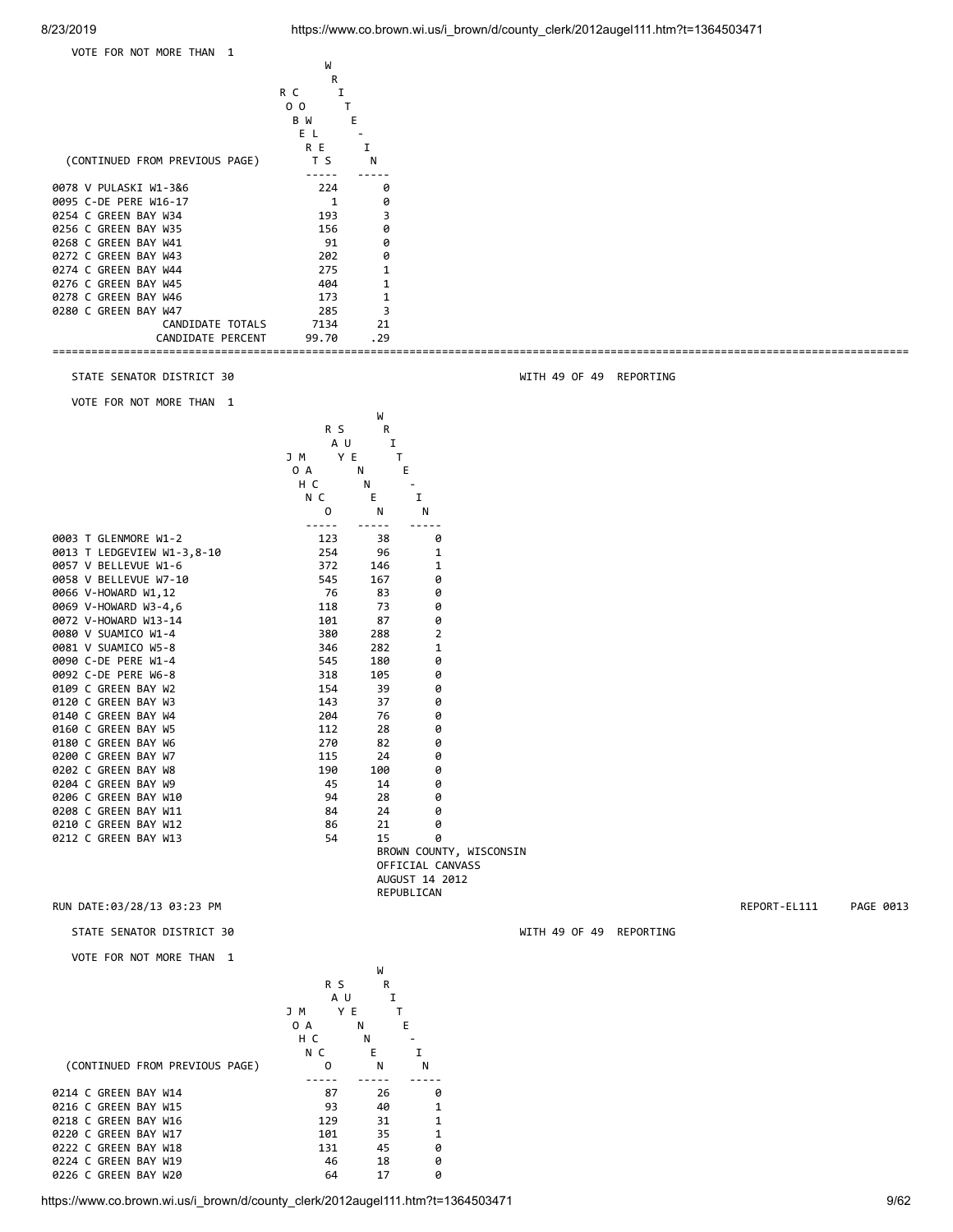



0226 C GREEN BAY W20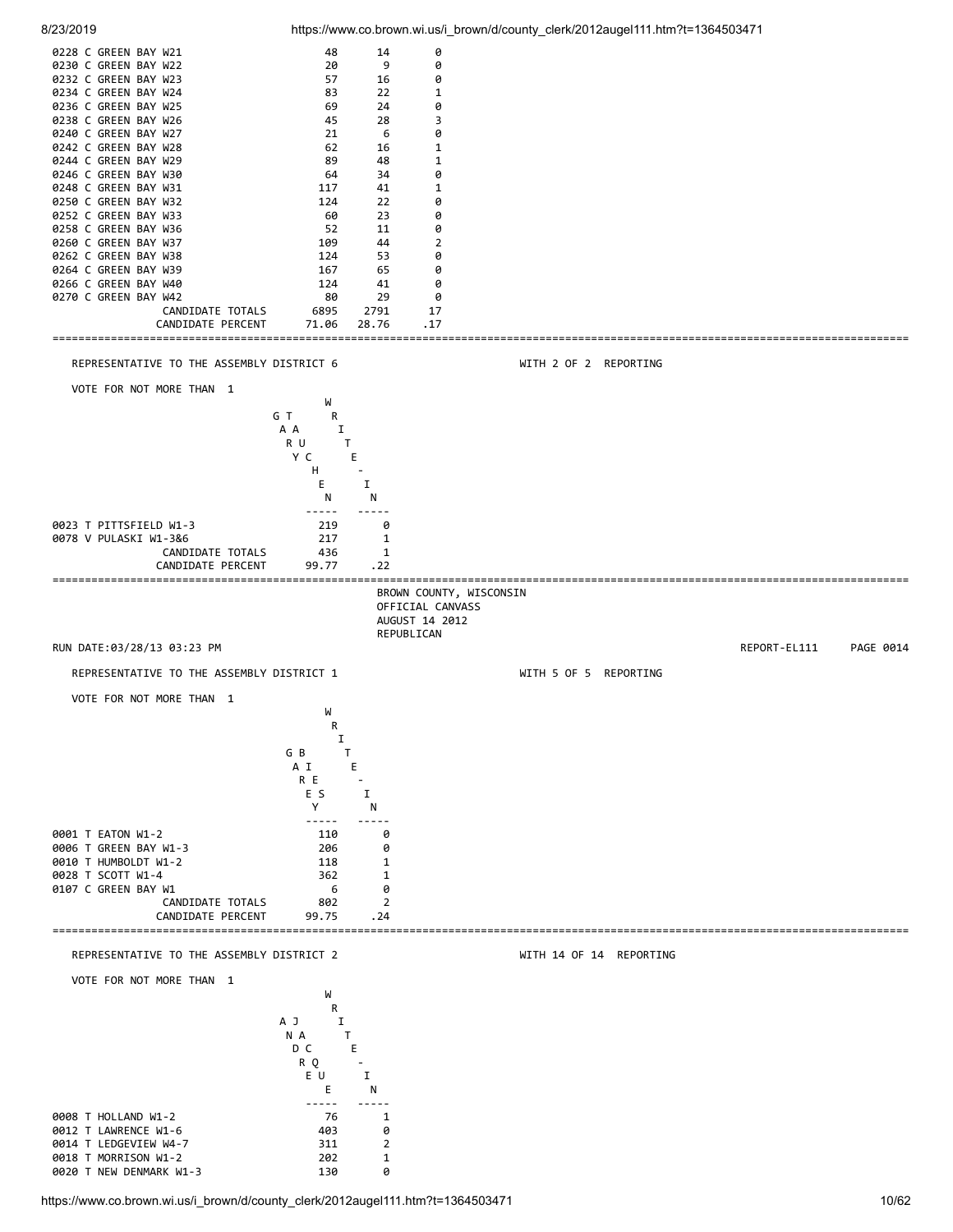

https://www.co.brown.wi.us/i\_brown/d/county\_clerk/2012augel111.htm?t=1364503471 10/62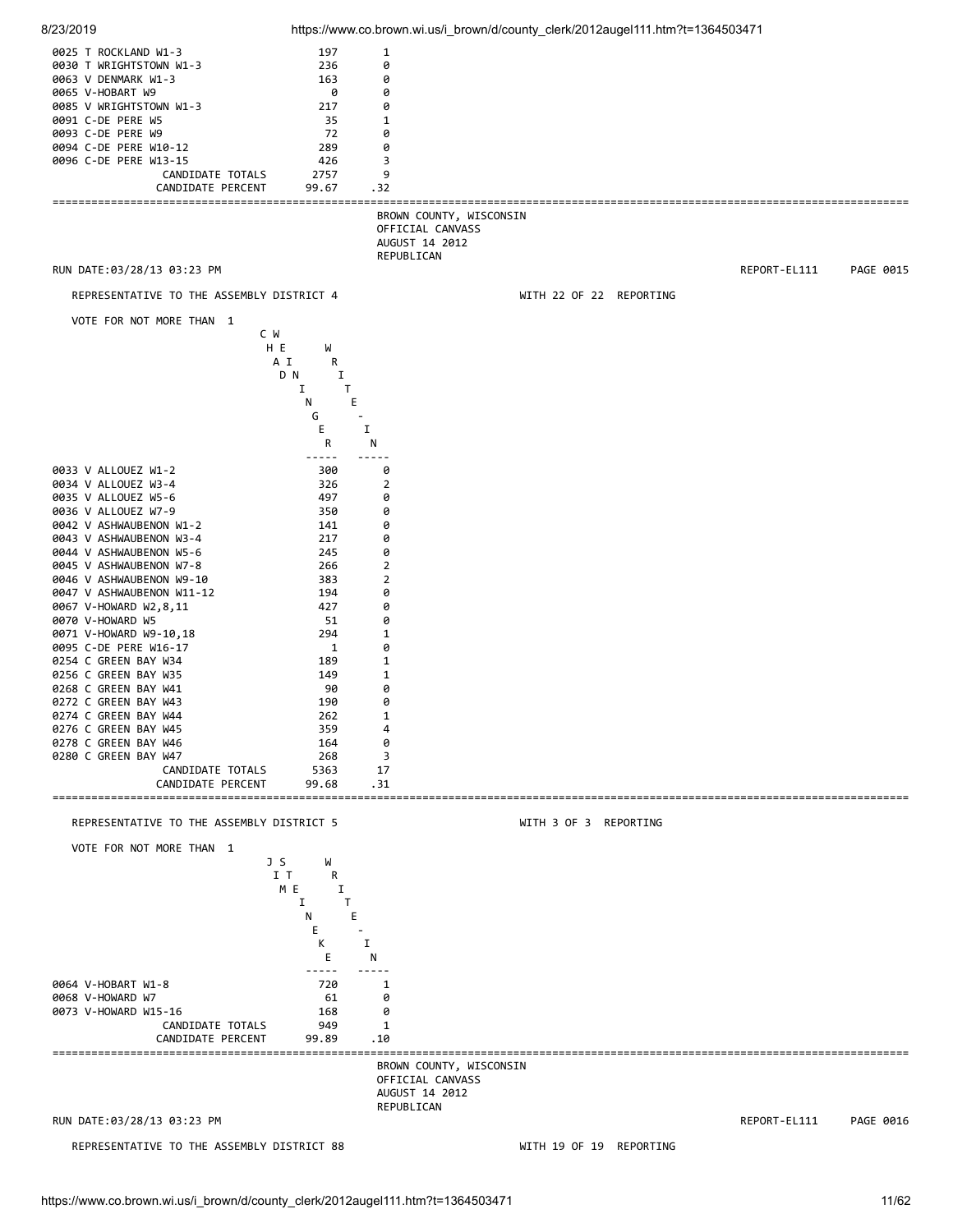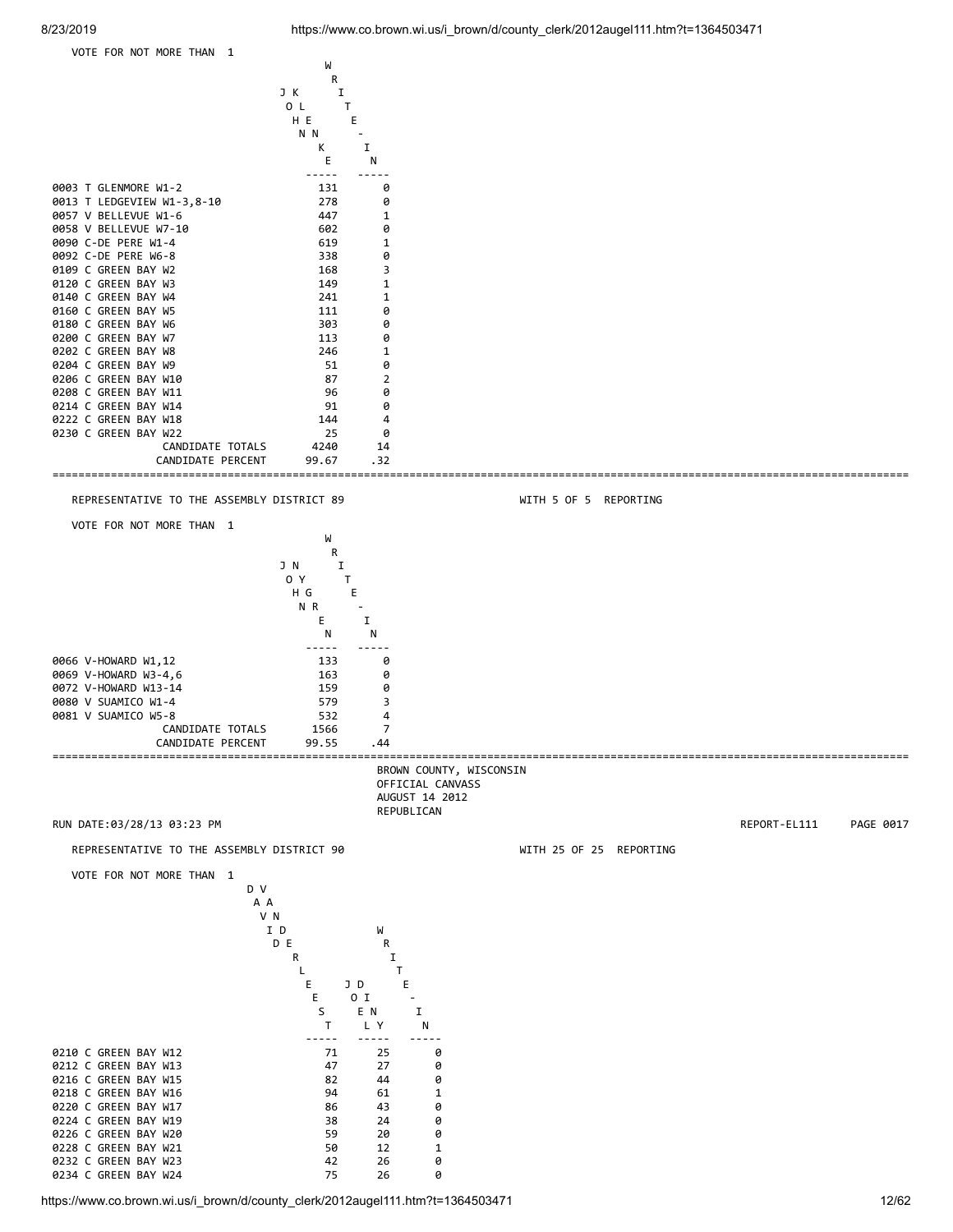

0234 C GREEN BAY W24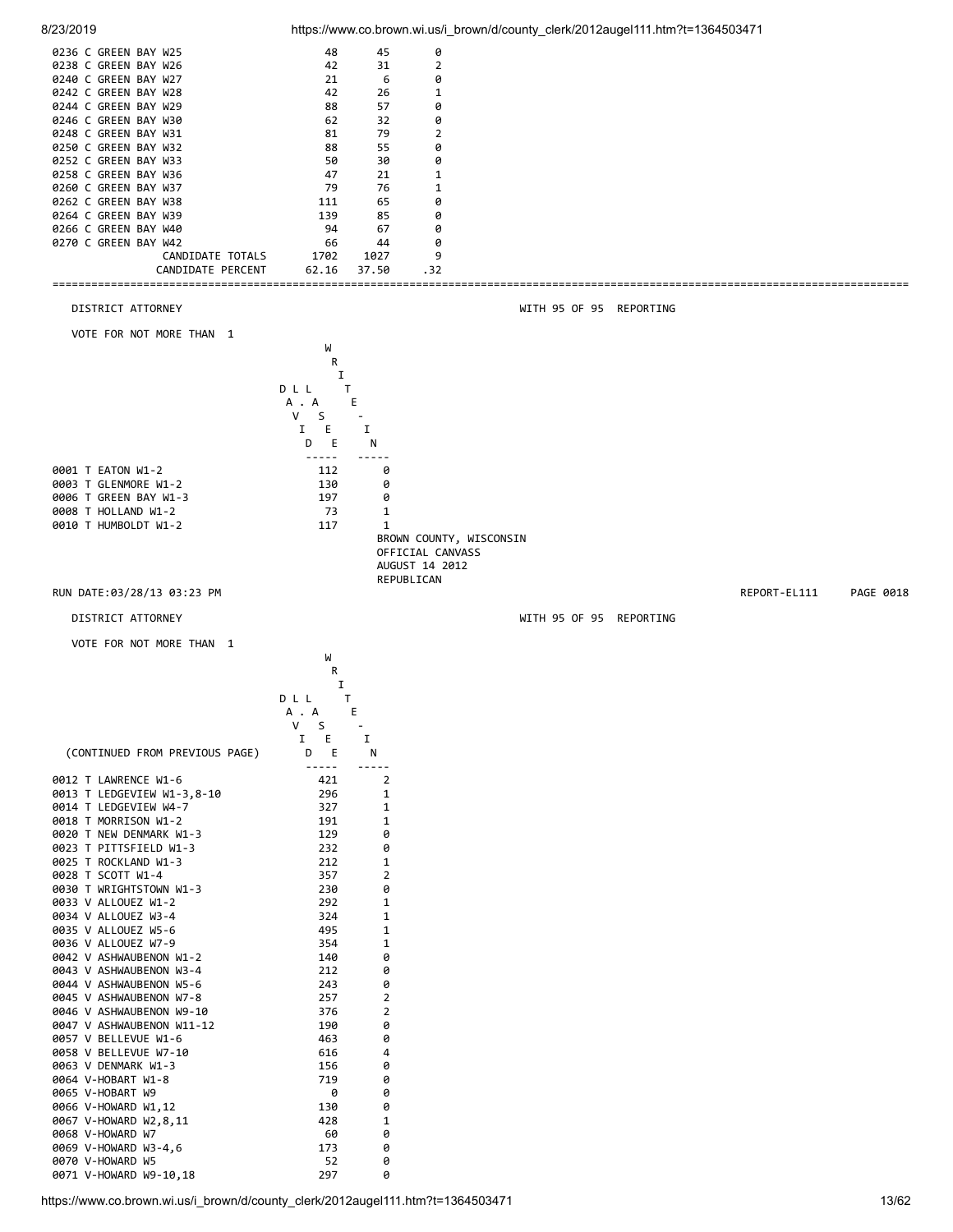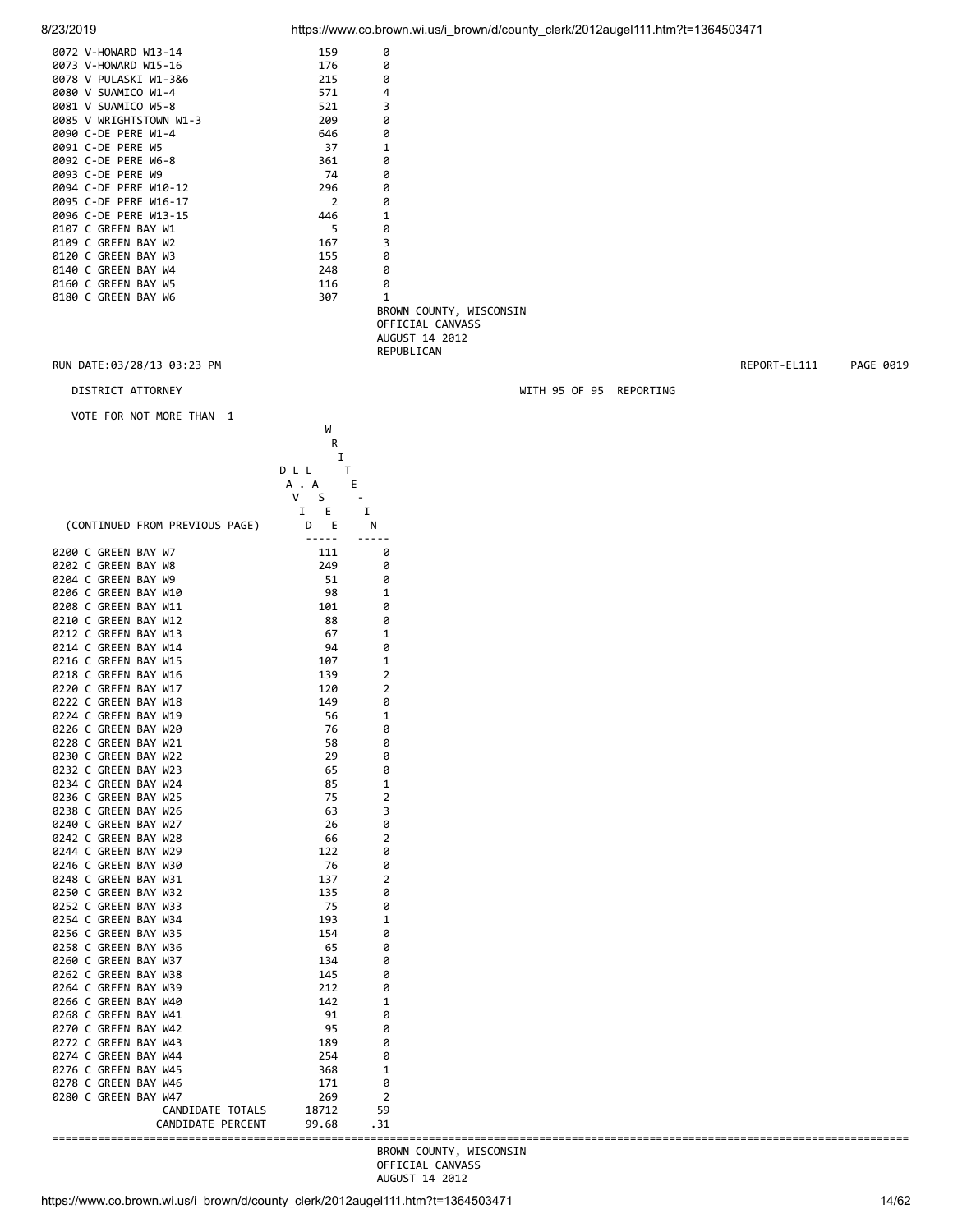| 8/23/2019 | https://www.co.brown.wi.us/i brown/d/county clerk/2012augel111.htm?t=1364503471 |  |
|-----------|---------------------------------------------------------------------------------|--|
|           |                                                                                 |  |

| 0072 V-HOWARD W13-14             | 159              | 0                       |                         |              |           |
|----------------------------------|------------------|-------------------------|-------------------------|--------------|-----------|
| 0073 V-HOWARD W15-16             | 176              | 0                       |                         |              |           |
| 0078 V PULASKI W1-3&6            | 215              | 0                       |                         |              |           |
| 0080 V SUAMICO W1-4              | 571              | 4                       |                         |              |           |
| 0081 V SUAMICO W5-8              | 521              | 3                       |                         |              |           |
| 0085 V WRIGHTSTOWN W1-3          | 209              | 0                       |                         |              |           |
| 0090 C-DE PERE W1-4              | 646              | 0                       |                         |              |           |
| 0091 C-DE PERE W5                | 37               | 1                       |                         |              |           |
| 0092 C-DE PERE W6-8              | 361              | 0                       |                         |              |           |
| 0093 C-DE PERE W9                | 74               | 0                       |                         |              |           |
| 0094 C-DE PERE W10-12            | 296              | 0                       |                         |              |           |
| 0095 C-DE PERE W16-17            | 2                | 0                       |                         |              |           |
| 0096 C-DE PERE W13-15            | 446              | 1                       |                         |              |           |
| 0107 C GREEN BAY W1              | 5                | 0                       |                         |              |           |
| 0109 C GREEN BAY W2              | 167              | 3                       |                         |              |           |
| 0120 C GREEN BAY W3              | 155              | 0                       |                         |              |           |
| 0140 C GREEN BAY W4              | 248              | 0                       |                         |              |           |
| 0160 C GREEN BAY W5              | 116              | 0                       |                         |              |           |
| 0180 C GREEN BAY W6              | 307              | $\mathbf{1}$            |                         |              |           |
|                                  |                  | BROWN COUNTY, WISCONSIN |                         |              |           |
|                                  |                  | OFFICIAL CANVASS        |                         |              |           |
|                                  |                  | AUGUST 14 2012          |                         |              |           |
|                                  |                  | REPUBLICAN              |                         |              |           |
| RUN DATE:03/28/13 03:23 PM       |                  |                         |                         | REPORT-EL111 | PAGE 0019 |
|                                  |                  |                         |                         |              |           |
| DISTRICT ATTORNEY                |                  |                         | WITH 95 OF 95 REPORTING |              |           |
| VOTE FOR NOT MORE THAN 1         |                  |                         |                         |              |           |
|                                  | W                |                         |                         |              |           |
|                                  | R                |                         |                         |              |           |
|                                  | I                |                         |                         |              |           |
|                                  | T<br>DLL         |                         |                         |              |           |
|                                  | Е<br>A . A       |                         |                         |              |           |
|                                  | V<br>S<br>$\sim$ |                         |                         |              |           |
|                                  | E<br>I           | I                       |                         |              |           |
| (CONTINUED FROM PREVIOUS PAGE)   | E<br>D           | N                       |                         |              |           |
|                                  | -----            |                         |                         |              |           |
| 0200 C GREEN BAY W7              | 111              | 0                       |                         |              |           |
| 0202 C GREEN BAY W8              | 249              | 0                       |                         |              |           |
| 0204 C GREEN BAY W9              | 51               | 0                       |                         |              |           |
| $0.205 \times 0.005511 B4311140$ | $\sim$           |                         |                         |              |           |

| (CONTINUED FROM PREVIOUS PAGE)                                                                                                                                                                                                                                    | E<br>Ι.<br>D E<br>$\frac{1}{2} \frac{1}{2} \frac{1}{2} \frac{1}{2} \frac{1}{2} \frac{1}{2} \frac{1}{2} \frac{1}{2} \frac{1}{2} \frac{1}{2} \frac{1}{2} \frac{1}{2} \frac{1}{2} \frac{1}{2} \frac{1}{2} \frac{1}{2} \frac{1}{2} \frac{1}{2} \frac{1}{2} \frac{1}{2} \frac{1}{2} \frac{1}{2} \frac{1}{2} \frac{1}{2} \frac{1}{2} \frac{1}{2} \frac{1}{2} \frac{1}{2} \frac{1}{2} \frac{1}{2} \frac{1}{2} \frac{$<br>111<br>249<br>51<br>98<br>101<br>88<br>67<br>94<br>107<br>139<br>120 | Ι.<br>N<br>$- - - - - -$<br>0<br>0<br>0<br>1<br>0<br>0<br>1<br>0<br>1<br>$\overline{2}$ |
|-------------------------------------------------------------------------------------------------------------------------------------------------------------------------------------------------------------------------------------------------------------------|----------------------------------------------------------------------------------------------------------------------------------------------------------------------------------------------------------------------------------------------------------------------------------------------------------------------------------------------------------------------------------------------------------------------------------------------------------------------------------------|-----------------------------------------------------------------------------------------|
|                                                                                                                                                                                                                                                                   |                                                                                                                                                                                                                                                                                                                                                                                                                                                                                        |                                                                                         |
| 0200 C GREEN BAY W7<br>0202 C GREEN BAY W8<br>0204 C GREEN BAY W9<br>0206 C GREEN BAY W10<br>0208 C GREEN BAY W11<br>0210 C GREEN BAY W12<br>0214 C GREEN BAY W14<br>0218 C GREEN BAY W16<br>0222 C GREEN BAY W18<br>0224 C GREEN BAY W19<br>0226 C GREEN BAY W20 |                                                                                                                                                                                                                                                                                                                                                                                                                                                                                        |                                                                                         |
| 0212 C GREEN BAY W13<br>0216 C GREEN BAY W15<br>0220 C GREEN BAY W17                                                                                                                                                                                              |                                                                                                                                                                                                                                                                                                                                                                                                                                                                                        |                                                                                         |
|                                                                                                                                                                                                                                                                   |                                                                                                                                                                                                                                                                                                                                                                                                                                                                                        |                                                                                         |
|                                                                                                                                                                                                                                                                   |                                                                                                                                                                                                                                                                                                                                                                                                                                                                                        |                                                                                         |
|                                                                                                                                                                                                                                                                   |                                                                                                                                                                                                                                                                                                                                                                                                                                                                                        |                                                                                         |
|                                                                                                                                                                                                                                                                   |                                                                                                                                                                                                                                                                                                                                                                                                                                                                                        |                                                                                         |
|                                                                                                                                                                                                                                                                   |                                                                                                                                                                                                                                                                                                                                                                                                                                                                                        |                                                                                         |
|                                                                                                                                                                                                                                                                   |                                                                                                                                                                                                                                                                                                                                                                                                                                                                                        |                                                                                         |
|                                                                                                                                                                                                                                                                   |                                                                                                                                                                                                                                                                                                                                                                                                                                                                                        |                                                                                         |
|                                                                                                                                                                                                                                                                   |                                                                                                                                                                                                                                                                                                                                                                                                                                                                                        |                                                                                         |
|                                                                                                                                                                                                                                                                   |                                                                                                                                                                                                                                                                                                                                                                                                                                                                                        |                                                                                         |
|                                                                                                                                                                                                                                                                   |                                                                                                                                                                                                                                                                                                                                                                                                                                                                                        |                                                                                         |
|                                                                                                                                                                                                                                                                   |                                                                                                                                                                                                                                                                                                                                                                                                                                                                                        |                                                                                         |
|                                                                                                                                                                                                                                                                   |                                                                                                                                                                                                                                                                                                                                                                                                                                                                                        | 2                                                                                       |
|                                                                                                                                                                                                                                                                   | 149                                                                                                                                                                                                                                                                                                                                                                                                                                                                                    | 0                                                                                       |
|                                                                                                                                                                                                                                                                   | 56                                                                                                                                                                                                                                                                                                                                                                                                                                                                                     | 1                                                                                       |
|                                                                                                                                                                                                                                                                   | 76                                                                                                                                                                                                                                                                                                                                                                                                                                                                                     | 0                                                                                       |
| 0228 C GREEN BAY W21                                                                                                                                                                                                                                              | 58                                                                                                                                                                                                                                                                                                                                                                                                                                                                                     | 0                                                                                       |
| 0230 C GREEN BAY W22                                                                                                                                                                                                                                              | 29                                                                                                                                                                                                                                                                                                                                                                                                                                                                                     | 0                                                                                       |
| 0232 C GREEN BAY W23                                                                                                                                                                                                                                              | 65                                                                                                                                                                                                                                                                                                                                                                                                                                                                                     | 0                                                                                       |
| 0234 C GREEN BAY W24                                                                                                                                                                                                                                              | 85                                                                                                                                                                                                                                                                                                                                                                                                                                                                                     | 1                                                                                       |
| 0236 C GREEN BAY W25                                                                                                                                                                                                                                              | 75                                                                                                                                                                                                                                                                                                                                                                                                                                                                                     | 2                                                                                       |
| 0238 C GREEN BAY W26                                                                                                                                                                                                                                              | 63                                                                                                                                                                                                                                                                                                                                                                                                                                                                                     | 3                                                                                       |
| 0240 C GREEN BAY W27                                                                                                                                                                                                                                              | 26                                                                                                                                                                                                                                                                                                                                                                                                                                                                                     | 0                                                                                       |
| 0242 C GREEN BAY W28                                                                                                                                                                                                                                              | 66                                                                                                                                                                                                                                                                                                                                                                                                                                                                                     | 2                                                                                       |
| 0244 C GREEN BAY W29                                                                                                                                                                                                                                              | 122                                                                                                                                                                                                                                                                                                                                                                                                                                                                                    | 0                                                                                       |
| 0246 C GREEN BAY W30                                                                                                                                                                                                                                              | -76                                                                                                                                                                                                                                                                                                                                                                                                                                                                                    | 0                                                                                       |
|                                                                                                                                                                                                                                                                   |                                                                                                                                                                                                                                                                                                                                                                                                                                                                                        | $\overline{2}$                                                                          |
| 0248 C GREEN BAY W31                                                                                                                                                                                                                                              | 137                                                                                                                                                                                                                                                                                                                                                                                                                                                                                    |                                                                                         |
| 0250 C GREEN BAY W32                                                                                                                                                                                                                                              | 135                                                                                                                                                                                                                                                                                                                                                                                                                                                                                    | 0                                                                                       |
| 0252 C GREEN BAY W33                                                                                                                                                                                                                                              | 75                                                                                                                                                                                                                                                                                                                                                                                                                                                                                     | 0                                                                                       |
| 0254 C GREEN BAY W34                                                                                                                                                                                                                                              | 193                                                                                                                                                                                                                                                                                                                                                                                                                                                                                    | 1                                                                                       |
| 0256 C GREEN BAY W35                                                                                                                                                                                                                                              | 154                                                                                                                                                                                                                                                                                                                                                                                                                                                                                    | 0                                                                                       |
| 0258 C GREEN BAY W36                                                                                                                                                                                                                                              | - 65                                                                                                                                                                                                                                                                                                                                                                                                                                                                                   | 0                                                                                       |
| 0260 C GREEN BAY W37                                                                                                                                                                                                                                              | 134                                                                                                                                                                                                                                                                                                                                                                                                                                                                                    | 0                                                                                       |
| 0262 C GREEN BAY W38                                                                                                                                                                                                                                              | 145                                                                                                                                                                                                                                                                                                                                                                                                                                                                                    | 0                                                                                       |
| 0264 C GREEN BAY W39                                                                                                                                                                                                                                              | 212                                                                                                                                                                                                                                                                                                                                                                                                                                                                                    | 0                                                                                       |
| 0266 C GREEN BAY W40                                                                                                                                                                                                                                              | 142                                                                                                                                                                                                                                                                                                                                                                                                                                                                                    | 1                                                                                       |
| 0268 C GREEN BAY W41                                                                                                                                                                                                                                              | 91                                                                                                                                                                                                                                                                                                                                                                                                                                                                                     | 0                                                                                       |
| 0270 C GREEN BAY W42                                                                                                                                                                                                                                              | 95                                                                                                                                                                                                                                                                                                                                                                                                                                                                                     | 0                                                                                       |
| 0272 C GREEN BAY W43                                                                                                                                                                                                                                              | 189                                                                                                                                                                                                                                                                                                                                                                                                                                                                                    | 0                                                                                       |
| 0274 C GREEN BAY W44                                                                                                                                                                                                                                              | 254                                                                                                                                                                                                                                                                                                                                                                                                                                                                                    | 0                                                                                       |
| 0276 C GREEN BAY W45                                                                                                                                                                                                                                              | 368                                                                                                                                                                                                                                                                                                                                                                                                                                                                                    | 1                                                                                       |
| 0278 C GREEN BAY W46                                                                                                                                                                                                                                              | 171                                                                                                                                                                                                                                                                                                                                                                                                                                                                                    | 0                                                                                       |
| 0280 C GREEN BAY W47                                                                                                                                                                                                                                              | 269                                                                                                                                                                                                                                                                                                                                                                                                                                                                                    | $\overline{2}$                                                                          |
|                                                                                                                                                                                                                                                                   |                                                                                                                                                                                                                                                                                                                                                                                                                                                                                        |                                                                                         |
| CANDIDATE TOTALS                                                                                                                                                                                                                                                  | 18712                                                                                                                                                                                                                                                                                                                                                                                                                                                                                  | 59                                                                                      |
| CANDIDATE PERCENT                                                                                                                                                                                                                                                 | 99.68                                                                                                                                                                                                                                                                                                                                                                                                                                                                                  | .31                                                                                     |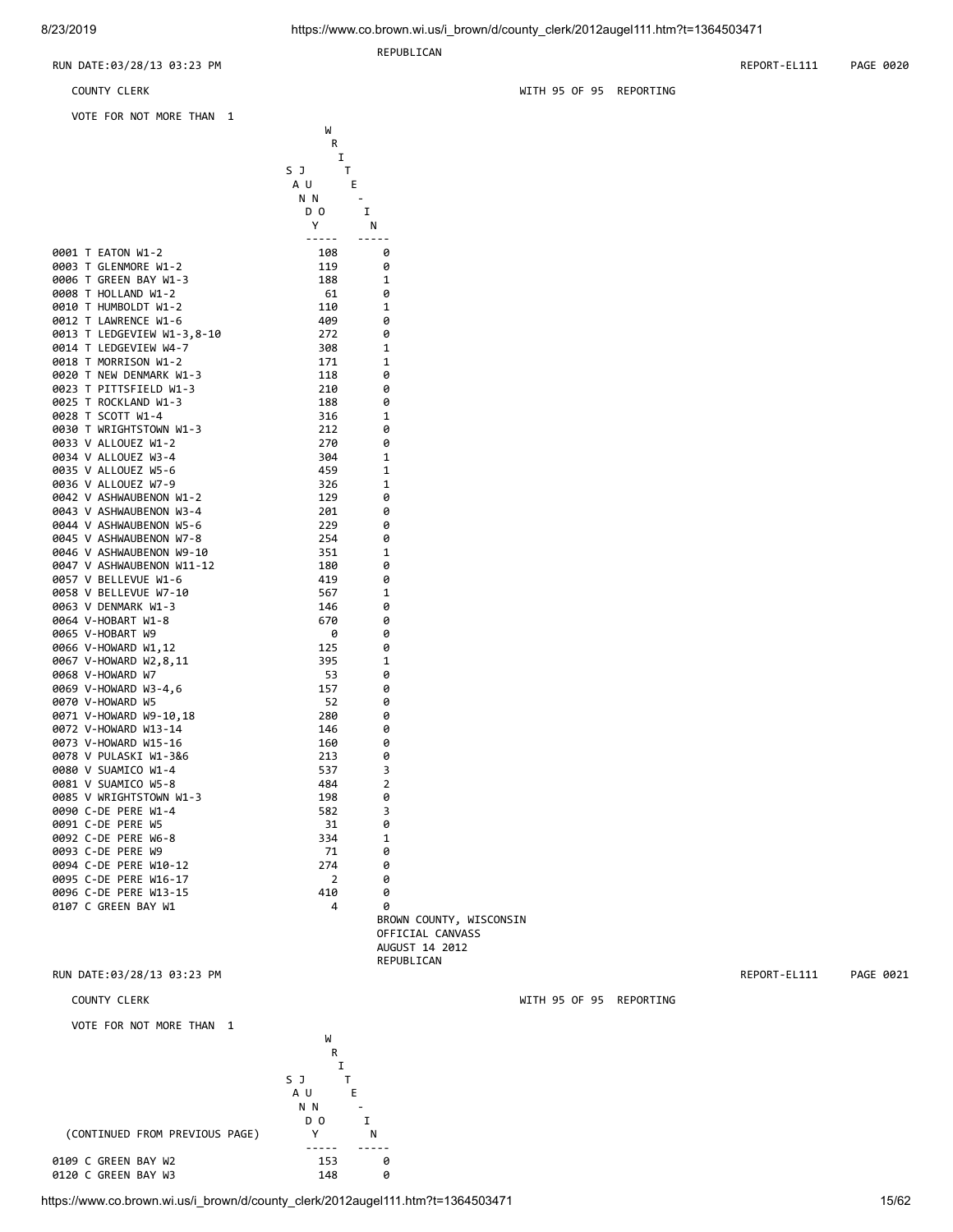REPUBLICAN

REPUBLICAN

COUNTY CLERK WITH 95 OF 95 REPORTING

RUN DATE:03/28/13 03:23 PM REPORT-EL111 PAGE 0021

| RUN DATE:03/28/13 03:23 PM | REPORT-EL111 | 0020<br>PAGE |
|----------------------------|--------------|--------------|
|                            |              |              |

| COUNTY CLERK |  |
|--------------|--|

VOTE FOR NOT MORE THAN 1

|                                                    | W          |                         |  |
|----------------------------------------------------|------------|-------------------------|--|
|                                                    | R          |                         |  |
|                                                    | Ι          |                         |  |
|                                                    | S J<br>т   |                         |  |
|                                                    | ΑU         | Е                       |  |
|                                                    | N N        |                         |  |
|                                                    | D O        | I                       |  |
|                                                    | Y          | N                       |  |
|                                                    | -----      | -----                   |  |
| 0001 T EATON W1-2                                  | 108        | 0                       |  |
| 0003 T GLENMORE W1-2                               | 119        | 0                       |  |
| 0006 T GREEN BAY W1-3                              | 188        | 1                       |  |
| 0008 T HOLLAND W1-2                                | 61         | 0                       |  |
| 0010 T HUMBOLDT W1-2                               | 110        | 1                       |  |
| 0012 T LAWRENCE W1-6                               | 409        | 0                       |  |
| 0013 T LEDGEVIEW W1-3,8-10                         | 272        | 0                       |  |
| 0014 T LEDGEVIEW W4-7                              | 308        | 1                       |  |
| 0018 T MORRISON W1-2                               | 171        | 1                       |  |
| 0020 T NEW DENMARK W1-3                            | 118        | 0                       |  |
| 0023 T PITTSFIELD W1-3                             | 210        | 0                       |  |
| 0025 T ROCKLAND W1-3                               | 188        | 0                       |  |
| 0028 T SCOTT W1-4                                  | 316        | 1                       |  |
| 0030 T WRIGHTSTOWN W1-3                            | 212        | 0                       |  |
| 0033 V ALLOUEZ W1-2                                | 270        | 0                       |  |
| 0034 V ALLOUEZ W3-4                                | 304        | 1                       |  |
| 0035 V ALLOUEZ W5-6                                | 459        | 1                       |  |
| 0036 V ALLOUEZ W7-9                                | 326        | 1                       |  |
| 0042 V ASHWAUBENON W1-2<br>0043 V ASHWAUBENON W3-4 | 129<br>201 | 0                       |  |
| 0044 V ASHWAUBENON W5-6                            |            | 0<br>0                  |  |
| 0045 V ASHWAUBENON W7-8                            | 229<br>254 | 0                       |  |
| 0046 V ASHWAUBENON W9-10                           | 351        | 1                       |  |
| 0047 V ASHWAUBENON W11-12                          | 180        | 0                       |  |
| 0057 V BELLEVUE W1-6                               | 419        | 0                       |  |
| 0058 V BELLEVUE W7-10                              | 567        | 1                       |  |
| 0063 V DENMARK W1-3                                | 146        | 0                       |  |
| 0064 V-HOBART W1-8                                 | 670        | 0                       |  |
| 0065 V-HOBART W9                                   | 0          | 0                       |  |
| 0066 V-HOWARD W1,12                                | 125        | 0                       |  |
| 0067 V-HOWARD W2,8,11                              | 395        | 1                       |  |
| 0068 V-HOWARD W7                                   | -53        | 0                       |  |
| 0069 V-HOWARD W3-4,6                               | 157        | 0                       |  |
| 0070 V-HOWARD W5                                   | -52        | 0                       |  |
| 0071 V-HOWARD W9-10,18                             | 280        | 0                       |  |
| 0072 V-HOWARD W13-14                               | 146        | 0                       |  |
| 0073 V-HOWARD W15-16                               | 160        | 0                       |  |
| 0078 V PULASKI W1-3&6                              | 213        | 0                       |  |
| 0080 V SUAMICO W1-4                                | 537        | 3                       |  |
| 0081 V SUAMICO W5-8                                | 484        | 2                       |  |
| 0085 V WRIGHTSTOWN W1-3                            | 198        | 0                       |  |
| 0090 C-DE PERE W1-4                                | 582        | 3                       |  |
| 0091 C-DE PERE W5                                  | 31         | 0                       |  |
| 0092 C-DE PERE W6-8                                | 334        | 1                       |  |
| 0093 C-DE PERE W9                                  | 71         | 0                       |  |
| 0094 C-DE PERE W10-12                              | 274        | 0                       |  |
| 0095 C-DE PERE W16-17<br>0096 C-DE PERE W13-15     | 2<br>410   | 0<br>0                  |  |
| 0107 C GREEN BAY W1                                | 4          | 0                       |  |
|                                                    |            | BROWN COUNTY, WISCONSIN |  |
|                                                    |            | OFFICIAL CANVASS        |  |
|                                                    |            | AUGUST 14 2012          |  |
|                                                    |            |                         |  |

WITH 95 OF 95 REPORTING

https://www.co.brown.wi.us/i\_brown/d/county\_clerk/2012augel111.htm?t=1364503471

VOTE FOR NOT MORE THAN 1

0120 C GREEN BAY W3

where the contract of the contract of the contract of the contract of the contract of the contract of the contract of the contract of the contract of the contract of the contract of the contract of the contract of the cont **R R**  I S J T A U E n N N - D O I (CONTINUED FROM PREVIOUS PAGE) Y N ----- ----- 0109 C GREEN BAY W2 153 0<br>0120 C GREEN BAY W3 148 0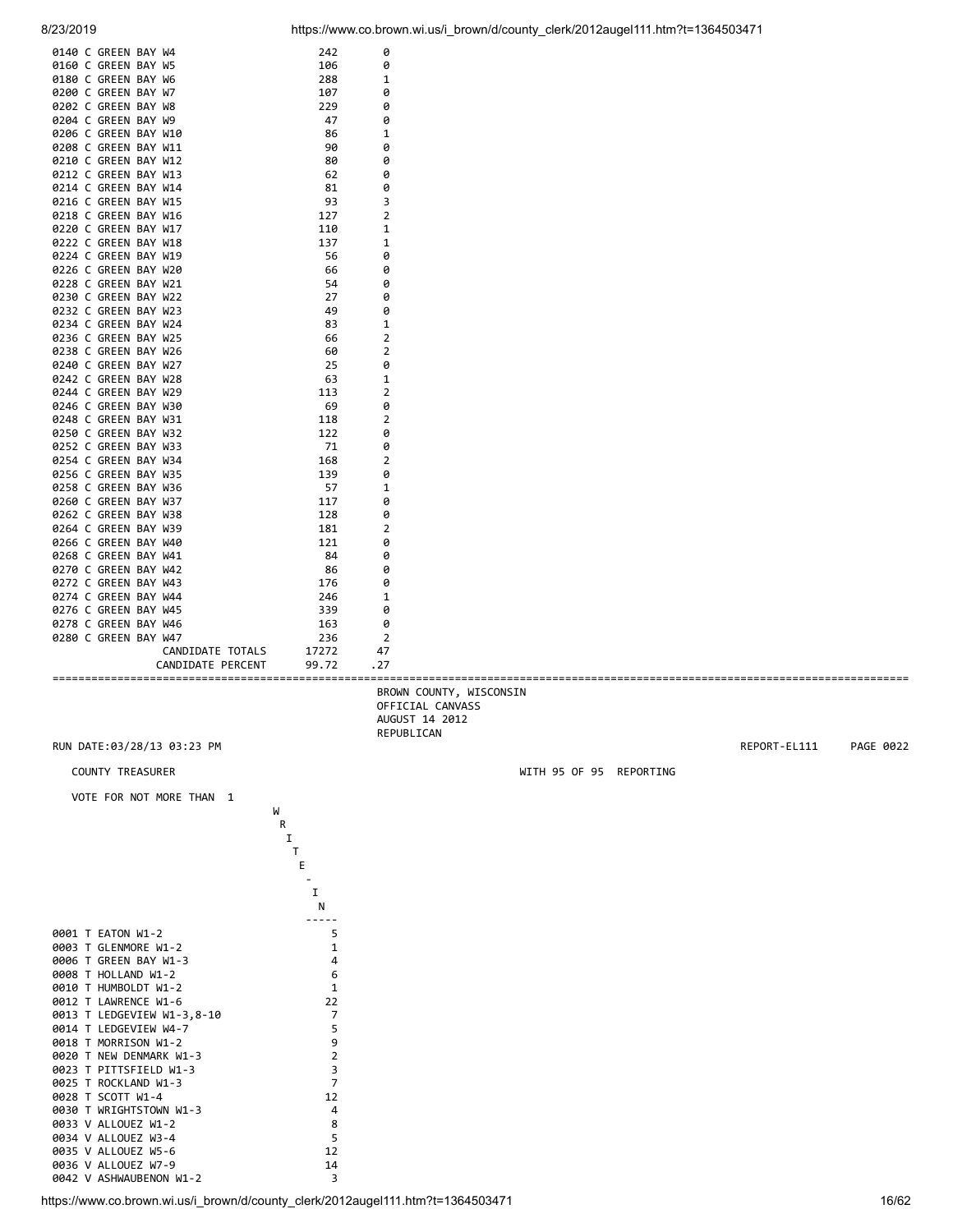

0140 C GREEN BAY W4 242 0 0160 C GREEN BAY W5 106 0 0180 C GREEN BAY W6 288 1 0200 C GREEN BAY W7 107 0<br>0202 C GREEN BAY W8 229 0 0202 C GREEN BAY W8 229 0 0204 C GREEN BAY W9 47 0 0206 C GREEN BAY W10 86 1

| 0210 C GREEN BAY W12<br>80<br>0<br>0212 C GREEN BAY W13<br>0<br>62<br>0<br>0214 C GREEN BAY W14<br>81<br>3<br>0216 C GREEN BAY W15<br>93<br>$\overline{2}$<br>0218 C GREEN BAY W16<br>127<br>1<br>0220 C GREEN BAY W17<br>110<br>1<br>0222 C GREEN BAY W18<br>137<br>0<br>0224 C GREEN BAY W19<br>56<br>0<br>0226 C GREEN BAY W20<br>66<br>0228 C GREEN BAY W21<br>0<br>54<br>0230 C GREEN BAY W22<br>27<br>0<br>0232 C GREEN BAY W23<br>49<br>0<br>0234 C GREEN BAY W24<br>1<br>83<br>$\overline{2}$<br>0236 C GREEN BAY W25<br>66<br>$\overline{2}$<br>0238 C GREEN BAY W26<br>60<br>0240 C GREEN BAY W27<br>25<br>0<br>0242 C GREEN BAY W28<br>63<br>1<br>$\overline{2}$<br>0244 C GREEN BAY W29<br>113<br>0<br>0246 C GREEN BAY W30<br>69<br>$\overline{2}$<br>0248 C GREEN BAY W31<br>118<br>0250 C GREEN BAY W32<br>122<br>0<br>0252 C GREEN BAY W33<br>71<br>0<br>0254 C GREEN BAY W34<br>2<br>168<br>0256 C GREEN BAY W35<br>139<br>0<br>0258 C GREEN BAY W36<br>1<br>57<br>0260 C GREEN BAY W37<br>0<br>117<br>0262 C GREEN BAY W38<br>128<br>0<br>0264 C GREEN BAY W39<br>181<br>2<br>0266 C GREEN BAY W40<br>0<br>121<br>0268 C GREEN BAY W41<br>84<br>0<br>0<br>0270 C GREEN BAY W42<br>86<br>0<br>0272 C GREEN BAY W43<br>176<br>0274 C GREEN BAY W44<br>1<br>246<br>0276 C GREEN BAY W45<br>339<br>0<br>0278 C GREEN BAY W46<br>0<br>163<br>$\overline{2}$<br>0280 C GREEN BAY W47<br>236<br>47<br>CANDIDATE TOTALS<br>17272<br>. 27<br>CANDIDATE PERCENT<br>99.72<br>BROWN COUNTY, WISCONSIN<br>OFFICIAL CANVASS<br>AUGUST 14 2012<br>REPUBLICAN<br>RUN DATE:03/28/13 03:23 PM<br>REPORT-EL111<br>WITH 95 OF 95 REPORTING<br><b>COUNTY TREASURER</b><br>VOTE FOR NOT MORE THAN 1<br>W<br>R<br>I<br>Τ<br>Е<br>I<br>N<br>5<br>0001 T EATON W1-2<br>$\mathbf 1$<br>0003 T GLENMORE W1-2<br>0006 T GREEN BAY W1-3<br>4<br>0008 T HOLLAND W1-2<br>6<br>0010 T HUMBOLDT W1-2<br>1<br>0012 T LAWRENCE W1-6<br>22<br>7<br>0013 T LEDGEVIEW W1-3,8-10<br>5<br>0014 T LEDGEVIEW W4-7<br>9<br>0018 T MORRISON W1-2<br>$\overline{2}$<br>0020 T NEW DENMARK W1-3<br>0023 T PITTSFIELD W1-3<br>3<br>0025 T ROCKLAND W1-3<br>7<br>12<br>0028 T SCOTT W1-4<br>0030 T WRIGHTSTOWN W1-3<br>4<br>0033 V ALLOUEZ W1-2<br>8<br>0034 V ALLOUEZ W3-4<br>5<br>0035 V ALLOUEZ W5-6<br>12<br>0036 V ALLOUEZ W7-9<br>14<br>3<br>0042 V ASHWAUBENON W1-2 | 0208 C GREEN BAY W11 | 90 | 0 |  |       |
|----------------------------------------------------------------------------------------------------------------------------------------------------------------------------------------------------------------------------------------------------------------------------------------------------------------------------------------------------------------------------------------------------------------------------------------------------------------------------------------------------------------------------------------------------------------------------------------------------------------------------------------------------------------------------------------------------------------------------------------------------------------------------------------------------------------------------------------------------------------------------------------------------------------------------------------------------------------------------------------------------------------------------------------------------------------------------------------------------------------------------------------------------------------------------------------------------------------------------------------------------------------------------------------------------------------------------------------------------------------------------------------------------------------------------------------------------------------------------------------------------------------------------------------------------------------------------------------------------------------------------------------------------------------------------------------------------------------------------------------------------------------------------------------------------------------------------------------------------------------------------------------------------------------------------------------------------------------------------------------------------------------------------------------------------------------------------------------------------------------------------------------------------------------------------------------------------------------------------------------------------------------------------------------------------------------------------------------------|----------------------|----|---|--|-------|
|                                                                                                                                                                                                                                                                                                                                                                                                                                                                                                                                                                                                                                                                                                                                                                                                                                                                                                                                                                                                                                                                                                                                                                                                                                                                                                                                                                                                                                                                                                                                                                                                                                                                                                                                                                                                                                                                                                                                                                                                                                                                                                                                                                                                                                                                                                                                              |                      |    |   |  |       |
|                                                                                                                                                                                                                                                                                                                                                                                                                                                                                                                                                                                                                                                                                                                                                                                                                                                                                                                                                                                                                                                                                                                                                                                                                                                                                                                                                                                                                                                                                                                                                                                                                                                                                                                                                                                                                                                                                                                                                                                                                                                                                                                                                                                                                                                                                                                                              |                      |    |   |  |       |
|                                                                                                                                                                                                                                                                                                                                                                                                                                                                                                                                                                                                                                                                                                                                                                                                                                                                                                                                                                                                                                                                                                                                                                                                                                                                                                                                                                                                                                                                                                                                                                                                                                                                                                                                                                                                                                                                                                                                                                                                                                                                                                                                                                                                                                                                                                                                              |                      |    |   |  |       |
|                                                                                                                                                                                                                                                                                                                                                                                                                                                                                                                                                                                                                                                                                                                                                                                                                                                                                                                                                                                                                                                                                                                                                                                                                                                                                                                                                                                                                                                                                                                                                                                                                                                                                                                                                                                                                                                                                                                                                                                                                                                                                                                                                                                                                                                                                                                                              |                      |    |   |  |       |
|                                                                                                                                                                                                                                                                                                                                                                                                                                                                                                                                                                                                                                                                                                                                                                                                                                                                                                                                                                                                                                                                                                                                                                                                                                                                                                                                                                                                                                                                                                                                                                                                                                                                                                                                                                                                                                                                                                                                                                                                                                                                                                                                                                                                                                                                                                                                              |                      |    |   |  |       |
|                                                                                                                                                                                                                                                                                                                                                                                                                                                                                                                                                                                                                                                                                                                                                                                                                                                                                                                                                                                                                                                                                                                                                                                                                                                                                                                                                                                                                                                                                                                                                                                                                                                                                                                                                                                                                                                                                                                                                                                                                                                                                                                                                                                                                                                                                                                                              |                      |    |   |  |       |
|                                                                                                                                                                                                                                                                                                                                                                                                                                                                                                                                                                                                                                                                                                                                                                                                                                                                                                                                                                                                                                                                                                                                                                                                                                                                                                                                                                                                                                                                                                                                                                                                                                                                                                                                                                                                                                                                                                                                                                                                                                                                                                                                                                                                                                                                                                                                              |                      |    |   |  |       |
|                                                                                                                                                                                                                                                                                                                                                                                                                                                                                                                                                                                                                                                                                                                                                                                                                                                                                                                                                                                                                                                                                                                                                                                                                                                                                                                                                                                                                                                                                                                                                                                                                                                                                                                                                                                                                                                                                                                                                                                                                                                                                                                                                                                                                                                                                                                                              |                      |    |   |  |       |
|                                                                                                                                                                                                                                                                                                                                                                                                                                                                                                                                                                                                                                                                                                                                                                                                                                                                                                                                                                                                                                                                                                                                                                                                                                                                                                                                                                                                                                                                                                                                                                                                                                                                                                                                                                                                                                                                                                                                                                                                                                                                                                                                                                                                                                                                                                                                              |                      |    |   |  |       |
|                                                                                                                                                                                                                                                                                                                                                                                                                                                                                                                                                                                                                                                                                                                                                                                                                                                                                                                                                                                                                                                                                                                                                                                                                                                                                                                                                                                                                                                                                                                                                                                                                                                                                                                                                                                                                                                                                                                                                                                                                                                                                                                                                                                                                                                                                                                                              |                      |    |   |  |       |
|                                                                                                                                                                                                                                                                                                                                                                                                                                                                                                                                                                                                                                                                                                                                                                                                                                                                                                                                                                                                                                                                                                                                                                                                                                                                                                                                                                                                                                                                                                                                                                                                                                                                                                                                                                                                                                                                                                                                                                                                                                                                                                                                                                                                                                                                                                                                              |                      |    |   |  |       |
|                                                                                                                                                                                                                                                                                                                                                                                                                                                                                                                                                                                                                                                                                                                                                                                                                                                                                                                                                                                                                                                                                                                                                                                                                                                                                                                                                                                                                                                                                                                                                                                                                                                                                                                                                                                                                                                                                                                                                                                                                                                                                                                                                                                                                                                                                                                                              |                      |    |   |  |       |
|                                                                                                                                                                                                                                                                                                                                                                                                                                                                                                                                                                                                                                                                                                                                                                                                                                                                                                                                                                                                                                                                                                                                                                                                                                                                                                                                                                                                                                                                                                                                                                                                                                                                                                                                                                                                                                                                                                                                                                                                                                                                                                                                                                                                                                                                                                                                              |                      |    |   |  |       |
|                                                                                                                                                                                                                                                                                                                                                                                                                                                                                                                                                                                                                                                                                                                                                                                                                                                                                                                                                                                                                                                                                                                                                                                                                                                                                                                                                                                                                                                                                                                                                                                                                                                                                                                                                                                                                                                                                                                                                                                                                                                                                                                                                                                                                                                                                                                                              |                      |    |   |  |       |
|                                                                                                                                                                                                                                                                                                                                                                                                                                                                                                                                                                                                                                                                                                                                                                                                                                                                                                                                                                                                                                                                                                                                                                                                                                                                                                                                                                                                                                                                                                                                                                                                                                                                                                                                                                                                                                                                                                                                                                                                                                                                                                                                                                                                                                                                                                                                              |                      |    |   |  |       |
|                                                                                                                                                                                                                                                                                                                                                                                                                                                                                                                                                                                                                                                                                                                                                                                                                                                                                                                                                                                                                                                                                                                                                                                                                                                                                                                                                                                                                                                                                                                                                                                                                                                                                                                                                                                                                                                                                                                                                                                                                                                                                                                                                                                                                                                                                                                                              |                      |    |   |  |       |
|                                                                                                                                                                                                                                                                                                                                                                                                                                                                                                                                                                                                                                                                                                                                                                                                                                                                                                                                                                                                                                                                                                                                                                                                                                                                                                                                                                                                                                                                                                                                                                                                                                                                                                                                                                                                                                                                                                                                                                                                                                                                                                                                                                                                                                                                                                                                              |                      |    |   |  |       |
|                                                                                                                                                                                                                                                                                                                                                                                                                                                                                                                                                                                                                                                                                                                                                                                                                                                                                                                                                                                                                                                                                                                                                                                                                                                                                                                                                                                                                                                                                                                                                                                                                                                                                                                                                                                                                                                                                                                                                                                                                                                                                                                                                                                                                                                                                                                                              |                      |    |   |  |       |
|                                                                                                                                                                                                                                                                                                                                                                                                                                                                                                                                                                                                                                                                                                                                                                                                                                                                                                                                                                                                                                                                                                                                                                                                                                                                                                                                                                                                                                                                                                                                                                                                                                                                                                                                                                                                                                                                                                                                                                                                                                                                                                                                                                                                                                                                                                                                              |                      |    |   |  |       |
|                                                                                                                                                                                                                                                                                                                                                                                                                                                                                                                                                                                                                                                                                                                                                                                                                                                                                                                                                                                                                                                                                                                                                                                                                                                                                                                                                                                                                                                                                                                                                                                                                                                                                                                                                                                                                                                                                                                                                                                                                                                                                                                                                                                                                                                                                                                                              |                      |    |   |  |       |
|                                                                                                                                                                                                                                                                                                                                                                                                                                                                                                                                                                                                                                                                                                                                                                                                                                                                                                                                                                                                                                                                                                                                                                                                                                                                                                                                                                                                                                                                                                                                                                                                                                                                                                                                                                                                                                                                                                                                                                                                                                                                                                                                                                                                                                                                                                                                              |                      |    |   |  |       |
|                                                                                                                                                                                                                                                                                                                                                                                                                                                                                                                                                                                                                                                                                                                                                                                                                                                                                                                                                                                                                                                                                                                                                                                                                                                                                                                                                                                                                                                                                                                                                                                                                                                                                                                                                                                                                                                                                                                                                                                                                                                                                                                                                                                                                                                                                                                                              |                      |    |   |  |       |
|                                                                                                                                                                                                                                                                                                                                                                                                                                                                                                                                                                                                                                                                                                                                                                                                                                                                                                                                                                                                                                                                                                                                                                                                                                                                                                                                                                                                                                                                                                                                                                                                                                                                                                                                                                                                                                                                                                                                                                                                                                                                                                                                                                                                                                                                                                                                              |                      |    |   |  |       |
|                                                                                                                                                                                                                                                                                                                                                                                                                                                                                                                                                                                                                                                                                                                                                                                                                                                                                                                                                                                                                                                                                                                                                                                                                                                                                                                                                                                                                                                                                                                                                                                                                                                                                                                                                                                                                                                                                                                                                                                                                                                                                                                                                                                                                                                                                                                                              |                      |    |   |  |       |
|                                                                                                                                                                                                                                                                                                                                                                                                                                                                                                                                                                                                                                                                                                                                                                                                                                                                                                                                                                                                                                                                                                                                                                                                                                                                                                                                                                                                                                                                                                                                                                                                                                                                                                                                                                                                                                                                                                                                                                                                                                                                                                                                                                                                                                                                                                                                              |                      |    |   |  |       |
|                                                                                                                                                                                                                                                                                                                                                                                                                                                                                                                                                                                                                                                                                                                                                                                                                                                                                                                                                                                                                                                                                                                                                                                                                                                                                                                                                                                                                                                                                                                                                                                                                                                                                                                                                                                                                                                                                                                                                                                                                                                                                                                                                                                                                                                                                                                                              |                      |    |   |  |       |
|                                                                                                                                                                                                                                                                                                                                                                                                                                                                                                                                                                                                                                                                                                                                                                                                                                                                                                                                                                                                                                                                                                                                                                                                                                                                                                                                                                                                                                                                                                                                                                                                                                                                                                                                                                                                                                                                                                                                                                                                                                                                                                                                                                                                                                                                                                                                              |                      |    |   |  |       |
|                                                                                                                                                                                                                                                                                                                                                                                                                                                                                                                                                                                                                                                                                                                                                                                                                                                                                                                                                                                                                                                                                                                                                                                                                                                                                                                                                                                                                                                                                                                                                                                                                                                                                                                                                                                                                                                                                                                                                                                                                                                                                                                                                                                                                                                                                                                                              |                      |    |   |  |       |
|                                                                                                                                                                                                                                                                                                                                                                                                                                                                                                                                                                                                                                                                                                                                                                                                                                                                                                                                                                                                                                                                                                                                                                                                                                                                                                                                                                                                                                                                                                                                                                                                                                                                                                                                                                                                                                                                                                                                                                                                                                                                                                                                                                                                                                                                                                                                              |                      |    |   |  |       |
|                                                                                                                                                                                                                                                                                                                                                                                                                                                                                                                                                                                                                                                                                                                                                                                                                                                                                                                                                                                                                                                                                                                                                                                                                                                                                                                                                                                                                                                                                                                                                                                                                                                                                                                                                                                                                                                                                                                                                                                                                                                                                                                                                                                                                                                                                                                                              |                      |    |   |  |       |
|                                                                                                                                                                                                                                                                                                                                                                                                                                                                                                                                                                                                                                                                                                                                                                                                                                                                                                                                                                                                                                                                                                                                                                                                                                                                                                                                                                                                                                                                                                                                                                                                                                                                                                                                                                                                                                                                                                                                                                                                                                                                                                                                                                                                                                                                                                                                              |                      |    |   |  |       |
|                                                                                                                                                                                                                                                                                                                                                                                                                                                                                                                                                                                                                                                                                                                                                                                                                                                                                                                                                                                                                                                                                                                                                                                                                                                                                                                                                                                                                                                                                                                                                                                                                                                                                                                                                                                                                                                                                                                                                                                                                                                                                                                                                                                                                                                                                                                                              |                      |    |   |  |       |
|                                                                                                                                                                                                                                                                                                                                                                                                                                                                                                                                                                                                                                                                                                                                                                                                                                                                                                                                                                                                                                                                                                                                                                                                                                                                                                                                                                                                                                                                                                                                                                                                                                                                                                                                                                                                                                                                                                                                                                                                                                                                                                                                                                                                                                                                                                                                              |                      |    |   |  |       |
|                                                                                                                                                                                                                                                                                                                                                                                                                                                                                                                                                                                                                                                                                                                                                                                                                                                                                                                                                                                                                                                                                                                                                                                                                                                                                                                                                                                                                                                                                                                                                                                                                                                                                                                                                                                                                                                                                                                                                                                                                                                                                                                                                                                                                                                                                                                                              |                      |    |   |  |       |
|                                                                                                                                                                                                                                                                                                                                                                                                                                                                                                                                                                                                                                                                                                                                                                                                                                                                                                                                                                                                                                                                                                                                                                                                                                                                                                                                                                                                                                                                                                                                                                                                                                                                                                                                                                                                                                                                                                                                                                                                                                                                                                                                                                                                                                                                                                                                              |                      |    |   |  |       |
| PAGE 0022                                                                                                                                                                                                                                                                                                                                                                                                                                                                                                                                                                                                                                                                                                                                                                                                                                                                                                                                                                                                                                                                                                                                                                                                                                                                                                                                                                                                                                                                                                                                                                                                                                                                                                                                                                                                                                                                                                                                                                                                                                                                                                                                                                                                                                                                                                                                    |                      |    |   |  |       |
|                                                                                                                                                                                                                                                                                                                                                                                                                                                                                                                                                                                                                                                                                                                                                                                                                                                                                                                                                                                                                                                                                                                                                                                                                                                                                                                                                                                                                                                                                                                                                                                                                                                                                                                                                                                                                                                                                                                                                                                                                                                                                                                                                                                                                                                                                                                                              |                      |    |   |  |       |
|                                                                                                                                                                                                                                                                                                                                                                                                                                                                                                                                                                                                                                                                                                                                                                                                                                                                                                                                                                                                                                                                                                                                                                                                                                                                                                                                                                                                                                                                                                                                                                                                                                                                                                                                                                                                                                                                                                                                                                                                                                                                                                                                                                                                                                                                                                                                              |                      |    |   |  |       |
|                                                                                                                                                                                                                                                                                                                                                                                                                                                                                                                                                                                                                                                                                                                                                                                                                                                                                                                                                                                                                                                                                                                                                                                                                                                                                                                                                                                                                                                                                                                                                                                                                                                                                                                                                                                                                                                                                                                                                                                                                                                                                                                                                                                                                                                                                                                                              |                      |    |   |  |       |
|                                                                                                                                                                                                                                                                                                                                                                                                                                                                                                                                                                                                                                                                                                                                                                                                                                                                                                                                                                                                                                                                                                                                                                                                                                                                                                                                                                                                                                                                                                                                                                                                                                                                                                                                                                                                                                                                                                                                                                                                                                                                                                                                                                                                                                                                                                                                              |                      |    |   |  |       |
|                                                                                                                                                                                                                                                                                                                                                                                                                                                                                                                                                                                                                                                                                                                                                                                                                                                                                                                                                                                                                                                                                                                                                                                                                                                                                                                                                                                                                                                                                                                                                                                                                                                                                                                                                                                                                                                                                                                                                                                                                                                                                                                                                                                                                                                                                                                                              |                      |    |   |  |       |
|                                                                                                                                                                                                                                                                                                                                                                                                                                                                                                                                                                                                                                                                                                                                                                                                                                                                                                                                                                                                                                                                                                                                                                                                                                                                                                                                                                                                                                                                                                                                                                                                                                                                                                                                                                                                                                                                                                                                                                                                                                                                                                                                                                                                                                                                                                                                              |                      |    |   |  |       |
|                                                                                                                                                                                                                                                                                                                                                                                                                                                                                                                                                                                                                                                                                                                                                                                                                                                                                                                                                                                                                                                                                                                                                                                                                                                                                                                                                                                                                                                                                                                                                                                                                                                                                                                                                                                                                                                                                                                                                                                                                                                                                                                                                                                                                                                                                                                                              |                      |    |   |  |       |
|                                                                                                                                                                                                                                                                                                                                                                                                                                                                                                                                                                                                                                                                                                                                                                                                                                                                                                                                                                                                                                                                                                                                                                                                                                                                                                                                                                                                                                                                                                                                                                                                                                                                                                                                                                                                                                                                                                                                                                                                                                                                                                                                                                                                                                                                                                                                              |                      |    |   |  |       |
|                                                                                                                                                                                                                                                                                                                                                                                                                                                                                                                                                                                                                                                                                                                                                                                                                                                                                                                                                                                                                                                                                                                                                                                                                                                                                                                                                                                                                                                                                                                                                                                                                                                                                                                                                                                                                                                                                                                                                                                                                                                                                                                                                                                                                                                                                                                                              |                      |    |   |  |       |
|                                                                                                                                                                                                                                                                                                                                                                                                                                                                                                                                                                                                                                                                                                                                                                                                                                                                                                                                                                                                                                                                                                                                                                                                                                                                                                                                                                                                                                                                                                                                                                                                                                                                                                                                                                                                                                                                                                                                                                                                                                                                                                                                                                                                                                                                                                                                              |                      |    |   |  |       |
|                                                                                                                                                                                                                                                                                                                                                                                                                                                                                                                                                                                                                                                                                                                                                                                                                                                                                                                                                                                                                                                                                                                                                                                                                                                                                                                                                                                                                                                                                                                                                                                                                                                                                                                                                                                                                                                                                                                                                                                                                                                                                                                                                                                                                                                                                                                                              |                      |    |   |  |       |
|                                                                                                                                                                                                                                                                                                                                                                                                                                                                                                                                                                                                                                                                                                                                                                                                                                                                                                                                                                                                                                                                                                                                                                                                                                                                                                                                                                                                                                                                                                                                                                                                                                                                                                                                                                                                                                                                                                                                                                                                                                                                                                                                                                                                                                                                                                                                              |                      |    |   |  |       |
|                                                                                                                                                                                                                                                                                                                                                                                                                                                                                                                                                                                                                                                                                                                                                                                                                                                                                                                                                                                                                                                                                                                                                                                                                                                                                                                                                                                                                                                                                                                                                                                                                                                                                                                                                                                                                                                                                                                                                                                                                                                                                                                                                                                                                                                                                                                                              |                      |    |   |  |       |
|                                                                                                                                                                                                                                                                                                                                                                                                                                                                                                                                                                                                                                                                                                                                                                                                                                                                                                                                                                                                                                                                                                                                                                                                                                                                                                                                                                                                                                                                                                                                                                                                                                                                                                                                                                                                                                                                                                                                                                                                                                                                                                                                                                                                                                                                                                                                              |                      |    |   |  |       |
|                                                                                                                                                                                                                                                                                                                                                                                                                                                                                                                                                                                                                                                                                                                                                                                                                                                                                                                                                                                                                                                                                                                                                                                                                                                                                                                                                                                                                                                                                                                                                                                                                                                                                                                                                                                                                                                                                                                                                                                                                                                                                                                                                                                                                                                                                                                                              |                      |    |   |  |       |
|                                                                                                                                                                                                                                                                                                                                                                                                                                                                                                                                                                                                                                                                                                                                                                                                                                                                                                                                                                                                                                                                                                                                                                                                                                                                                                                                                                                                                                                                                                                                                                                                                                                                                                                                                                                                                                                                                                                                                                                                                                                                                                                                                                                                                                                                                                                                              |                      |    |   |  |       |
|                                                                                                                                                                                                                                                                                                                                                                                                                                                                                                                                                                                                                                                                                                                                                                                                                                                                                                                                                                                                                                                                                                                                                                                                                                                                                                                                                                                                                                                                                                                                                                                                                                                                                                                                                                                                                                                                                                                                                                                                                                                                                                                                                                                                                                                                                                                                              |                      |    |   |  |       |
|                                                                                                                                                                                                                                                                                                                                                                                                                                                                                                                                                                                                                                                                                                                                                                                                                                                                                                                                                                                                                                                                                                                                                                                                                                                                                                                                                                                                                                                                                                                                                                                                                                                                                                                                                                                                                                                                                                                                                                                                                                                                                                                                                                                                                                                                                                                                              |                      |    |   |  |       |
|                                                                                                                                                                                                                                                                                                                                                                                                                                                                                                                                                                                                                                                                                                                                                                                                                                                                                                                                                                                                                                                                                                                                                                                                                                                                                                                                                                                                                                                                                                                                                                                                                                                                                                                                                                                                                                                                                                                                                                                                                                                                                                                                                                                                                                                                                                                                              |                      |    |   |  |       |
|                                                                                                                                                                                                                                                                                                                                                                                                                                                                                                                                                                                                                                                                                                                                                                                                                                                                                                                                                                                                                                                                                                                                                                                                                                                                                                                                                                                                                                                                                                                                                                                                                                                                                                                                                                                                                                                                                                                                                                                                                                                                                                                                                                                                                                                                                                                                              |                      |    |   |  |       |
|                                                                                                                                                                                                                                                                                                                                                                                                                                                                                                                                                                                                                                                                                                                                                                                                                                                                                                                                                                                                                                                                                                                                                                                                                                                                                                                                                                                                                                                                                                                                                                                                                                                                                                                                                                                                                                                                                                                                                                                                                                                                                                                                                                                                                                                                                                                                              |                      |    |   |  |       |
|                                                                                                                                                                                                                                                                                                                                                                                                                                                                                                                                                                                                                                                                                                                                                                                                                                                                                                                                                                                                                                                                                                                                                                                                                                                                                                                                                                                                                                                                                                                                                                                                                                                                                                                                                                                                                                                                                                                                                                                                                                                                                                                                                                                                                                                                                                                                              |                      |    |   |  |       |
|                                                                                                                                                                                                                                                                                                                                                                                                                                                                                                                                                                                                                                                                                                                                                                                                                                                                                                                                                                                                                                                                                                                                                                                                                                                                                                                                                                                                                                                                                                                                                                                                                                                                                                                                                                                                                                                                                                                                                                                                                                                                                                                                                                                                                                                                                                                                              |                      |    |   |  |       |
|                                                                                                                                                                                                                                                                                                                                                                                                                                                                                                                                                                                                                                                                                                                                                                                                                                                                                                                                                                                                                                                                                                                                                                                                                                                                                                                                                                                                                                                                                                                                                                                                                                                                                                                                                                                                                                                                                                                                                                                                                                                                                                                                                                                                                                                                                                                                              |                      |    |   |  |       |
|                                                                                                                                                                                                                                                                                                                                                                                                                                                                                                                                                                                                                                                                                                                                                                                                                                                                                                                                                                                                                                                                                                                                                                                                                                                                                                                                                                                                                                                                                                                                                                                                                                                                                                                                                                                                                                                                                                                                                                                                                                                                                                                                                                                                                                                                                                                                              |                      |    |   |  |       |
|                                                                                                                                                                                                                                                                                                                                                                                                                                                                                                                                                                                                                                                                                                                                                                                                                                                                                                                                                                                                                                                                                                                                                                                                                                                                                                                                                                                                                                                                                                                                                                                                                                                                                                                                                                                                                                                                                                                                                                                                                                                                                                                                                                                                                                                                                                                                              |                      |    |   |  |       |
|                                                                                                                                                                                                                                                                                                                                                                                                                                                                                                                                                                                                                                                                                                                                                                                                                                                                                                                                                                                                                                                                                                                                                                                                                                                                                                                                                                                                                                                                                                                                                                                                                                                                                                                                                                                                                                                                                                                                                                                                                                                                                                                                                                                                                                                                                                                                              |                      |    |   |  |       |
|                                                                                                                                                                                                                                                                                                                                                                                                                                                                                                                                                                                                                                                                                                                                                                                                                                                                                                                                                                                                                                                                                                                                                                                                                                                                                                                                                                                                                                                                                                                                                                                                                                                                                                                                                                                                                                                                                                                                                                                                                                                                                                                                                                                                                                                                                                                                              |                      |    |   |  |       |
|                                                                                                                                                                                                                                                                                                                                                                                                                                                                                                                                                                                                                                                                                                                                                                                                                                                                                                                                                                                                                                                                                                                                                                                                                                                                                                                                                                                                                                                                                                                                                                                                                                                                                                                                                                                                                                                                                                                                                                                                                                                                                                                                                                                                                                                                                                                                              |                      |    |   |  |       |
|                                                                                                                                                                                                                                                                                                                                                                                                                                                                                                                                                                                                                                                                                                                                                                                                                                                                                                                                                                                                                                                                                                                                                                                                                                                                                                                                                                                                                                                                                                                                                                                                                                                                                                                                                                                                                                                                                                                                                                                                                                                                                                                                                                                                                                                                                                                                              |                      |    |   |  |       |
| https://www.co.brown.wi.us/i_brown/d/county_clerk/2012augel111.htm?t=1364503471                                                                                                                                                                                                                                                                                                                                                                                                                                                                                                                                                                                                                                                                                                                                                                                                                                                                                                                                                                                                                                                                                                                                                                                                                                                                                                                                                                                                                                                                                                                                                                                                                                                                                                                                                                                                                                                                                                                                                                                                                                                                                                                                                                                                                                                              |                      |    |   |  | 16/62 |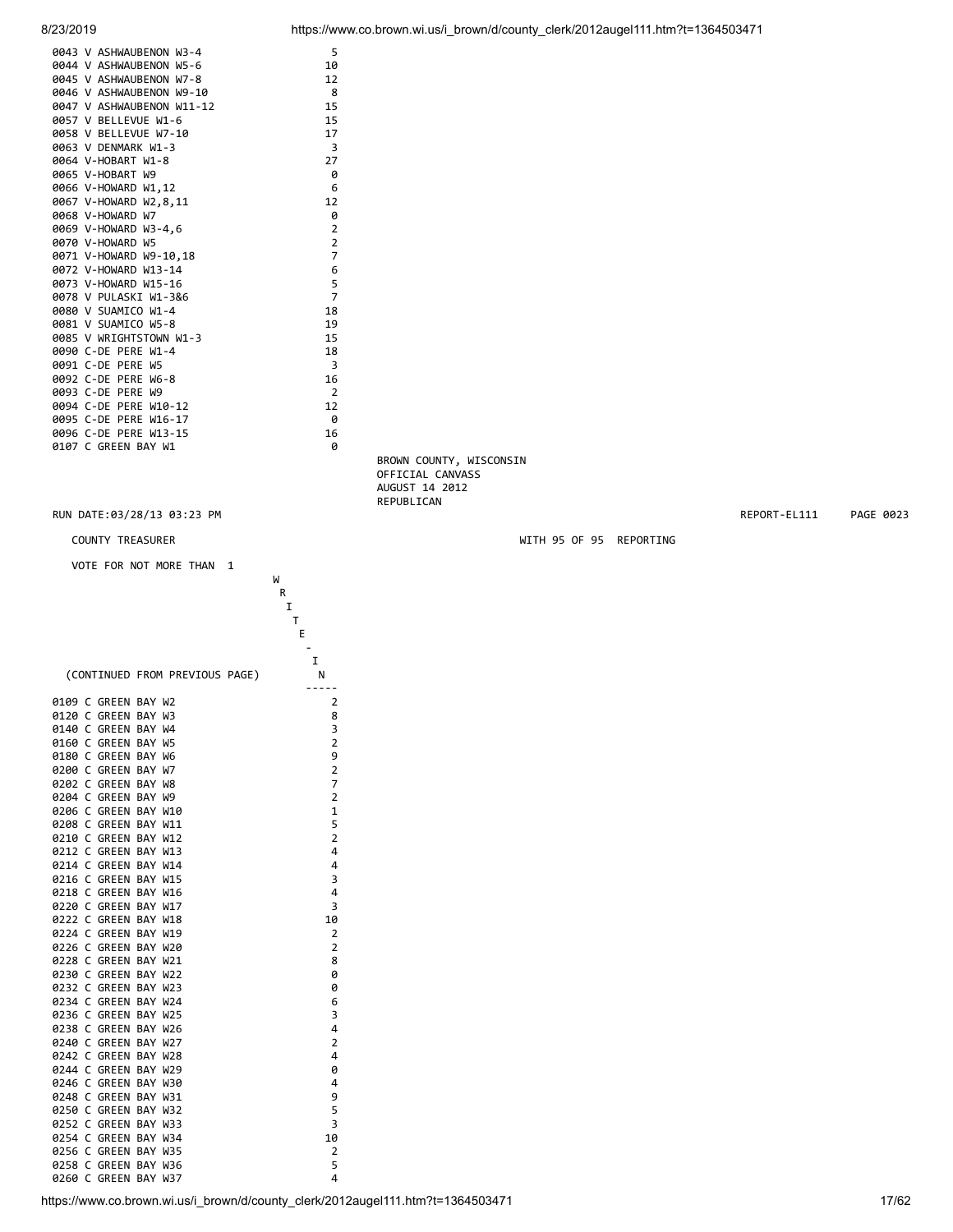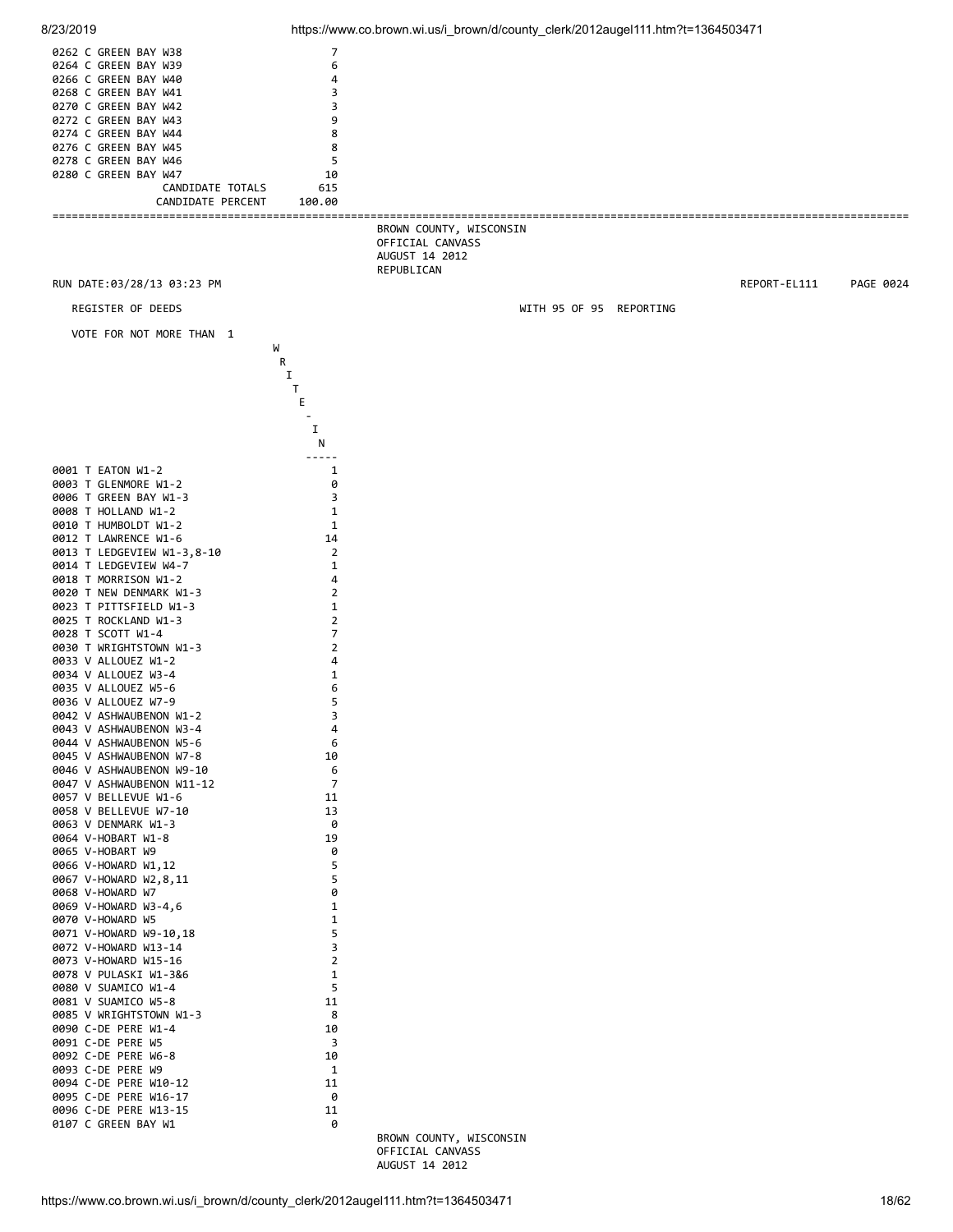

8/23/2019 https://www.co.brown.wi.us/i\_brown/d/county\_clerk/2012augel111.htm?t=1364503471

 OFFICIAL CANVASS AUGUST 14 2012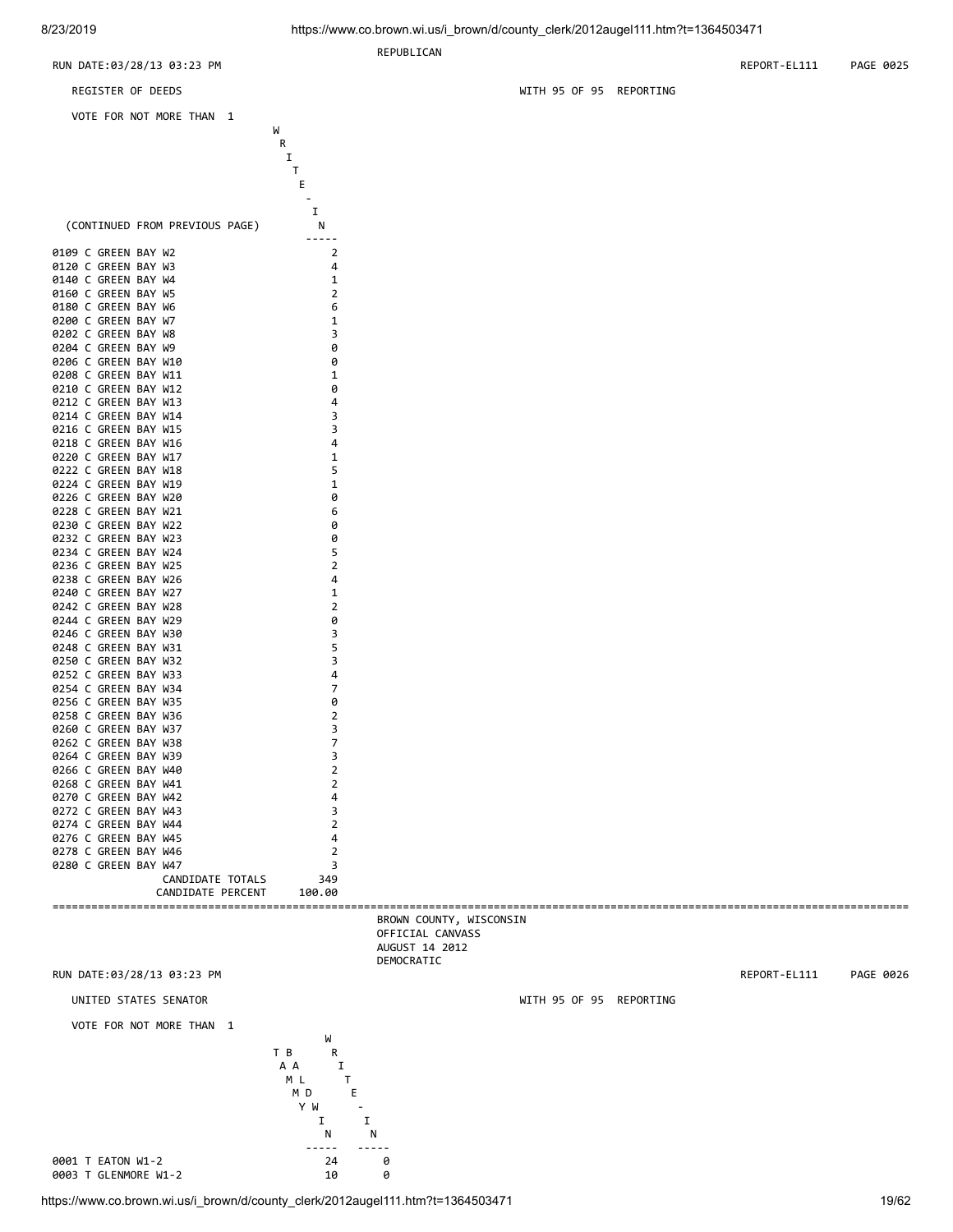**REPUBLICAN** 

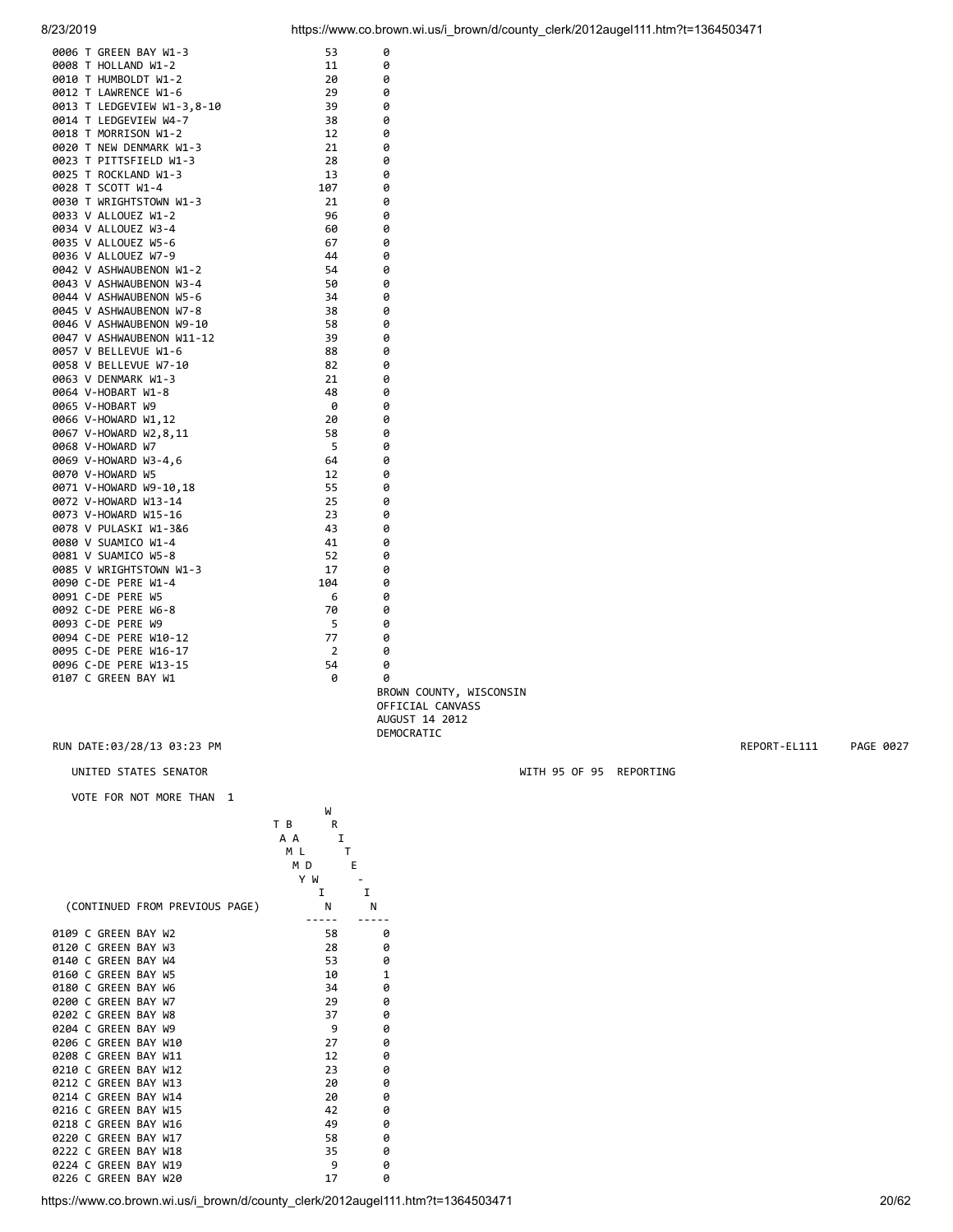0006 T GREEN BAY W1-3 53 0

| 8/23/2019 | https://www.co.brown.wi.us/i brown/d/county clerk/2012augel111.htm?t=1364503471 |
|-----------|---------------------------------------------------------------------------------|
|           |                                                                                 |

| 0008 T HOLLAND W1-2            | 11       | 0                        |                         |              |           |
|--------------------------------|----------|--------------------------|-------------------------|--------------|-----------|
| 0010 T HUMBOLDT W1-2           | 20       | 0                        |                         |              |           |
| 0012 T LAWRENCE W1-6           | 29       | 0                        |                         |              |           |
| 0013 T LEDGEVIEW W1-3,8-10     | 39       | 0                        |                         |              |           |
| 0014 T LEDGEVIEW W4-7          | 38       | 0                        |                         |              |           |
| 0018 T MORRISON W1-2           | 12       | 0                        |                         |              |           |
|                                |          |                          |                         |              |           |
| 0020 T NEW DENMARK W1-3        | 21       | 0                        |                         |              |           |
| 0023 T PITTSFIELD W1-3         | 28       | 0                        |                         |              |           |
| 0025 T ROCKLAND W1-3           | 13       | 0                        |                         |              |           |
| 0028 T SCOTT W1-4              | 107      | 0                        |                         |              |           |
| 0030 T WRIGHTSTOWN W1-3        | 21       | 0                        |                         |              |           |
| 0033 V ALLOUEZ W1-2            | 96       | 0                        |                         |              |           |
| 0034 V ALLOUEZ W3-4            | 60       | 0                        |                         |              |           |
| 0035 V ALLOUEZ W5-6            | 67       | 0                        |                         |              |           |
|                                |          |                          |                         |              |           |
| 0036 V ALLOUEZ W7-9            | 44       | 0                        |                         |              |           |
| 0042 V ASHWAUBENON W1-2        | 54       | 0                        |                         |              |           |
| 0043 V ASHWAUBENON W3-4        | 50       | 0                        |                         |              |           |
| 0044 V ASHWAUBENON W5-6        | 34       | 0                        |                         |              |           |
| 0045 V ASHWAUBENON W7-8        | 38       | 0                        |                         |              |           |
| 0046 V ASHWAUBENON W9-10       | 58       | 0                        |                         |              |           |
| 0047 V ASHWAUBENON W11-12      | 39       | 0                        |                         |              |           |
| 0057 V BELLEVUE W1-6           | 88       | 0                        |                         |              |           |
|                                |          |                          |                         |              |           |
| 0058 V BELLEVUE W7-10          | 82       | 0                        |                         |              |           |
| 0063 V DENMARK W1-3            | 21       | 0                        |                         |              |           |
| 0064 V-HOBART W1-8             | 48       | 0                        |                         |              |           |
| 0065 V-HOBART W9               | 0        | 0                        |                         |              |           |
| 0066 V-HOWARD W1,12            | 20       | 0                        |                         |              |           |
| 0067 V-HOWARD W2,8,11          | 58       | 0                        |                         |              |           |
| 0068 V-HOWARD W7               | 5        | 0                        |                         |              |           |
| 0069 V-HOWARD W3-4,6           | 64       | 0                        |                         |              |           |
|                                |          |                          |                         |              |           |
| 0070 V-HOWARD W5               | 12       | 0                        |                         |              |           |
| 0071 V-HOWARD W9-10,18         | 55       | 0                        |                         |              |           |
| 0072 V-HOWARD W13-14           | 25       | 0                        |                         |              |           |
| 0073 V-HOWARD W15-16           | 23       | 0                        |                         |              |           |
| 0078 V PULASKI W1-3&6          | 43       | 0                        |                         |              |           |
| 0080 V SUAMICO W1-4            | 41       | 0                        |                         |              |           |
| 0081 V SUAMICO W5-8            | 52       | 0                        |                         |              |           |
| 0085 V WRIGHTSTOWN W1-3        | 17       | 0                        |                         |              |           |
| 0090 C-DE PERE W1-4            | 104      | 0                        |                         |              |           |
|                                |          |                          |                         |              |           |
| 0091 C-DE PERE W5              | 6        | 0                        |                         |              |           |
| 0092 C-DE PERE W6-8            | 70       | 0                        |                         |              |           |
|                                |          |                          |                         |              |           |
| 0093 C-DE PERE W9              | 5        | 0                        |                         |              |           |
| 0094 C-DE PERE W10-12          | 77       | 0                        |                         |              |           |
|                                |          |                          |                         |              |           |
| 0095 C-DE PERE W16-17          | 2        | 0                        |                         |              |           |
| 0096 C-DE PERE W13-15          | 54       | 0                        |                         |              |           |
| 0107 C GREEN BAY W1            | 0        | 0                        |                         |              |           |
|                                |          |                          | BROWN COUNTY, WISCONSIN |              |           |
|                                |          |                          | OFFICIAL CANVASS        |              |           |
|                                |          |                          | AUGUST 14 2012          |              |           |
|                                |          | DEMOCRATIC               |                         |              |           |
| RUN DATE:03/28/13 03:23 PM     |          |                          |                         | REPORT-EL111 | PAGE 0027 |
|                                |          |                          |                         |              |           |
|                                |          |                          |                         |              |           |
| UNITED STATES SENATOR          |          |                          | WITH 95 OF 95 REPORTING |              |           |
|                                |          |                          |                         |              |           |
| VOTE FOR NOT MORE THAN 1       |          |                          |                         |              |           |
|                                | W        |                          |                         |              |           |
|                                | T B<br>R |                          |                         |              |           |
|                                | A A<br>1 |                          |                         |              |           |
|                                | M L<br>T |                          |                         |              |           |
|                                | M D      | Е                        |                         |              |           |
|                                | Y W      | $\overline{\phantom{a}}$ |                         |              |           |
|                                | I        | I                        |                         |              |           |
| (CONTINUED FROM PREVIOUS PAGE) | N        | N                        |                         |              |           |
|                                | -----    | -----                    |                         |              |           |
|                                |          |                          |                         |              |           |
| 0109 C GREEN BAY W2            | 58       | 0                        |                         |              |           |
| 0120 C GREEN BAY W3            | 28       | 0                        |                         |              |           |
| 0140 C GREEN BAY W4            | 53       | 0                        |                         |              |           |
| 0160 C GREEN BAY W5            | 10       | $\mathbf{1}$             |                         |              |           |
| 0180 C GREEN BAY W6            | 34       | 0                        |                         |              |           |
| 0200 C GREEN BAY W7            | 29       | 0                        |                         |              |           |
|                                | 37       |                          |                         |              |           |
| 0202 C GREEN BAY W8            |          | 0                        |                         |              |           |
| 0204 C GREEN BAY W9            | 9        | 0                        |                         |              |           |
| 0206 C GREEN BAY W10           | 27       | 0                        |                         |              |           |
| 0208 C GREEN BAY W11           | 12       | 0                        |                         |              |           |
| 0210 C GREEN BAY W12           | 23       | 0                        |                         |              |           |
| 0212 C GREEN BAY W13           | 20       | 0                        |                         |              |           |
|                                |          |                          |                         |              |           |
| 0214 C GREEN BAY W14           | 20       | 0                        |                         |              |           |
| 0216 C GREEN BAY W15           | 42       | 0                        |                         |              |           |
| 0218 C GREEN BAY W16           | 49       | 0                        |                         |              |           |
| 0220 C GREEN BAY W17           | 58       | 0                        |                         |              |           |
| 0222 C GREEN BAY W18           | 35       | 0                        |                         |              |           |
| 0224 C GREEN BAY W19           | 9        | 0                        |                         |              |           |
| 0226 C GREEN BAY W20           | 17       | 0                        |                         |              |           |

https://www.co.brown.wi.us/i\_brown/d/county\_clerk/2012augel111.htm?t=1364503471 20/62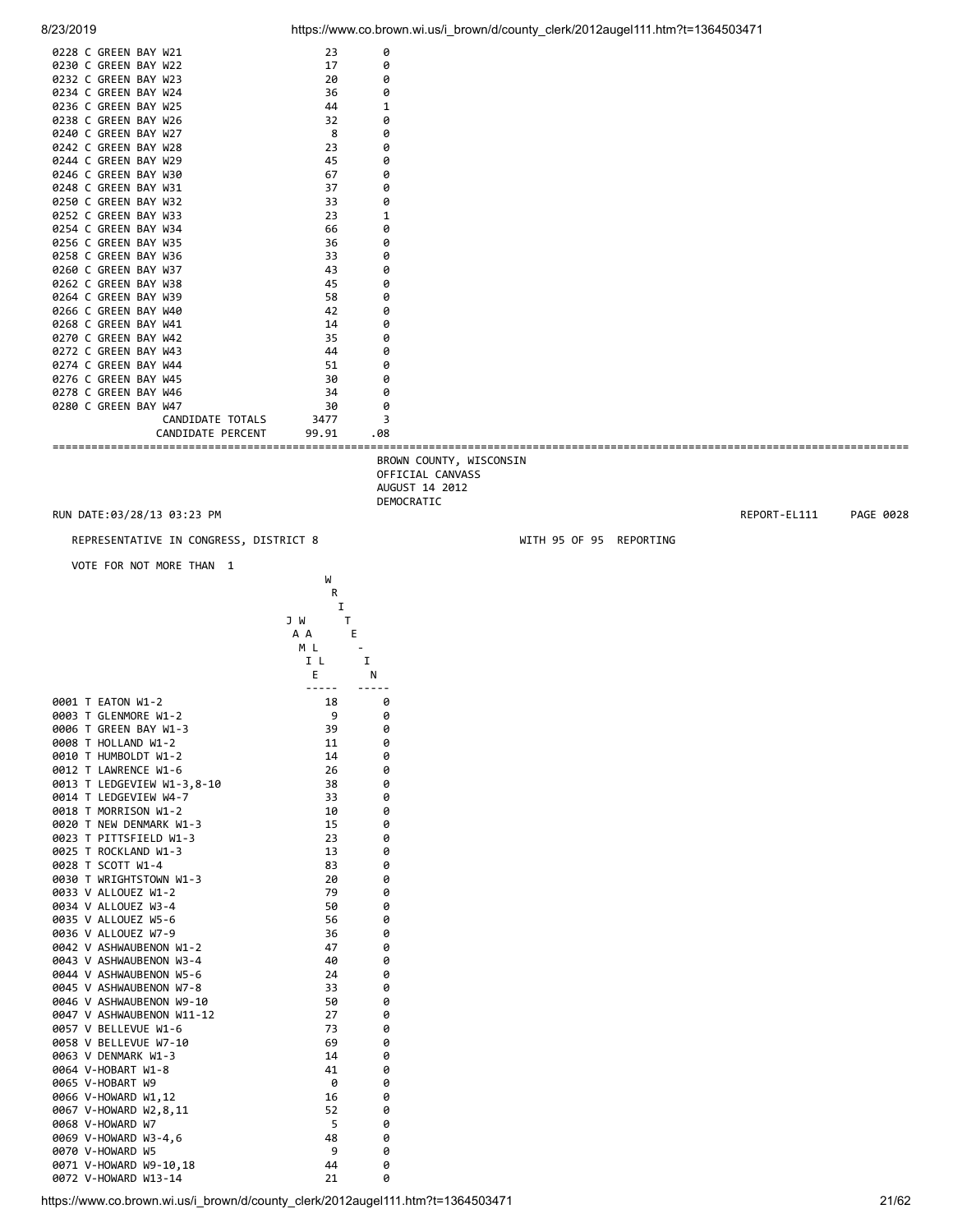|                      | 0228 C GREEN BAY W21 | 23    | ø   |  |
|----------------------|----------------------|-------|-----|--|
| 0230 C GREEN BAY W22 |                      | 17    | 0   |  |
| 0232 C GREEN BAY W23 |                      | 20    | 0   |  |
| 0234 C GREEN BAY W24 |                      | 36    | 0   |  |
| 0236 C GREEN BAY W25 |                      | 44    |     |  |
| 0238 C GREEN BAY W26 |                      | 32    | 0   |  |
| 0240 C GREEN BAY W27 |                      | 8     | 0   |  |
| 0242 C GREEN BAY W28 |                      | 23    | 0   |  |
| 0244 C GREEN BAY W29 |                      | 45    | 0   |  |
| 0246 C GREEN BAY W30 |                      | 67    | 0   |  |
| 0248 C GREEN BAY W31 |                      | 37    | 0   |  |
| 0250 C GREEN BAY W32 |                      | 33    | 0   |  |
| 0252 C GREEN BAY W33 |                      | 23    |     |  |
| 0254 C GREEN BAY W34 |                      | 66    | 0   |  |
| 0256 C GREEN BAY W35 |                      | 36    | 0   |  |
| 0258 C GREEN BAY W36 |                      | 33    | 0   |  |
| 0260 C GREEN BAY W37 |                      | 43    | 0   |  |
| 0262 C GREEN BAY W38 |                      | 45    | 0   |  |
| 0264 C GREEN BAY W39 |                      | 58    | 0   |  |
| 0266 C GREEN BAY W40 |                      | 42    | 0   |  |
| 0268 C GREEN BAY W41 |                      | 14    | 0   |  |
| 0270 C GREEN BAY W42 |                      | 35    | 0   |  |
| 0272 C GREEN BAY W43 |                      | 44    | 0   |  |
| 0274 C GREEN BAY W44 |                      | 51    | 0   |  |
| 0276 C GREEN BAY W45 |                      | 30    | 0   |  |
| 0278 C GREEN BAY W46 |                      | 34    | 0   |  |
| 0280 C GREEN BAY W47 |                      | 30    | 0   |  |
|                      | CANDIDATE TOTALS     | 3477  | 3   |  |
|                      | CANDIDATE PERCENT    | 99.91 | .08 |  |

 BROWN COUNTY, WISCONSIN OFFICIAL CANVASS AUGUST 14 2012 DEMOCRATIC

REPRESENTATIVE IN CONGRESS, DISTRICT 8 WITH 95 OF 95 REPORTING

where the contract of the contract of the contract of the contract of the contract of the contract of the contract of the contract of the contract of the contract of the contract of the contract of the contract of the cont

VOTE FOR NOT MORE THAN 1

|                                                               | R             |   |
|---------------------------------------------------------------|---------------|---|
|                                                               | I<br>T<br>J W |   |
|                                                               | E<br>A A      |   |
|                                                               | M L           |   |
|                                                               | I L           | I |
|                                                               | E             | N |
| 0001 T EATON W1-2                                             | -----<br>18   | 0 |
| 0003 T GLENMORE W1-2                                          | 9             | 0 |
| 0006 T GREEN BAY W1-3                                         | 39            | 0 |
| 0008 T HOLLAND W1-2                                           | 11            | 0 |
| 0010 T HUMBOLDT W1-2                                          | 14            | 0 |
| 0012 T LAWRENCE W1-6                                          | 26            | 0 |
| 0013 T LEDGEVIEW W1-3,8-10                                    | 38            | 0 |
| 0014 T LEDGEVIEW W4-7                                         | 33            | 0 |
| 0018 T MORRISON W1-2                                          | 10            | 0 |
| 0020 T NEW DENMARK W1-3                                       | 15            | 0 |
| 0023 T PITTSFIELD W1-3                                        | 23            | 0 |
| 0025 T ROCKLAND W1-3                                          | 13            | 0 |
| 0028 T SCOTT W1-4                                             | 83            | 0 |
| 0030 T WRIGHTSTOWN W1-3                                       | 20            | 0 |
| 0033 V ALLOUEZ W1-2                                           | 79            | 0 |
| 0034 V ALLOUEZ W3-4                                           | 50            | 0 |
| 0035 V ALLOUEZ W5-6                                           | 56            | 0 |
| 0036 V ALLOUEZ W7-9                                           | 36            | 0 |
| 0042 V ASHWAUBENON W1-2                                       | 47            | 0 |
| 0043 V ASHWAUBENON W3-4                                       | 40            | 0 |
| 0044 V ASHWAUBENON W5-6                                       | 24            | 0 |
| 0045 V ASHWAUBENON W7-8                                       | 33            | 0 |
| 0046 V ASHWAUBENON W9-10                                      | 50            | 0 |
| 0047 V ASHWAUBENON W11-12                                     | 27            | 0 |
| 0057 V BELLEVUE W1-6                                          | 73            | 0 |
| 0058 V BELLEVUE W7-10                                         | 69            | 0 |
| 0063 V DENMARK W1-3                                           | 14            | 0 |
| 0064 V-HOBART W1-8                                            | 41            | 0 |
| 0065 V-HOBART W9                                              | 0             | 0 |
| 0066 V-HOWARD W1,12                                           | 16            | 0 |
| 0067 V-HOWARD W2,8,11                                         | 52            | 0 |
| 0068 V-HOWARD W7                                              | 5             | 0 |
| 0069 V-HOWARD W3-4,6                                          | 48            | 0 |
| 0070 V-HOWARD W5                                              | 9             | 0 |
| 0071 V-HOWARD W9-10,18                                        | 44            | 0 |
| 0072 V-HOWARD W13-14                                          | 21            | 0 |
| ttns://www.co.brown.wi.us/i.brown/d/county_clerk/2012augel111 |               |   |

RUN DATE:03/28/13 03:23 PM REPORT-EL111 PAGE 0028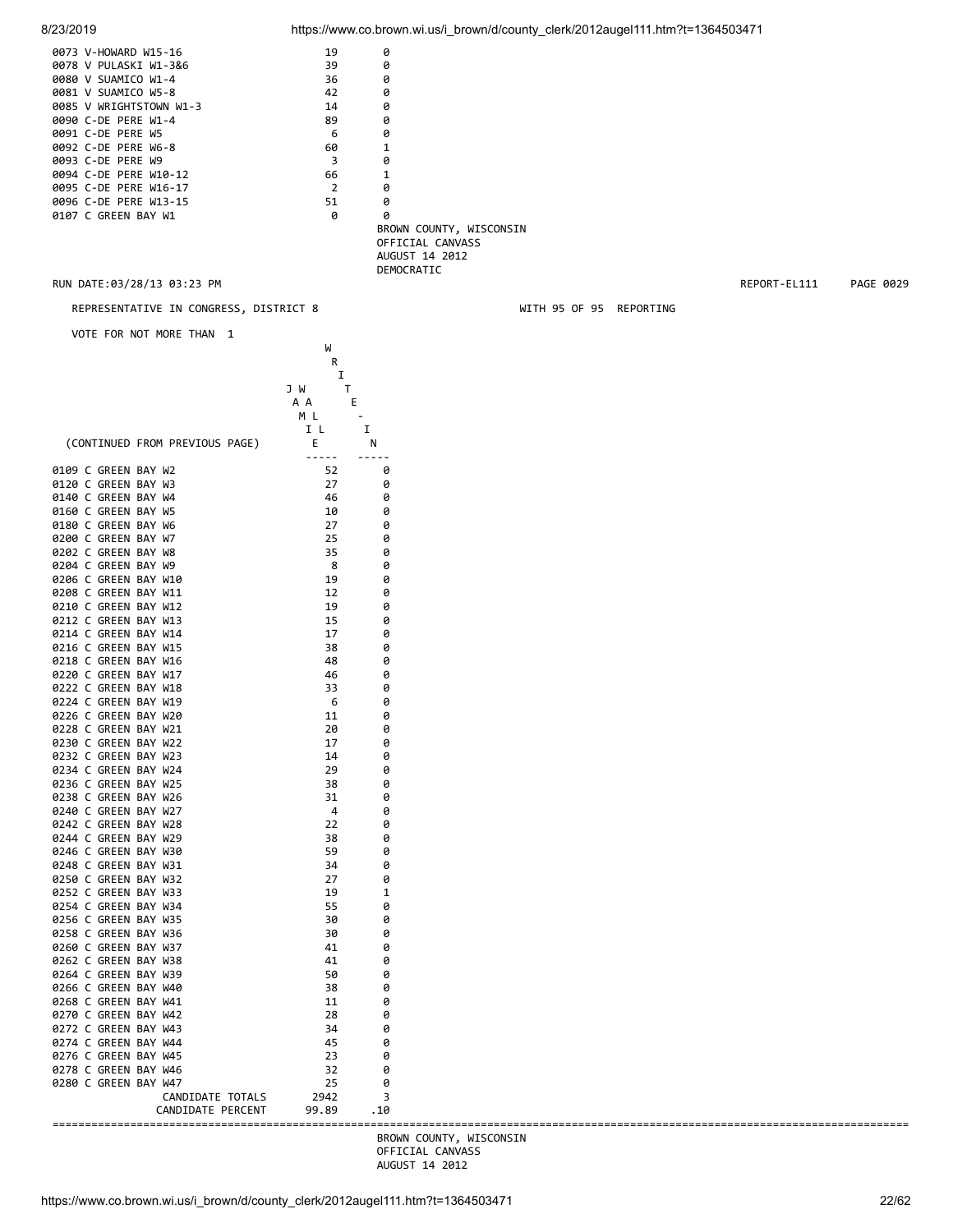| 8/23/2019                                    |                                 |            | https://www.co.brown.wi.us/i_brown/d/county_clerk/2012augel111.htm?t=1364503471 |              |           |
|----------------------------------------------|---------------------------------|------------|---------------------------------------------------------------------------------|--------------|-----------|
| 0073 V-HOWARD W15-16                         | 19                              | 0          |                                                                                 |              |           |
| 0078 V PULASKI W1-3&6                        | 39                              | 0          |                                                                                 |              |           |
| 0080 V SUAMICO W1-4<br>0081 V SUAMICO W5-8   | 36                              | 0          |                                                                                 |              |           |
| 0085 V WRIGHTSTOWN W1-3                      | 42<br>14                        | 0<br>0     |                                                                                 |              |           |
| 0090 C-DE PERE W1-4                          | 89                              | 0          |                                                                                 |              |           |
| 0091 C-DE PERE W5                            | 6                               | 0          |                                                                                 |              |           |
| 0092 C-DE PERE W6-8                          | 60                              | 1          |                                                                                 |              |           |
| 0093 C-DE PERE W9<br>0094 C-DE PERE W10-12   | 3<br>66                         | 0<br>1     |                                                                                 |              |           |
| 0095 C-DE PERE W16-17                        | 2                               | 0          |                                                                                 |              |           |
| 0096 C-DE PERE W13-15                        | 51                              | 0          |                                                                                 |              |           |
| 0107 C GREEN BAY W1                          | 0                               | 0          |                                                                                 |              |           |
|                                              |                                 |            | BROWN COUNTY, WISCONSIN<br>OFFICIAL CANVASS                                     |              |           |
|                                              |                                 |            | AUGUST 14 2012                                                                  |              |           |
|                                              |                                 |            | DEMOCRATIC                                                                      |              |           |
| RUN DATE:03/28/13 03:23 PM                   |                                 |            |                                                                                 | REPORT-EL111 | PAGE 0029 |
| REPRESENTATIVE IN CONGRESS, DISTRICT 8       |                                 |            | WITH 95 OF 95 REPORTING                                                         |              |           |
|                                              |                                 |            |                                                                                 |              |           |
| VOTE FOR NOT MORE THAN 1                     |                                 |            |                                                                                 |              |           |
|                                              | W                               |            |                                                                                 |              |           |
|                                              | R<br>I                          |            |                                                                                 |              |           |
|                                              | J W<br>Τ                        |            |                                                                                 |              |           |
|                                              | Е<br>A A                        |            |                                                                                 |              |           |
|                                              | M L<br>$\overline{\phantom{a}}$ |            |                                                                                 |              |           |
|                                              | I L                             | I          |                                                                                 |              |           |
| (CONTINUED FROM PREVIOUS PAGE)               | E.<br>-----                     | N<br>----- |                                                                                 |              |           |
| 0109 C GREEN BAY W2                          | 52                              | 0          |                                                                                 |              |           |
| 0120 C GREEN BAY W3                          | 27                              | 0          |                                                                                 |              |           |
| 0140 C GREEN BAY W4                          | 46                              | 0          |                                                                                 |              |           |
| 0160 C GREEN BAY W5<br>0180 C GREEN BAY W6   | 10<br>27                        | 0<br>0     |                                                                                 |              |           |
| 0200 C GREEN BAY W7                          | 25                              | 0          |                                                                                 |              |           |
| 0202 C GREEN BAY W8                          | 35                              | 0          |                                                                                 |              |           |
| 0204 C GREEN BAY W9                          | 8                               | 0          |                                                                                 |              |           |
| 0206 C GREEN BAY W10                         | 19                              | 0<br>0     |                                                                                 |              |           |
| 0208 C GREEN BAY W11<br>0210 C GREEN BAY W12 | 12<br>19                        | 0          |                                                                                 |              |           |
| 0212 C GREEN BAY W13                         | 15                              | 0          |                                                                                 |              |           |
| 0214 C GREEN BAY W14                         | 17                              | 0          |                                                                                 |              |           |
| 0216 C GREEN BAY W15                         | 38                              | 0          |                                                                                 |              |           |
| 0218 C GREEN BAY W16<br>0220 C GREEN BAY W17 | 48<br>46                        | 0<br>0     |                                                                                 |              |           |
| 0222 C GREEN BAY W18                         | 33                              | 0          |                                                                                 |              |           |
| 0224 C GREEN BAY W19                         | 6                               | 0          |                                                                                 |              |           |
| 0226 C GREEN BAY W20                         | 11                              | 0          |                                                                                 |              |           |
| 0228 C GREEN BAY W21<br>0230 C GREEN BAY W22 | 20<br>17                        | 0<br>0     |                                                                                 |              |           |
| 0232 C GREEN BAY W23                         | 14                              | 0          |                                                                                 |              |           |
| 0234 C GREEN BAY W24                         | 29                              | 0          |                                                                                 |              |           |
| 0236 C GREEN BAY W25                         | 38                              | 0          |                                                                                 |              |           |
| 0238 C GREEN BAY W26<br>0240 C GREEN BAY W27 | 31<br>4                         | 0<br>0     |                                                                                 |              |           |
| 0242 C GREEN BAY W28                         | 22                              | 0          |                                                                                 |              |           |
| 0244 C GREEN BAY W29                         | 38                              | 0          |                                                                                 |              |           |
| 0246 C GREEN BAY W30                         | 59                              | 0          |                                                                                 |              |           |
| 0248 C GREEN BAY W31<br>0250 C GREEN BAY W32 | 34<br>27                        | 0<br>0     |                                                                                 |              |           |
| 0252 C GREEN BAY W33                         | 19                              | 1          |                                                                                 |              |           |
| 0254 C GREEN BAY W34                         | 55                              | 0          |                                                                                 |              |           |
| 0256 C GREEN BAY W35                         | 30                              | 0          |                                                                                 |              |           |
| 0258 C GREEN BAY W36                         | 30                              | 0          |                                                                                 |              |           |
| 0260 C GREEN BAY W37<br>0262 C GREEN BAY W38 | 41<br>41                        | 0<br>0     |                                                                                 |              |           |
| 0264 C GREEN BAY W39                         | 50                              | 0          |                                                                                 |              |           |
| 0266 C GREEN BAY W40                         | 38                              | 0          |                                                                                 |              |           |
| 0268 C GREEN BAY W41                         | 11                              | 0          |                                                                                 |              |           |
| 0270 C GREEN BAY W42<br>0272 C GREEN BAY W43 | 28<br>34                        | 0<br>0     |                                                                                 |              |           |
| 0274 C GREEN BAY W44                         | 45                              | 0          |                                                                                 |              |           |
| 0276 C GREEN BAY W45                         | 23                              | 0          |                                                                                 |              |           |
| 0278 C GREEN BAY W46                         | 32                              | 0          |                                                                                 |              |           |
| 0280 C GREEN BAY W47<br>CANDIDATE TOTALS     | 25<br>2942                      | 0<br>3     |                                                                                 |              |           |
| CANDIDATE PERCENT                            | 99.89                           | .10        |                                                                                 |              |           |
|                                              |                                 |            |                                                                                 |              |           |
|                                              |                                 |            | BROWN COUNTY, WISCONSIN                                                         |              |           |

OFFICIAL CANVASS

AUGUST 14 2012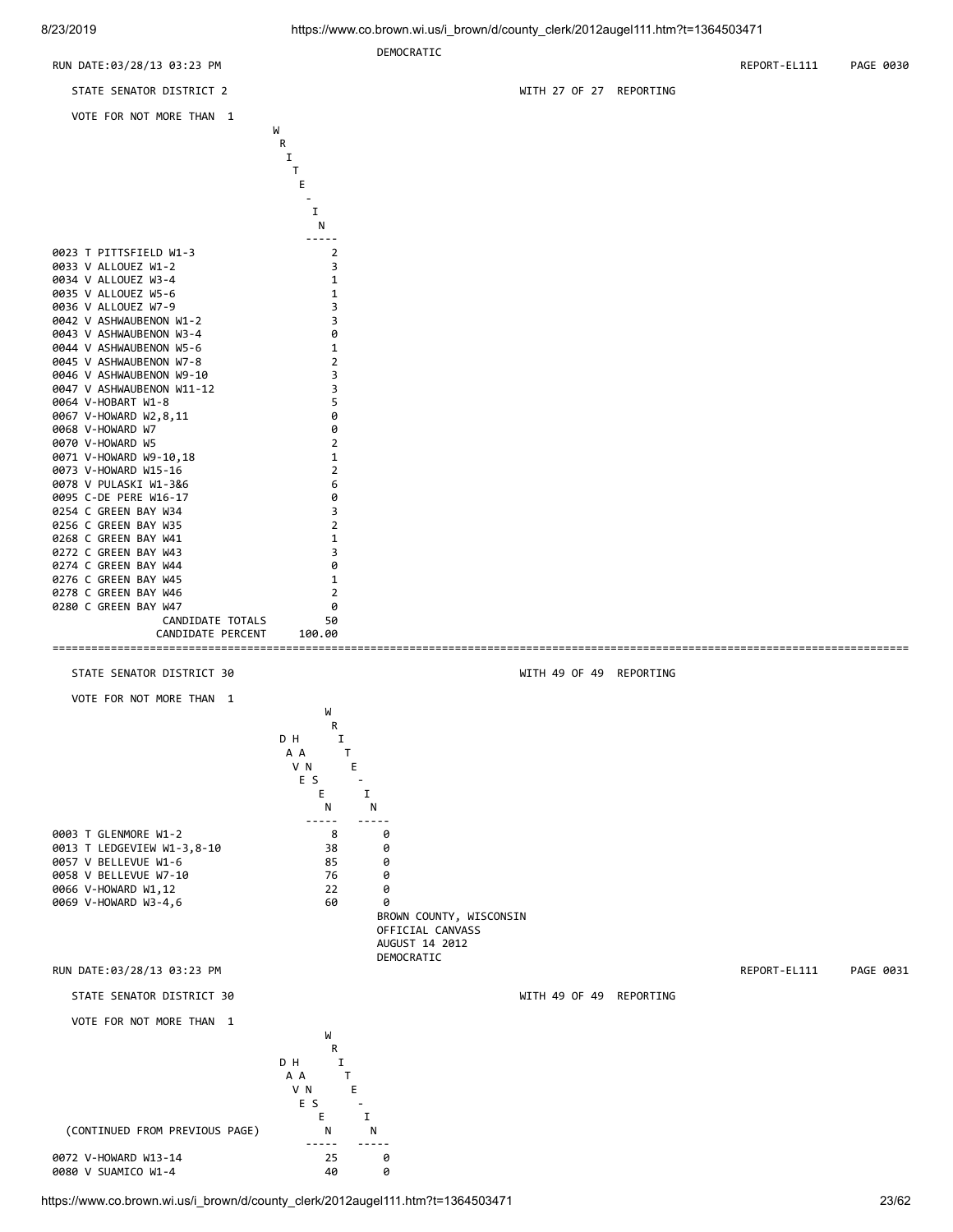

https://www.co.brown.wi.us/i\_brown/d/county\_clerk/2012augel111.htm?t=1364503471 23/62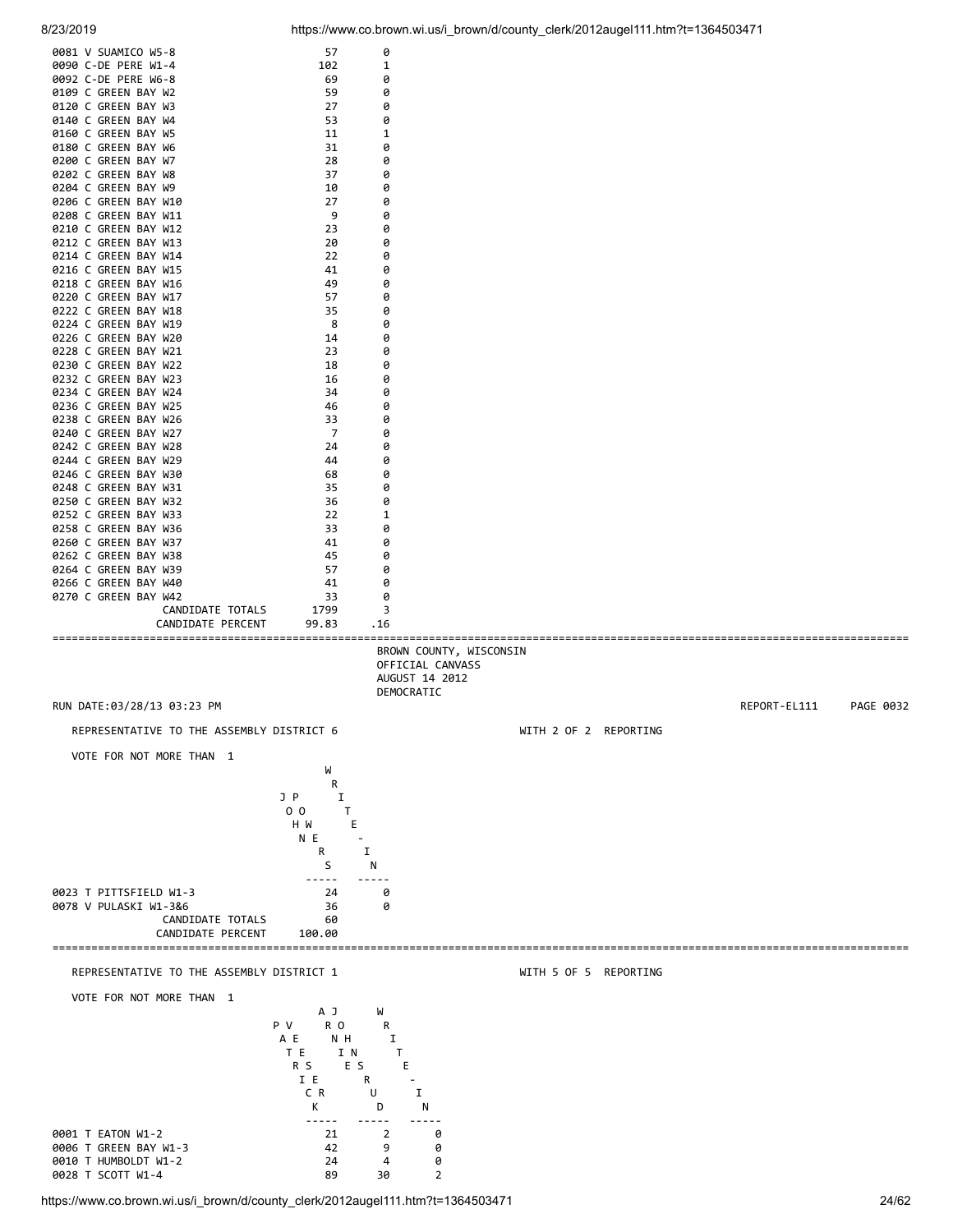0081 V SUAMICO W5-8 57 0 0090 C-DE PERE W1-4 102 102 0092 C-DE PERE W6-8 69 69 0

| 0109 C GREEN BAY W2                                                                                 | 59                                                                                 | 0                                          |                       |              |           |
|-----------------------------------------------------------------------------------------------------|------------------------------------------------------------------------------------|--------------------------------------------|-----------------------|--------------|-----------|
| 0120 C GREEN BAY W3                                                                                 | 27                                                                                 | 0                                          |                       |              |           |
| 0140 C GREEN BAY W4                                                                                 | 53                                                                                 | 0                                          |                       |              |           |
| 0160 C GREEN BAY W5<br>0180 C GREEN BAY W6                                                          | 11<br>31                                                                           | 1<br>0                                     |                       |              |           |
| 0200 C GREEN BAY W7                                                                                 | 28                                                                                 | 0                                          |                       |              |           |
| 0202 C GREEN BAY W8                                                                                 | 37                                                                                 | 0                                          |                       |              |           |
| 0204 C GREEN BAY W9                                                                                 | 10                                                                                 | 0                                          |                       |              |           |
| 0206 C GREEN BAY W10                                                                                | 27                                                                                 | 0                                          |                       |              |           |
| 0208 C GREEN BAY W11<br>0210 C GREEN BAY W12                                                        | 9<br>23                                                                            | 0<br>0                                     |                       |              |           |
| 0212 C GREEN BAY W13                                                                                | 20                                                                                 | 0                                          |                       |              |           |
| 0214 C GREEN BAY W14                                                                                | 22                                                                                 | 0                                          |                       |              |           |
| 0216 C GREEN BAY W15                                                                                | 41                                                                                 | 0                                          |                       |              |           |
| 0218 C GREEN BAY W16                                                                                | 49                                                                                 | 0                                          |                       |              |           |
| 0220 C GREEN BAY W17                                                                                | 57                                                                                 | 0                                          |                       |              |           |
| 0222 C GREEN BAY W18<br>0224 C GREEN BAY W19                                                        | 35<br>8                                                                            | 0<br>0                                     |                       |              |           |
| 0226 C GREEN BAY W20                                                                                | 14                                                                                 | 0                                          |                       |              |           |
| 0228 C GREEN BAY W21                                                                                | 23                                                                                 | 0                                          |                       |              |           |
| 0230 C GREEN BAY W22                                                                                | 18                                                                                 | 0                                          |                       |              |           |
| 0232 C GREEN BAY W23                                                                                | 16                                                                                 | 0                                          |                       |              |           |
| 0234 C GREEN BAY W24                                                                                | 34<br>46                                                                           | 0                                          |                       |              |           |
| 0236 C GREEN BAY W25<br>0238 C GREEN BAY W26                                                        | 33                                                                                 | 0<br>0                                     |                       |              |           |
| 0240 C GREEN BAY W27                                                                                | 7                                                                                  | 0                                          |                       |              |           |
| 0242 C GREEN BAY W28                                                                                | 24                                                                                 | 0                                          |                       |              |           |
| 0244 C GREEN BAY W29                                                                                | 44                                                                                 | 0                                          |                       |              |           |
| 0246 C GREEN BAY W30                                                                                | 68                                                                                 | 0                                          |                       |              |           |
| 0248 C GREEN BAY W31                                                                                | 35<br>36                                                                           | 0                                          |                       |              |           |
| 0250 C GREEN BAY W32<br>0252 C GREEN BAY W33                                                        | 22                                                                                 | 0<br>1                                     |                       |              |           |
| 0258 C GREEN BAY W36                                                                                | 33                                                                                 | 0                                          |                       |              |           |
| 0260 C GREEN BAY W37                                                                                | 41                                                                                 | 0                                          |                       |              |           |
| 0262 C GREEN BAY W38                                                                                | 45                                                                                 | 0                                          |                       |              |           |
| 0264 C GREEN BAY W39                                                                                | 57                                                                                 | 0                                          |                       |              |           |
| 0266 C GREEN BAY W40<br>0270 C GREEN BAY W42                                                        | 41<br>33                                                                           | 0<br>0                                     |                       |              |           |
| CANDIDATE TOTALS                                                                                    | 1799                                                                               | 3                                          |                       |              |           |
| CANDIDATE PERCENT                                                                                   | 99.83                                                                              | . 16                                       |                       |              |           |
| RUN DATE:03/28/13 03:23 PM<br>REPRESENTATIVE TO THE ASSEMBLY DISTRICT 6<br>VOTE FOR NOT MORE THAN 1 | W<br>R<br>J P<br>Ι.<br>0 <sub>0</sub><br>T.                                        | AUGUST 14 2012<br>DEMOCRATIC               | WITH 2 OF 2 REPORTING | REPORT-EL111 | PAGE 0032 |
| 0023 T PITTSFIELD W1-3<br>0078 V PULASKI W1-3&6<br>CANDIDATE TOTALS<br>CANDIDATE PERCENT            | E<br>H W<br>N E<br>R<br>S<br>24<br>36<br>60<br>100.00                              | I<br>N<br>0<br>0                           |                       |              |           |
| REPRESENTATIVE TO THE ASSEMBLY DISTRICT 1                                                           |                                                                                    |                                            | WITH 5 OF 5 REPORTING |              |           |
| VOTE FOR NOT MORE THAN 1                                                                            | A J                                                                                | W                                          |                       |              |           |
|                                                                                                     | P V<br>R <sub>0</sub><br>A E<br>N H<br>T E<br>I N<br>E S<br>R S<br>I E<br>C R<br>K | R<br>I<br>T.<br>E<br>R<br>I<br>U<br>D<br>N |                       |              |           |
| 0001 T EATON W1-2                                                                                   | -----<br>21                                                                        | 2<br>0                                     |                       |              |           |
| 0006 T GREEN BAY W1-3                                                                               |                                                                                    |                                            |                       |              |           |
|                                                                                                     | 42                                                                                 | 9<br>0                                     |                       |              |           |
| 0010 T HUMBOLDT W1-2                                                                                | 24                                                                                 | 0<br>4                                     |                       |              |           |
| 0028 T SCOTT W1-4                                                                                   | 89                                                                                 | $\overline{2}$<br>30                       |                       |              |           |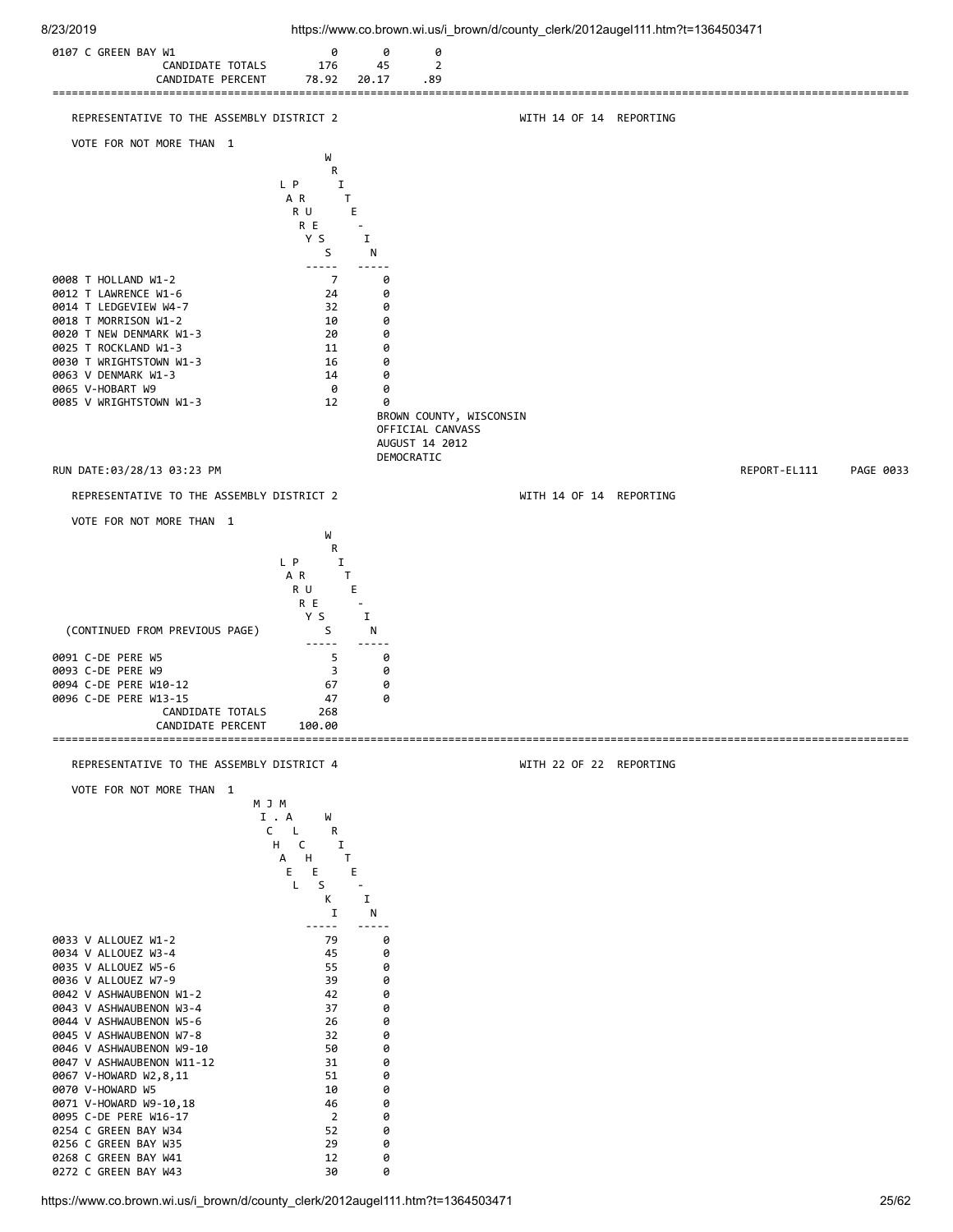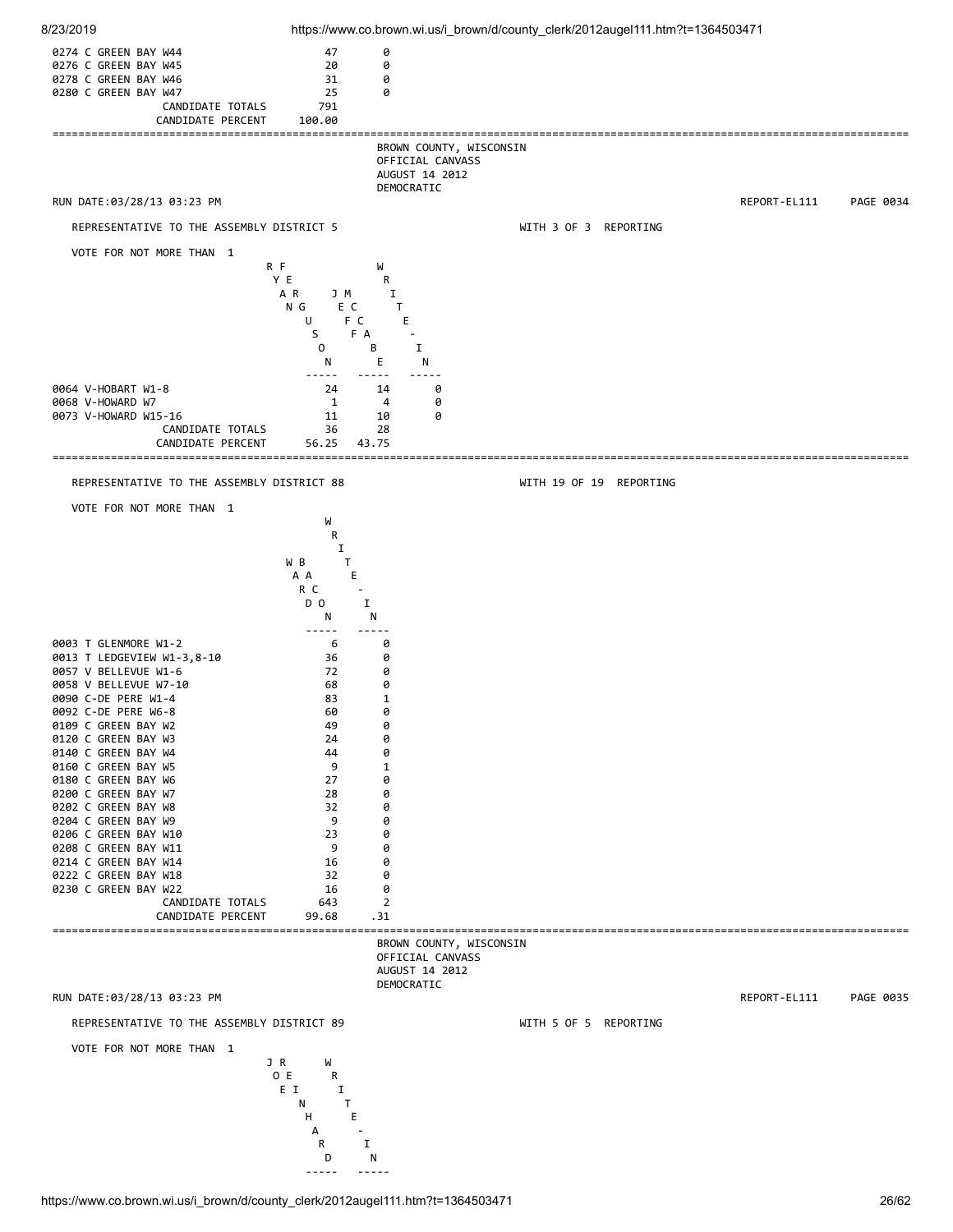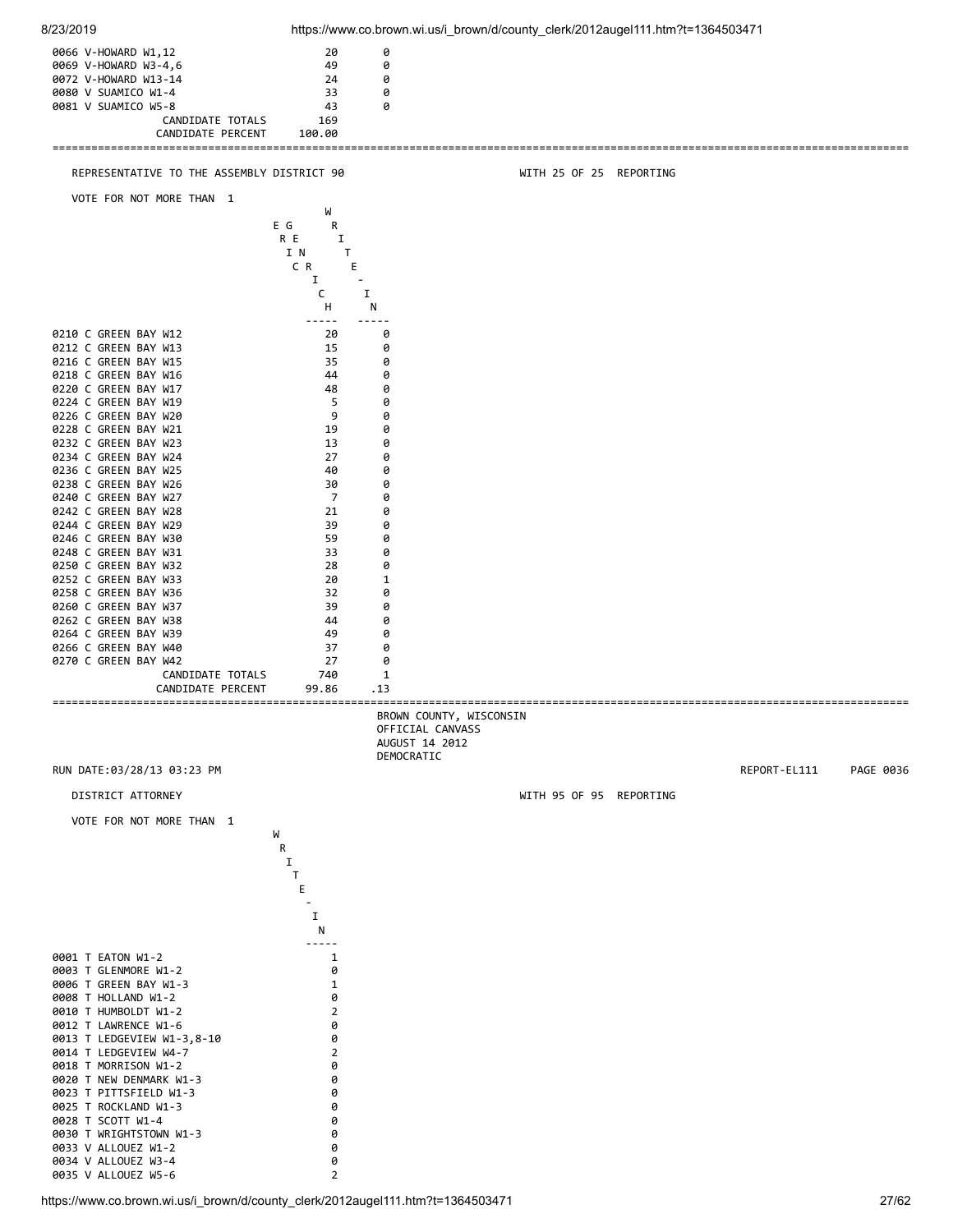![](_page_26_Figure_0.jpeg)

https://www.co.brown.wi.us/i\_brown/d/county\_clerk/2012augel111.htm?t=1364503471 27/62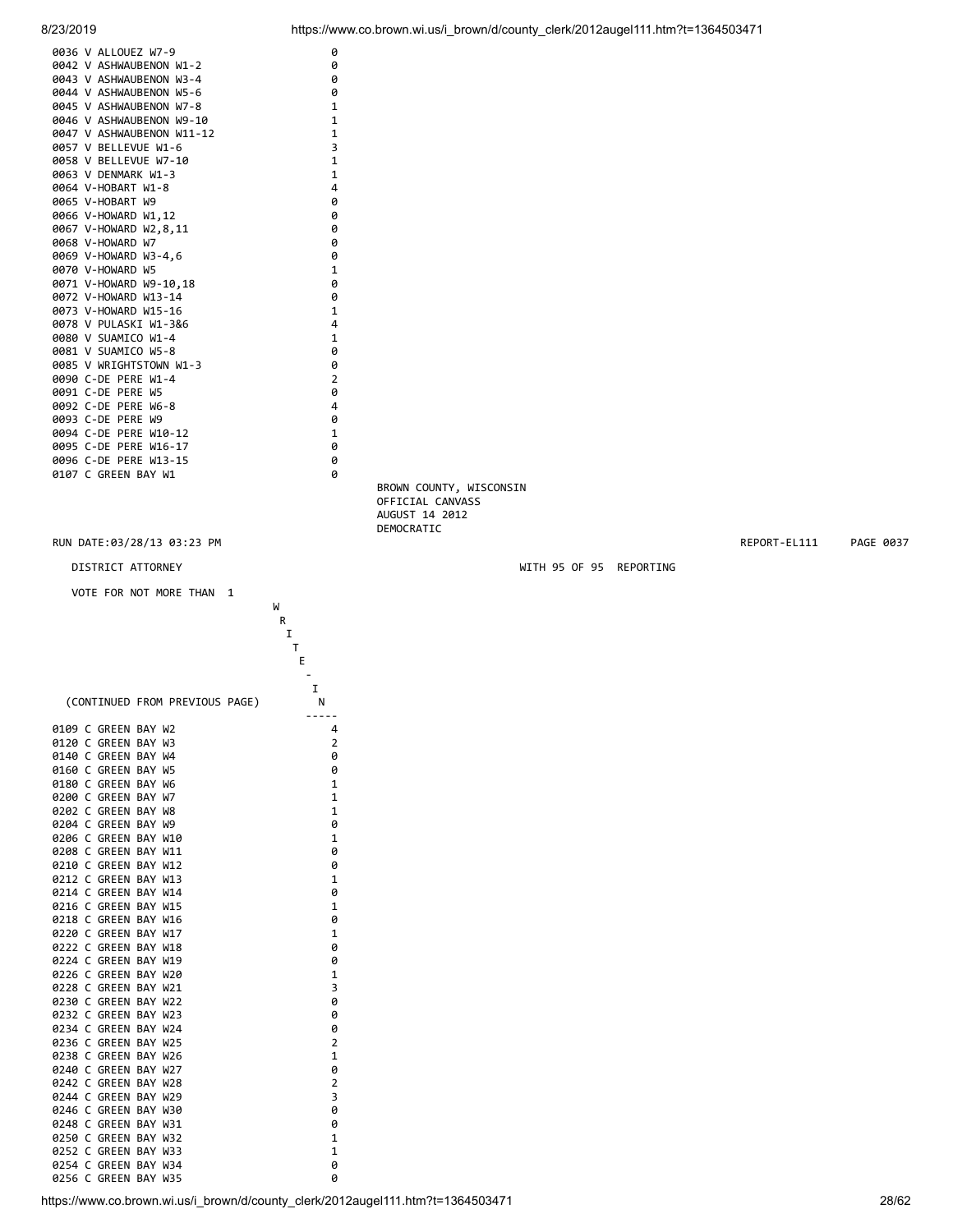![](_page_27_Figure_0.jpeg)

![](_page_27_Figure_1.jpeg)

0256 C GREEN BAY W35 0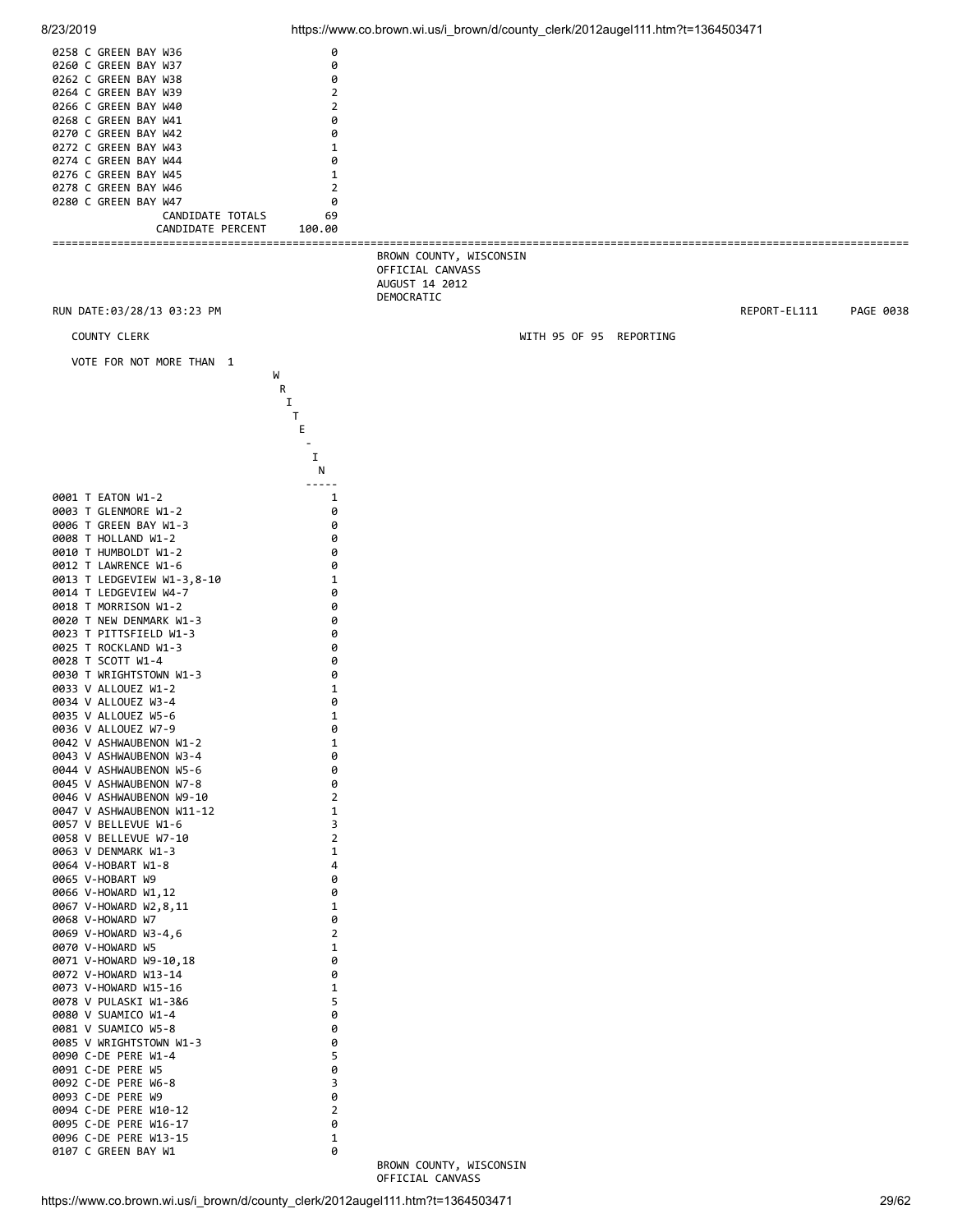![](_page_28_Figure_0.jpeg)

8/23/2019 https://www.co.brown.wi.us/i\_brown/d/county\_clerk/2012augel111.htm?t=1364503471

 BROWN COUNTY, WISCONSIN OFFICIAL CANVASS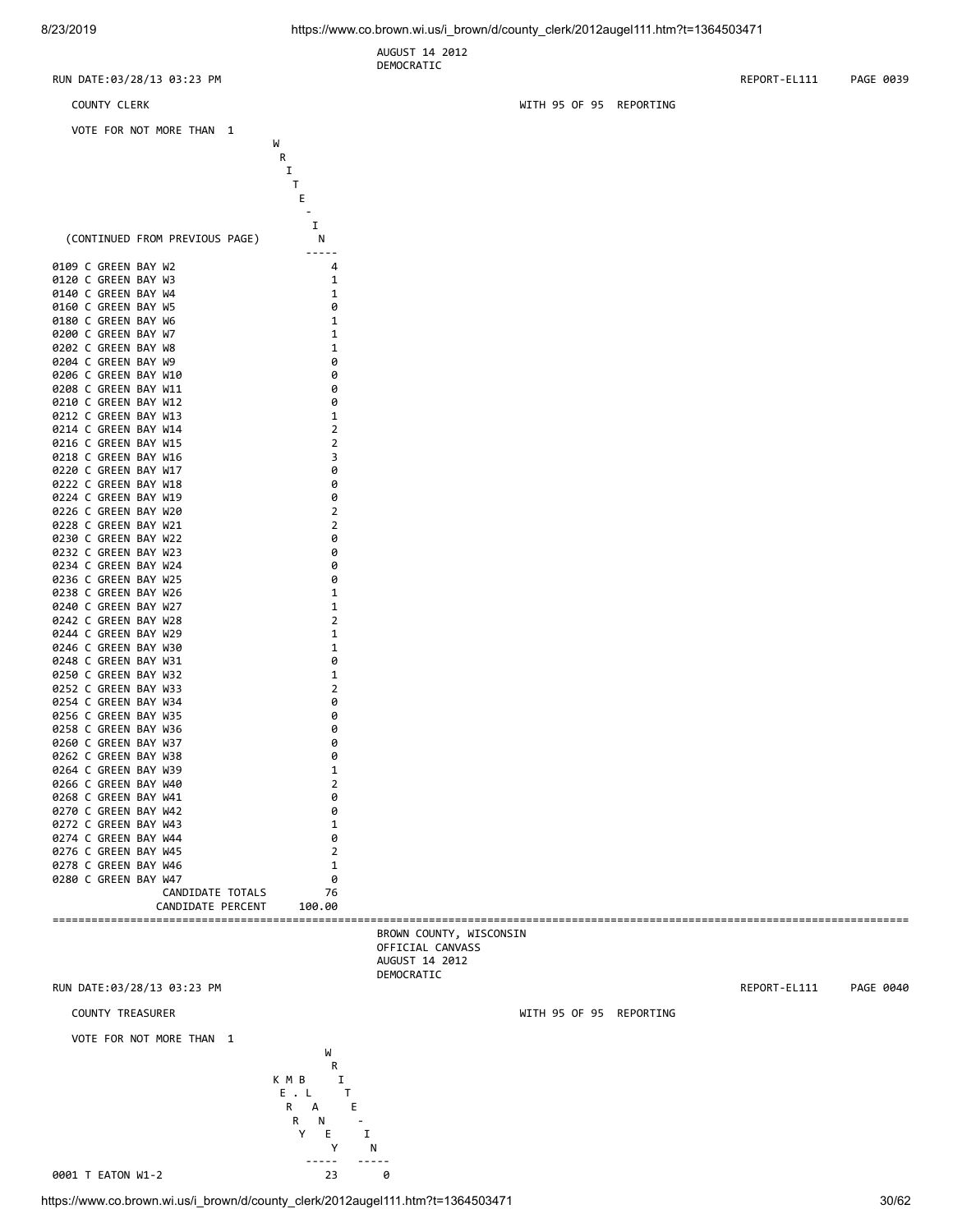AUGUST 14 2012

 DEMOCRATIC RUN DATE:03/28/13 03:23 PM REPORT-EL111 PAGE 0039 COUNTY CLERK WITH 95 OF 95 REPORTING VOTE FOR NOT MORE THAN 1 where the contract of the contract of the contract of the contract of the contract of the contract of the contract of the contract of the contract of the contract of the contract of the contract of the contract of the cont **R R**  I **T T Experimental control of the control of the Experimental Experimental Control** the contract of the contract of the contract of the contract of the contract of I (CONTINUED FROM PREVIOUS PAGE) N ----- 0109 C GREEN BAY W2 4<br>0120 C GREEN BAY W3 1 0120 C GREEN BAY W3 0140 C GREEN BAY W4 1 0160 C GREEN BAY W5 0 0180 C GREEN BAY W6 1 0200 C GREEN BAY W7 1 0202 C GREEN BAY W8 1<br>0204 C GREEN BAY W9 0 0 0204 C GREEN BAY W9<br>0206 C GREEN BAY W10 0206 C GREEN BAY W10 0208 C GREEN BAY W11<br>0210 C GREEN BAY W12 0 0 0210 C GREEN BAY W12 0212 C GREEN BAY W13 1 0214 C GREEN BAY W14<br>0216 C GREEN BAY W15 2 0216 C GREEN BAY W15 2 0218 C GREEN BAY W16 3 0220 C GREEN BAY W17 0 0222 C GREEN BAY W18<br>
0224 C GREEN BAY W19 0224 C GREEN BAY W19 0226 C GREEN BAY W20 2 0228 C GREEN BAY W21 2<br>0230 C GREEN BAY W22 0 0230 C GREEN BAY W22 0232 C GREEN BAY W23 0 0234 C GREEN BAY W24 0<br>0236 C GREEN BAY W25 0 0236 C GREEN BAY W25 0 0238 C GREEN BAY W26 1 0240 C GREEN BAY W27 1 0242 C GREEN BAY W28 2 0244 C GREEN BAY W29 1 8246 C GREEN BAY W38 1 0248 C GREEN BAY W31 0 0250 C GREEN BAY W32 1 0252 C GREEN BAY W33 2 0254 C GREEN BAY W34 0<br>0256 C GREEN BAY W35 0 0256 C GREEN BAY W35 0 0258 C GREEN BAY W36<br>0260 C GREEN BAY W37 0 0 0260 C GREEN BAY W37 0<br>0262 C GREEN BAY W38 0 0 0262 C GREEN BAY W38 0264 C GREEN BAY W39 1 0266 C GREEN BAY W40<br>0268 C GREEN BAY W41 0 0 0268 C GREEN BAY W41 0270 C GREEN BAY W42 0 0272 C GREEN BAY W43 1<br>0274 C GREEN BAY W44 0 0 0274 C GREEN BAY W44 0276 C GREEN BAY W45 2 0278 C GREEN BAY W46 1<br>0280 C GREEN BAY W47 0 0 0280 C GREEN BAY W47 CANDIDATE TOTALS 76 CANDIDATE PERCENT 100.00 ==================================================================================================================================== BROWN COUNTY, WISCONSIN OFFICIAL CANVASS AUGUST 14 2012 RUN DATE:03/28/13 03:23 PM REPORT-EL111 PAGE 0040 COUNTY TREASURER WITH 95 OF 95 REPORTING VOTE FOR NOT MORE THAN 1 where the contract of the contract of the contract of the contract of the contract of the contract of the contract of the contract of the contract of the contract of the contract of the contract of the contract of the cont **R R** K M B I

0001 T EATON W1-2 23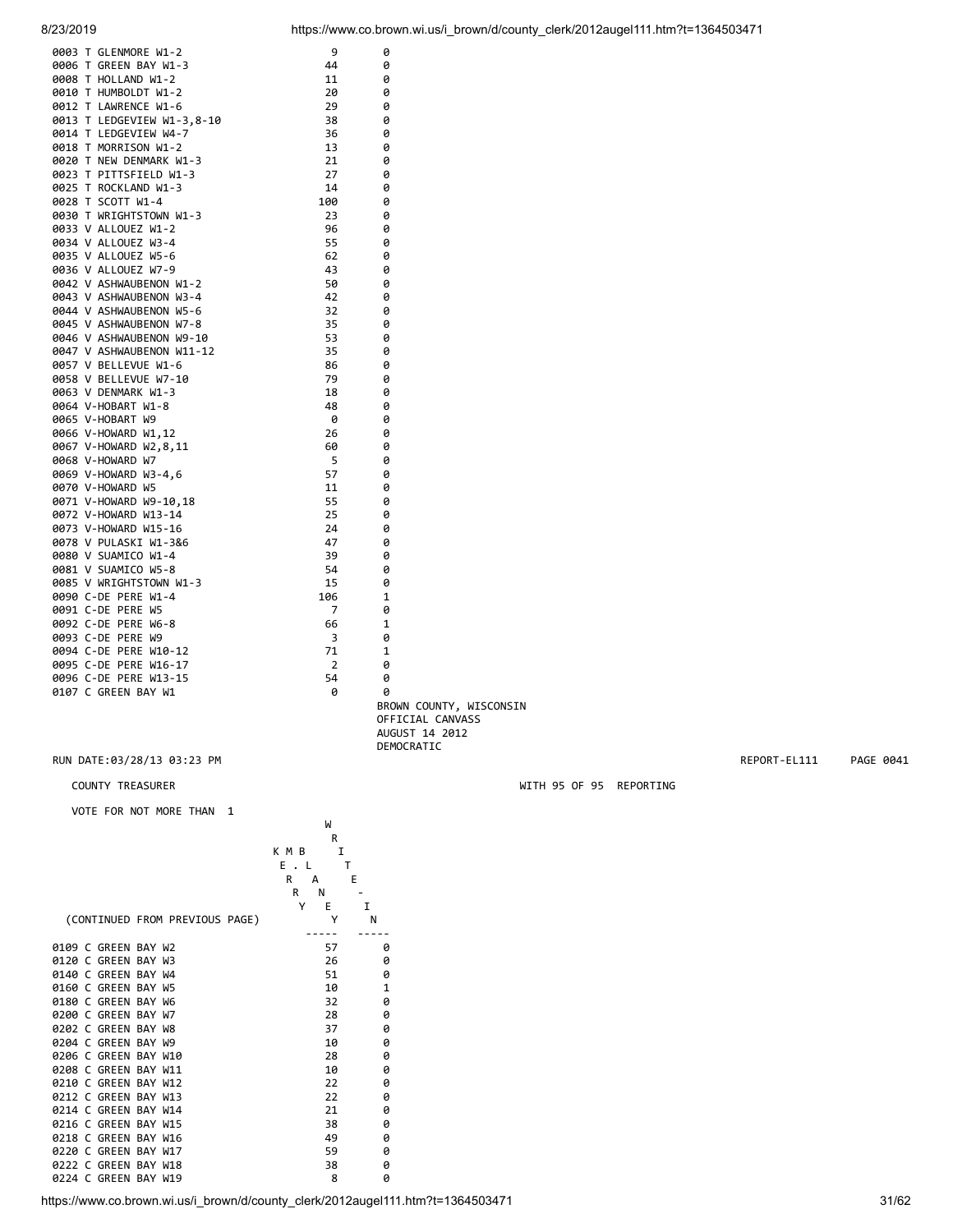| 0003 T GLENMORE W1-2       | 9   | 0 |
|----------------------------|-----|---|
| 0006 T GREEN BAY W1-3      | 44  | 0 |
| 0008 T HOLLAND W1-2        | 11  | 0 |
| 0010 T HUMBOLDT W1-2       | 20  | 0 |
| 0012 T LAWRENCE W1-6       | 29  | 0 |
| 0013 T LEDGEVIEW W1-3,8-10 | 38  | 0 |
| 0014 T LEDGEVIEW W4-7      | 36  | 0 |
| 0018 T MORRISON W1-2       | 13  | 0 |
| 0020 T NEW DENMARK W1-3    | 21  | 0 |
| 0023 T PITTSFIELD W1-3     | 27  | 0 |
| 0025 T ROCKLAND W1-3       | 14  | 0 |
| 0028 T SCOTT W1-4          | 100 | 0 |
| 0030 T WRIGHTSTOWN W1-3    | 23  | 0 |
| 0033 V ALLOUEZ W1-2        | 96  | 0 |
| 0034 V ALLOUEZ W3-4        | 55  | 0 |
| 0035 V ALLOUEZ W5-6        | 62  | 0 |
| 0036 V ALLOUEZ W7-9        | 43  | 0 |
| 0042 V ASHWAUBENON W1-2    | 50  | 0 |
| 0043 V ASHWAUBENON W3-4    | 42  | 0 |
| 0044 V ASHWAUBENON W5-6    | 32  | 0 |
| 0045 V ASHWAUBENON W7-8    | 35  | 0 |
| 0046 V ASHWAUBENON W9-10   | 53  | 0 |
| 0047 V ASHWAUBENON W11-12  | 35  | 0 |
| 0057 V BELLEVUE W1-6       | 86  | 0 |
| 0058 V BELLEVUE W7-10      | 79  | 0 |
| 0063 V DENMARK W1-3        | 18  | 0 |
| 0064 V-HOBART W1-8         | 48  | 0 |
| 0065 V-HOBART W9           | 0   | 0 |
| 0066 V-HOWARD W1,12        | 26  | 0 |
| 0067 V-HOWARD W2,8,11      | 60  | 0 |
| 0068 V-HOWARD W7           | 5   | 0 |
| 0069 V-HOWARD W3-4,6       | 57  | 0 |
| 0070 V-HOWARD W5           | 11  | 0 |
| 0071 V-HOWARD W9-10,18     | 55  | 0 |
| 0072 V-HOWARD W13-14       | 25  | 0 |
| 0073 V-HOWARD W15-16       | 24  | 0 |
| 0078 V PULASKI W1-3&6      | 47  | 0 |
| 0080 V SUAMICO W1-4        | 39  | 0 |
| 0081 V SUAMICO W5-8        | 54  | 0 |
| 0085 V WRIGHTSTOWN W1-3    | 15  | 0 |
| 0090 C-DE PERE W1-4        | 106 | 1 |
| 0091 C-DE PERE W5          | 7   | 0 |
| 0092 C-DE PERE W6-8        | 66  | 1 |
| 0093 C-DE PERE W9          | 3   | 0 |
| 0094 C-DE PERE W10-12      | 71  | 1 |
| 0095 C-DE PERE W16-17      | 2   | 0 |
| 0096 C-DE PERE W13-15      | 54  | 0 |
| 0107 C GREEN BAY W1        | 0   | 0 |

 BROWN COUNTY, WISCONSIN OFFICIAL CANVASS AUGUST 14 2012 DEMOCRATIC DEMOCRATIC

RUN DATE:03/28/13 03:23 PM REPORT-EL111 PAGE 0041

#### COUNTY TREASURER WITH 95 OF 95 REPORTING

VOTE FOR NOT MORE THAN 1

|                      |                                | W              |              |
|----------------------|--------------------------------|----------------|--------------|
|                      |                                | R              |              |
|                      |                                | K M B<br>I     |              |
|                      |                                | т<br>Ε.<br>- L |              |
|                      |                                | R<br>E<br>А    |              |
|                      |                                | R<br>Ν         |              |
|                      |                                | Υ<br>E<br>т    |              |
|                      | (CONTINUED FROM PREVIOUS PAGE) | Y              | N            |
| 0109 C GREEN BAY W2  |                                | 57             | ø            |
| 0120 C GREEN BAY W3  |                                | 26             | ø            |
| 0140 C GREEN BAY W4  |                                | 51             | 0            |
| 0160 C GREEN BAY W5  |                                | 10             | $\mathbf{1}$ |
| 0180 C GREEN BAY W6  |                                | 32             | 0            |
| 0200 C GREEN BAY W7  |                                | 28             | ø            |
| 0202 C GREEN BAY W8  |                                | 37             | 0            |
| 0204 C GREEN BAY W9  |                                | 10             | 0            |
| 0206 C GREEN BAY W10 |                                | 28             | ø            |
| 0208 C GREEN BAY W11 |                                | 10             | 0            |
| 0210 C GREEN BAY W12 |                                | 22             | 0            |
| 0212 C GREEN BAY W13 |                                | 22             | 0            |
| 0214 C GREEN BAY W14 |                                | 21             | 0            |
| 0216 C GREEN BAY W15 |                                | 38             | ø            |
| 0218 C GREEN BAY W16 |                                | 49             | 0            |
| 0220 C               | <b>GREEN BAY W17</b>           | 59             | 0            |
| 0222 C GREEN BAY W18 |                                | 38             | 0            |
| 0224 C GREEN BAY W19 |                                | 8              | 0            |

8/23/2019 https://www.co.brown.wi.us/i\_brown/d/county\_clerk/2012augel111.htm?t=1364503471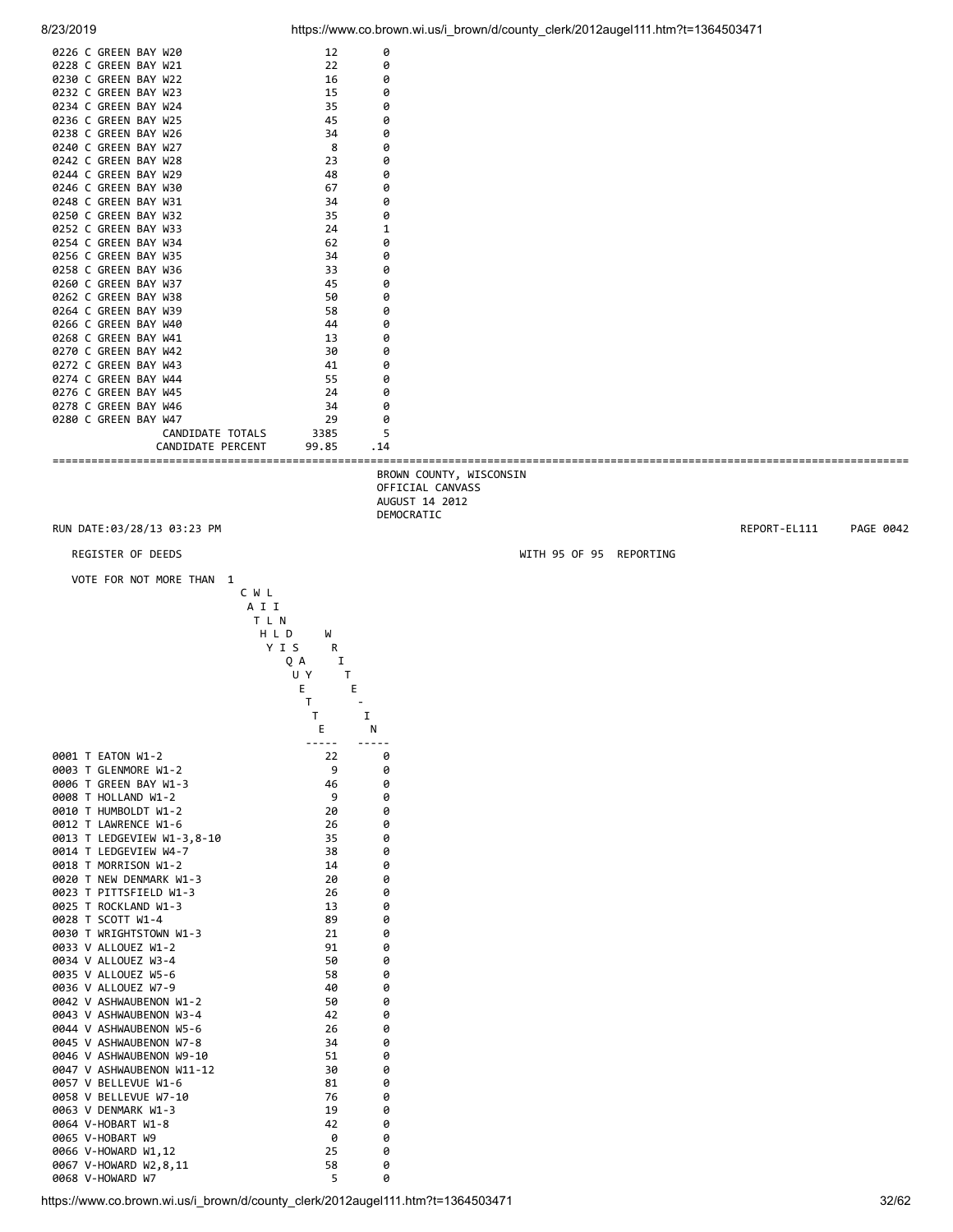| <b>יבו טבוטב</b>                                                                                                                                                                                                                                                                                                                                                                                                                                                                                                                                                                                                                                                                                                                                                    |                                                                                                                                                                                      |                                                                                                                                                                                                                                                 | $100377$ www.co.prown.wi.us/i_prown/u/county_cierinzo izaugeri i i .infinite-100400047 |              |           |
|---------------------------------------------------------------------------------------------------------------------------------------------------------------------------------------------------------------------------------------------------------------------------------------------------------------------------------------------------------------------------------------------------------------------------------------------------------------------------------------------------------------------------------------------------------------------------------------------------------------------------------------------------------------------------------------------------------------------------------------------------------------------|--------------------------------------------------------------------------------------------------------------------------------------------------------------------------------------|-------------------------------------------------------------------------------------------------------------------------------------------------------------------------------------------------------------------------------------------------|----------------------------------------------------------------------------------------|--------------|-----------|
| 0226 C GREEN BAY W20<br>0228 C GREEN BAY W21<br>0230 C GREEN BAY W22<br>0232 C GREEN BAY W23<br>0234 C GREEN BAY W24<br>0236 C GREEN BAY W25<br>0238 C GREEN BAY W26<br>0240 C GREEN BAY W27<br>0242 C GREEN BAY W28<br>0244 C GREEN BAY W29<br>0246 C GREEN BAY W30<br>0248 C GREEN BAY W31<br>0250 C GREEN BAY W32<br>0252 C GREEN BAY W33<br>0254 C GREEN BAY W34<br>0256 C GREEN BAY W35<br>0258 C GREEN BAY W36<br>0260 C GREEN BAY W37<br>0262 C GREEN BAY W38<br>0264 C GREEN BAY W39<br>0266 C GREEN BAY W40<br>0268 C GREEN BAY W41<br>0270 C GREEN BAY W42<br>0272 C GREEN BAY W43<br>0274 C GREEN BAY W44<br>0276 C GREEN BAY W45<br>0278 C GREEN BAY W46<br>0280 C GREEN BAY W47<br>CANDIDATE TOTALS<br>CANDIDATE PERCENT<br>RUN DATE:03/28/13 03:23 PM | 12<br>22<br>16<br>15<br>35<br>45<br>34<br>8<br>23<br>48<br>67<br>34<br>35<br>24<br>62<br>34<br>33<br>45<br>50<br>58<br>44<br>13<br>30<br>41<br>55<br>24<br>34<br>29<br>3385<br>99.85 | 0<br>0<br>0<br>0<br>0<br>0<br>0<br>0<br>0<br>0<br>0<br>0<br>0<br>$\mathbf{1}$<br>0<br>0<br>0<br>0<br>0<br>0<br>0<br>0<br>0<br>0<br>0<br>0<br>0<br>0<br>5<br>. 14<br>BROWN COUNTY, WISCONSIN<br>OFFICIAL CANVASS<br>AUGUST 14 2012<br>DEMOCRATIC |                                                                                        | REPORT-EL111 | PAGE 0042 |
| REGISTER OF DEEDS                                                                                                                                                                                                                                                                                                                                                                                                                                                                                                                                                                                                                                                                                                                                                   |                                                                                                                                                                                      |                                                                                                                                                                                                                                                 | WITH 95 OF 95 REPORTING                                                                |              |           |
| VOTE FOR NOT MORE THAN 1                                                                                                                                                                                                                                                                                                                                                                                                                                                                                                                                                                                                                                                                                                                                            |                                                                                                                                                                                      |                                                                                                                                                                                                                                                 |                                                                                        |              |           |
|                                                                                                                                                                                                                                                                                                                                                                                                                                                                                                                                                                                                                                                                                                                                                                     | TLN<br>HLD<br>W<br>YIS<br>R<br>QA<br>Ι.<br>U Y<br>T<br>Е<br>Е<br>T<br>T<br>Е                                                                                                         | 1<br>N                                                                                                                                                                                                                                          |                                                                                        |              |           |
| 0001 T EATON W1-2<br>0003 T GLENMORE W1-2<br>0006 T GREEN BAY W1-3<br>0008 T HOLLAND W1-2<br>0010 T HUMBOLDT W1-2<br>0012 T LAWRENCE W1-6<br>0013 T LEDGEVIEW W1-3,8-10<br>0014 T LEDGEVIEW W4-7<br>0018 T MORRISON W1-2<br>0020 T NEW DENMARK W1-3<br>0023 T PITTSFIELD W1-3<br>0025 T ROCKLAND W1-3<br>0028 T SCOTT W1-4<br>0030 T WRIGHTSTOWN W1-3<br>0033 V ALLOUEZ W1-2<br>0034 V ALLOUEZ W3-4<br>0035 V ALLOUEZ W5-6<br>0036 V ALLOUEZ W7-9<br>0042 V ASHWAUBENON W1-2<br>0043 V ASHWAUBENON W3-4<br>0044 V ASHWAUBENON W5-6<br>0045 V ASHWAUBENON W7-8<br>0046 V ASHWAUBENON W9-10<br>0047 V ASHWAUBENON W11-12<br>0057 V BELLEVUE W1-6<br>0058 V BELLEVUE W7-10<br>0063 V DENMARK W1-3                                                                      | -----<br>22<br>9<br>46<br>9<br>20<br>26<br>35<br>38<br>14<br>20<br>26<br>13<br>89<br>21<br>91<br>50<br>58<br>40<br>50<br>42<br>26<br>34<br>51<br>30<br>81<br>76                      | -----<br>0<br>0<br>0<br>0<br>0<br>0<br>0<br>0<br>0<br>0<br>0<br>0<br>0<br>0<br>0<br>0<br>0<br>0<br>0<br>0<br>0<br>0<br>0<br>0<br>0<br>0                                                                                                         |                                                                                        |              |           |

0067 V-HOWARD W2,8,11 58 0 0068 V-HOWARD W7 5 0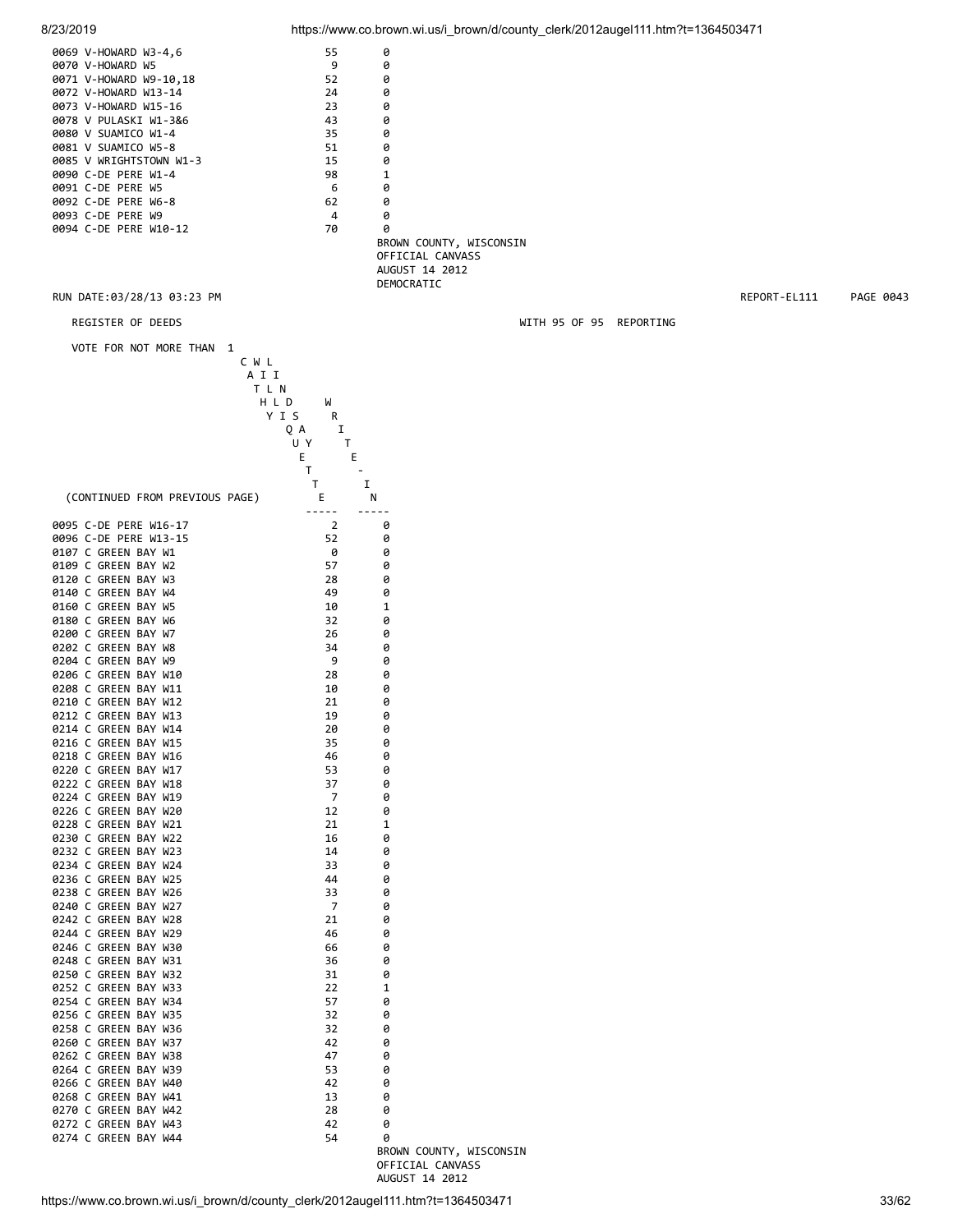| 8/23/2019                                      |                                                                                   |                                             | https://www.co.brown.wi.us/i_brown/d/county_clerk/2012augel111.htm?t=1364503471 |              |           |
|------------------------------------------------|-----------------------------------------------------------------------------------|---------------------------------------------|---------------------------------------------------------------------------------|--------------|-----------|
| 0069 V-HOWARD W3-4,6                           | 55                                                                                | 0                                           |                                                                                 |              |           |
| 0070 V-HOWARD W5                               | 9                                                                                 | 0                                           |                                                                                 |              |           |
| 0071 V-HOWARD W9-10,18                         | 52                                                                                | 0                                           |                                                                                 |              |           |
| 0072 V-HOWARD W13-14<br>0073 V-HOWARD W15-16   | 24<br>23                                                                          | 0<br>0                                      |                                                                                 |              |           |
| 0078 V PULASKI W1-3&6                          | 43                                                                                | 0                                           |                                                                                 |              |           |
| 0080 V SUAMICO W1-4                            | 35                                                                                | 0                                           |                                                                                 |              |           |
| 0081 V SUAMICO W5-8                            | 51                                                                                | 0                                           |                                                                                 |              |           |
| 0085 V WRIGHTSTOWN W1-3<br>0090 C-DE PERE W1-4 | 15<br>98                                                                          | 0<br>1                                      |                                                                                 |              |           |
| 0091 C-DE PERE W5                              | 6                                                                                 | 0                                           |                                                                                 |              |           |
| 0092 C-DE PERE W6-8                            | 62                                                                                | 0                                           |                                                                                 |              |           |
| 0093 C-DE PERE W9                              | 4                                                                                 | 0                                           |                                                                                 |              |           |
| 0094 C-DE PERE W10-12                          | 70                                                                                | 0                                           |                                                                                 |              |           |
|                                                |                                                                                   | BROWN COUNTY, WISCONSIN<br>OFFICIAL CANVASS |                                                                                 |              |           |
|                                                |                                                                                   | AUGUST 14 2012                              |                                                                                 |              |           |
|                                                |                                                                                   | DEMOCRATIC                                  |                                                                                 |              |           |
| RUN DATE:03/28/13 03:23 PM                     |                                                                                   |                                             |                                                                                 | REPORT-EL111 | PAGE 0043 |
| REGISTER OF DEEDS                              |                                                                                   |                                             | WITH 95 OF 95 REPORTING                                                         |              |           |
|                                                |                                                                                   |                                             |                                                                                 |              |           |
| VOTE FOR NOT MORE THAN 1                       | CWL<br>A I I<br>T L N<br>H L D<br>W<br>YIS<br>R<br>QA<br>Ι.<br>U Y<br>Τ<br>Е<br>Е |                                             |                                                                                 |              |           |
| (CONTINUED FROM PREVIOUS PAGE)                 | Т<br>$\overline{\phantom{a}}$<br>Τ<br>E                                           | I<br>Ν                                      |                                                                                 |              |           |
| 0095 C-DE PERE W16-17                          | -----<br>$\overline{2}$                                                           | 0                                           |                                                                                 |              |           |
| 0096 C-DE PERE W13-15                          | 52                                                                                | 0                                           |                                                                                 |              |           |
| 0107 C GREEN BAY W1                            | 0                                                                                 | 0                                           |                                                                                 |              |           |
| 0109 C GREEN BAY W2                            | 57                                                                                | 0                                           |                                                                                 |              |           |
| 0120 C GREEN BAY W3                            | 28                                                                                | 0                                           |                                                                                 |              |           |
| 0140 C GREEN BAY W4<br>0160 C GREEN BAY W5     | 49<br>10                                                                          | 0<br>1                                      |                                                                                 |              |           |
| 0180 C GREEN BAY W6                            | 32                                                                                | 0                                           |                                                                                 |              |           |
| 0200 C GREEN BAY W7                            | 26                                                                                | 0                                           |                                                                                 |              |           |
| 0202 C GREEN BAY W8                            | 34                                                                                | 0                                           |                                                                                 |              |           |
| 0204 C GREEN BAY W9                            | 9                                                                                 | 0                                           |                                                                                 |              |           |
| 0206 C GREEN BAY W10<br>0208 C GREEN BAY W11   | 28<br>10                                                                          | 0<br>0                                      |                                                                                 |              |           |
| 0210 C GREEN BAY W12                           | 21                                                                                | 0                                           |                                                                                 |              |           |
| 0212 C GREEN BAY W13                           | 19                                                                                | 0                                           |                                                                                 |              |           |
| 0214 C GREEN BAY W14                           | 20                                                                                | 0                                           |                                                                                 |              |           |
| 0216 C GREEN BAY W15<br>0218 C GREEN BAY W16   | 35<br>46                                                                          | 0<br>0                                      |                                                                                 |              |           |
| 0220 C GREEN BAY W17                           | 53                                                                                | 0                                           |                                                                                 |              |           |
| 0222 C GREEN BAY W18                           | 37                                                                                | 0                                           |                                                                                 |              |           |
| 0224 C GREEN BAY W19                           | $\overline{7}$                                                                    | 0                                           |                                                                                 |              |           |
| 0226 C GREEN BAY W20<br>0228 C GREEN BAY W21   | 12<br>21                                                                          | 0<br>1                                      |                                                                                 |              |           |
| 0230 C GREEN BAY W22                           | 16                                                                                | 0                                           |                                                                                 |              |           |
| 0232 C GREEN BAY W23                           | 14                                                                                | 0                                           |                                                                                 |              |           |
| 0234 C GREEN BAY W24                           | 33                                                                                | 0                                           |                                                                                 |              |           |
| 0236 C GREEN BAY W25                           | 44                                                                                | 0                                           |                                                                                 |              |           |
| 0238 C GREEN BAY W26<br>0240 C GREEN BAY W27   | 33<br>7                                                                           | 0<br>0                                      |                                                                                 |              |           |
| 0242 C GREEN BAY W28                           | 21                                                                                | 0                                           |                                                                                 |              |           |
| 0244 C GREEN BAY W29                           | 46                                                                                | 0                                           |                                                                                 |              |           |
| 0246 C GREEN BAY W30                           | 66                                                                                | 0                                           |                                                                                 |              |           |
| 0248 C GREEN BAY W31                           | 36                                                                                | 0                                           |                                                                                 |              |           |
| 0250 C GREEN BAY W32<br>0252 C GREEN BAY W33   | 31<br>22                                                                          | 0<br>1                                      |                                                                                 |              |           |
| 0254 C GREEN BAY W34                           | 57                                                                                | 0                                           |                                                                                 |              |           |
| 0256 C GREEN BAY W35                           | 32                                                                                | 0                                           |                                                                                 |              |           |
| 0258 C GREEN BAY W36                           | 32                                                                                | 0                                           |                                                                                 |              |           |
| 0260 C GREEN BAY W37<br>0262 C GREEN BAY W38   | 42<br>47                                                                          | 0<br>0                                      |                                                                                 |              |           |
| 0264 C GREEN BAY W39                           | 53                                                                                | 0                                           |                                                                                 |              |           |
| 0266 C GREEN BAY W40                           | 42                                                                                | 0                                           |                                                                                 |              |           |
| 0268 C GREEN BAY W41                           | 13                                                                                | 0                                           |                                                                                 |              |           |
| 0270 C GREEN BAY W42                           | 28                                                                                | 0                                           |                                                                                 |              |           |
| 0272 C GREEN BAY W43<br>0274 C GREEN BAY W44   | 42<br>54                                                                          | 0<br>0                                      |                                                                                 |              |           |
|                                                |                                                                                   | BROWN COUNTY, WISCONSIN                     |                                                                                 |              |           |
|                                                |                                                                                   | OFFICIAL CANVASS                            |                                                                                 |              |           |

AUGUST 14 2012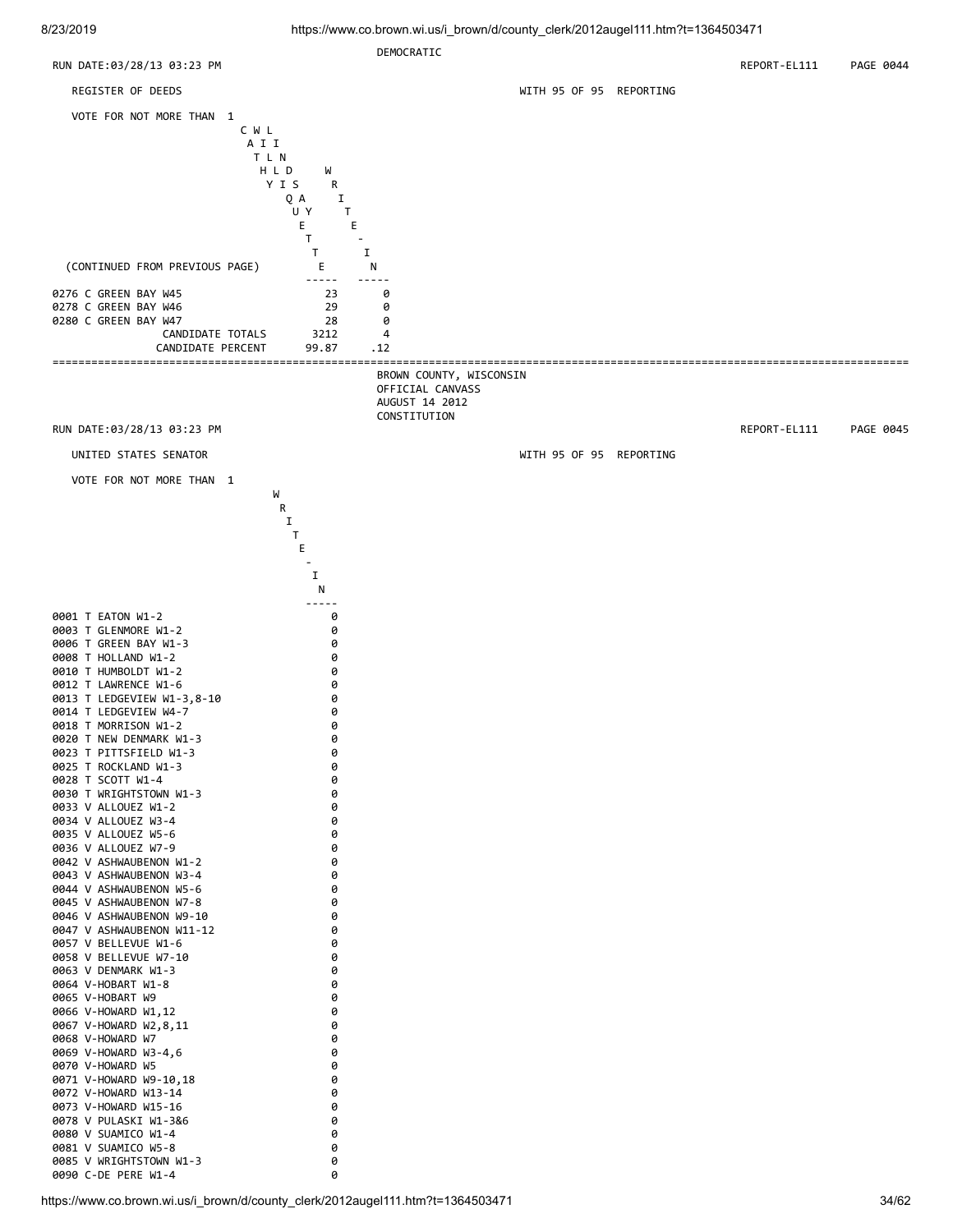![](_page_33_Figure_2.jpeg)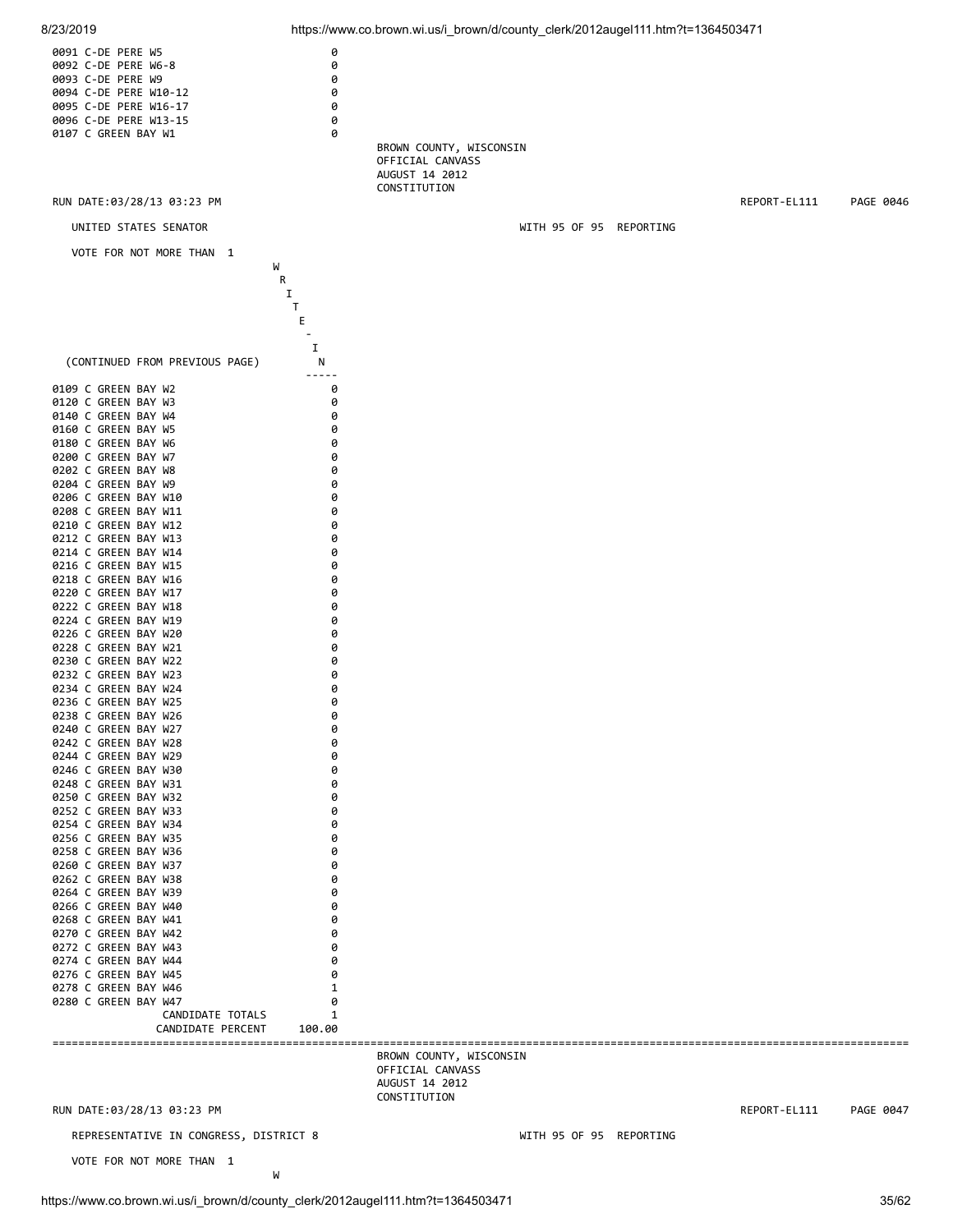![](_page_34_Figure_0.jpeg)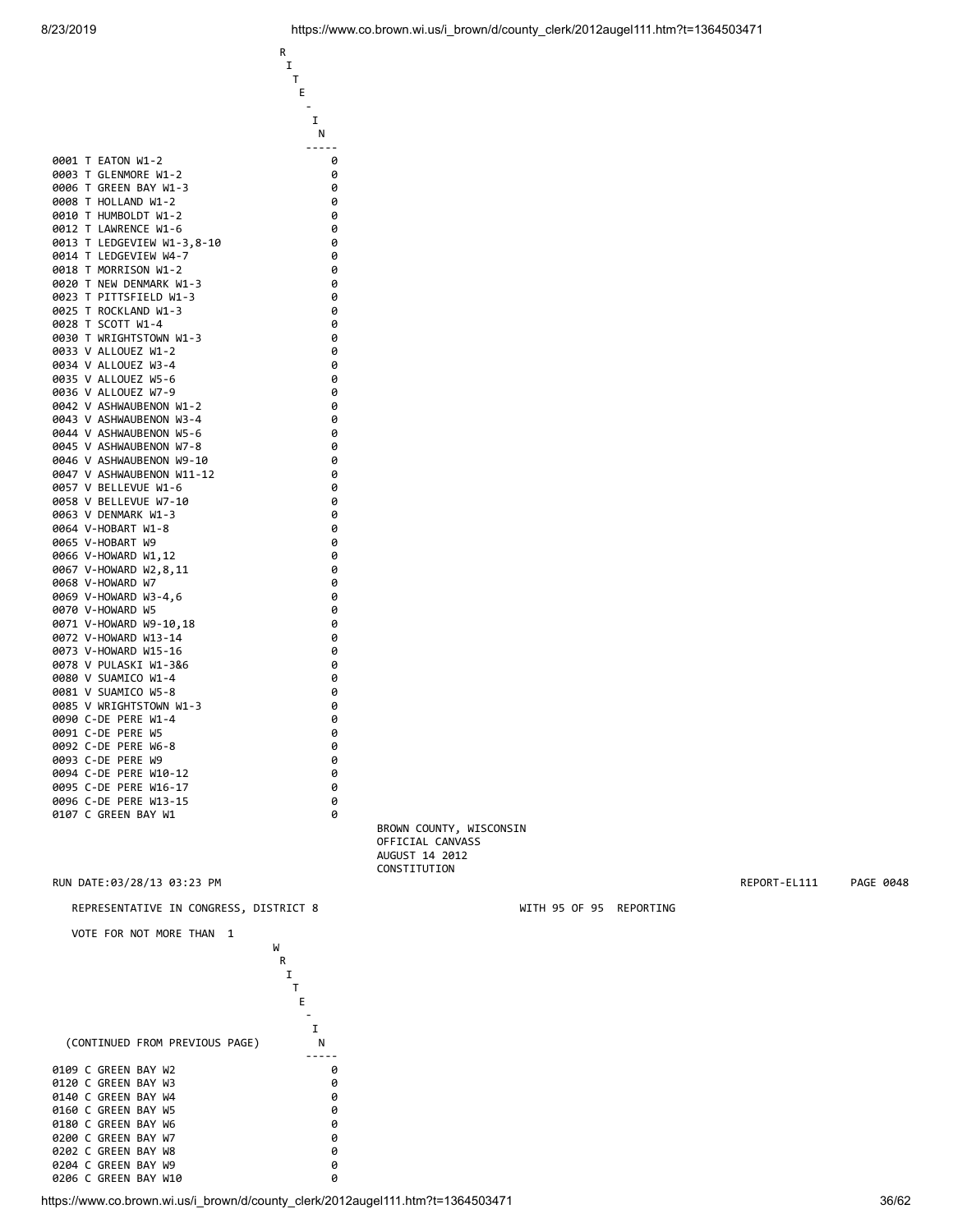|              |                                        | Ε      |
|--------------|----------------------------------------|--------|
|              |                                        | I      |
|              |                                        | Ν      |
|              |                                        |        |
| 0001         | T.<br>EATON W1-2                       | 0      |
| 0003         | т<br>GLENMORE W1-2                     | 0      |
| 0006         | Т<br>GREEN BAY W1-3                    | 0      |
| 0008         | т<br>HOLLAND W1-2                      | 0      |
| 0010         | т<br>HUMBOLDT W1-2                     | 0      |
| 0012         | Т<br>LAWRENCE W1-6                     | 0      |
| 0013         | т<br>LEDGEVIEW W1-3,8-10               | 0      |
| 0014         | т<br>LEDGEVIEW W4-7<br>T               | 0      |
| 0018<br>0020 | MORRISON W1-2<br>Т<br>NEW DENMARK W1-3 | 0<br>0 |
| 0023         | т<br>PITTSFIELD W1-3                   | 0      |
| 0025         | Т<br>ROCKLAND W1-3                     | 0      |
| 0028         | SCOTT W1-4<br>т                        | 0      |
| 0030         | T.<br>WRIGHTSTOWN W1-3                 | 0      |
| 0033         | V ALLOUEZ W1-2                         | 0      |
| 0034         | V<br>ALLOUEZ W3-4                      | 0      |
| 0035         | V ALLOUEZ W5-6                         | 0      |
| 0036         | V ALLOUEZ W7-9                         | 0      |
| 0042         | V ASHWAUBENON W1-2                     | 0      |
| 0043         | V<br>ASHWAUBENON W3-4                  | 0      |
| 0044         | V ASHWAUBENON W5-6                     | 0      |
| 0045         | V ASHWAUBENON W7-8                     | 0      |
| 0046         | V ASHWAUBENON W9-10                    | 0      |
| 0047         | V ASHWAUBENON W11-12                   | 0      |
| 0057         | V BELLEVUE W1-6                        | 0      |
| 0058         | V BELLEVUE W7-10                       | 0      |
| 0063         | V DENMARK W1-3                         | 0      |
|              | 0064 V-HOBART<br>W1-8                  | 0      |
| 0065         | V-HOBART<br>W9                         | 0      |
| 0066         | V-HOWARD W1,12                         | 0      |
| 0067         | V-HOWARD W2,8,11                       | 0      |
|              | 0068 V-HOWARD W7                       | 0      |
|              | 0069 V-HOWARD W3-4,6                   | 0      |
|              | 0070 V-HOWARD W5                       | 0      |
| 0071<br>0072 | V-HOWARD W9-10,18<br>V-HOWARD W13-14   | 0<br>0 |
| 0073         | V-HOWARD W15-16                        | 0      |
| 0078         | V PULASKI W1-3&6                       | 0      |
| 0080         | V SUAMICO W1-4                         | 0      |
| 0081         | V SUAMICO W5-8                         | 0      |
| 0085         | V WRIGHTSTOWN W1-3                     | 0      |
| 0090         | $C-DE$<br>PERE W1-4                    | 0      |
| 0091         | C-DE<br>PERE<br>W5                     | 0      |
| 0092         | $C-DE$<br>PERE<br>W6-8                 | 0      |
| 0093         | C-DE<br>PERE<br>W9                     | 0      |
| 0094         | C-DE<br>PERE<br>W10-12                 | 0      |
| 0095         | $C-DE$<br>PERE W16-17                  | 0      |
| 0096         | $C-DE$<br>PERE<br>$W13 - 15$           | 0      |
| 0107         | C GREEN BAY W1                         | 0      |
|              |                                        |        |

**R R**  I **T** 

REPRESENTATIVE IN CONGRESS, DISTRICT 8 WITH 95 OF 95 REPORTING

![](_page_35_Figure_4.jpeg)

 BROWN COUNTY, WISCONSIN OFFICIAL CANVASS AUGUST 14 2012 CONSTITUTION

RUN DATE:03/28/13 03:23 PM REPORT-EL111 PAGE 0048

https://www.co.brown.wi.us/i\_brown/d/county\_clerk/2012augel111.htm?t=1364503471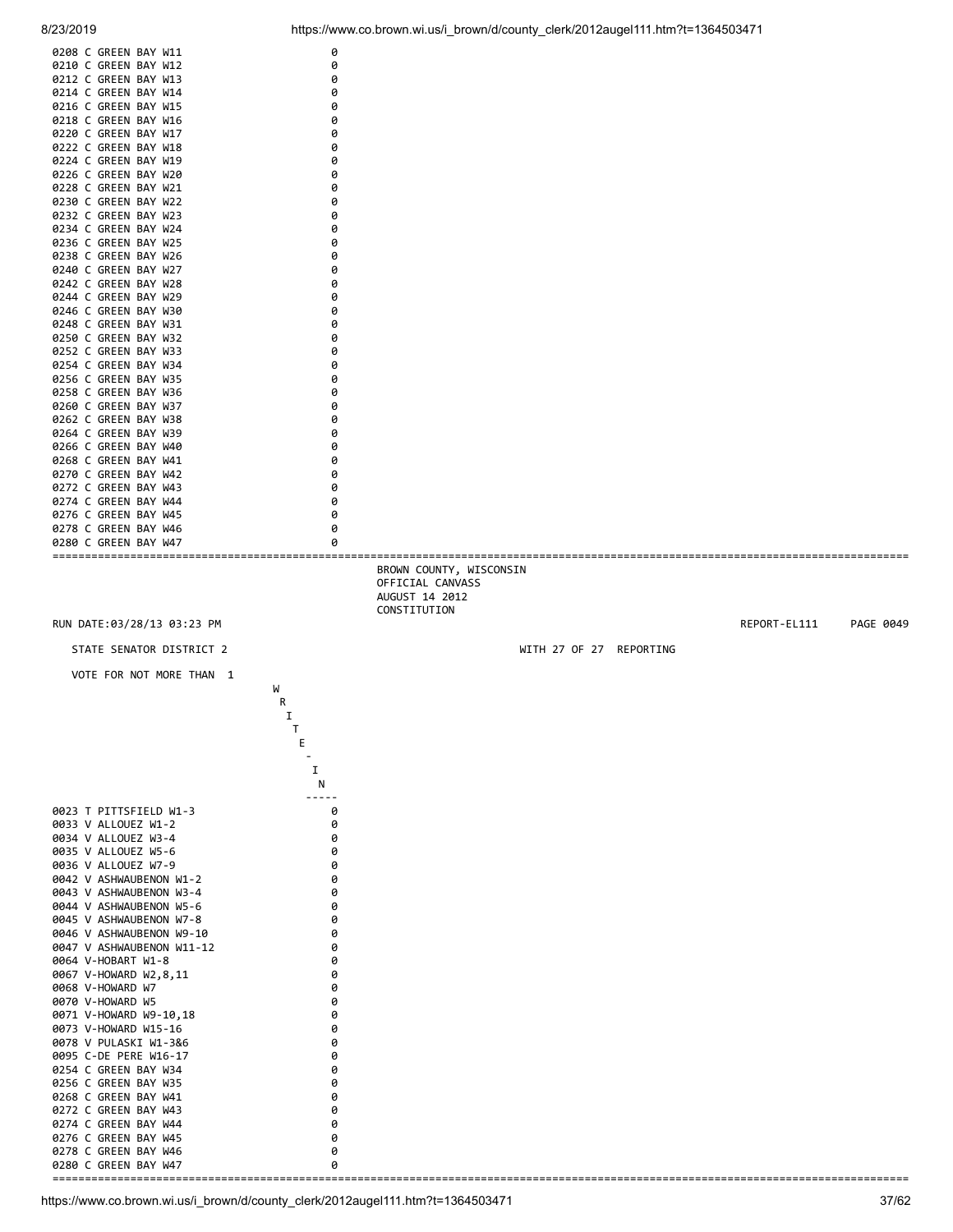![](_page_36_Figure_0.jpeg)

![](_page_36_Figure_2.jpeg)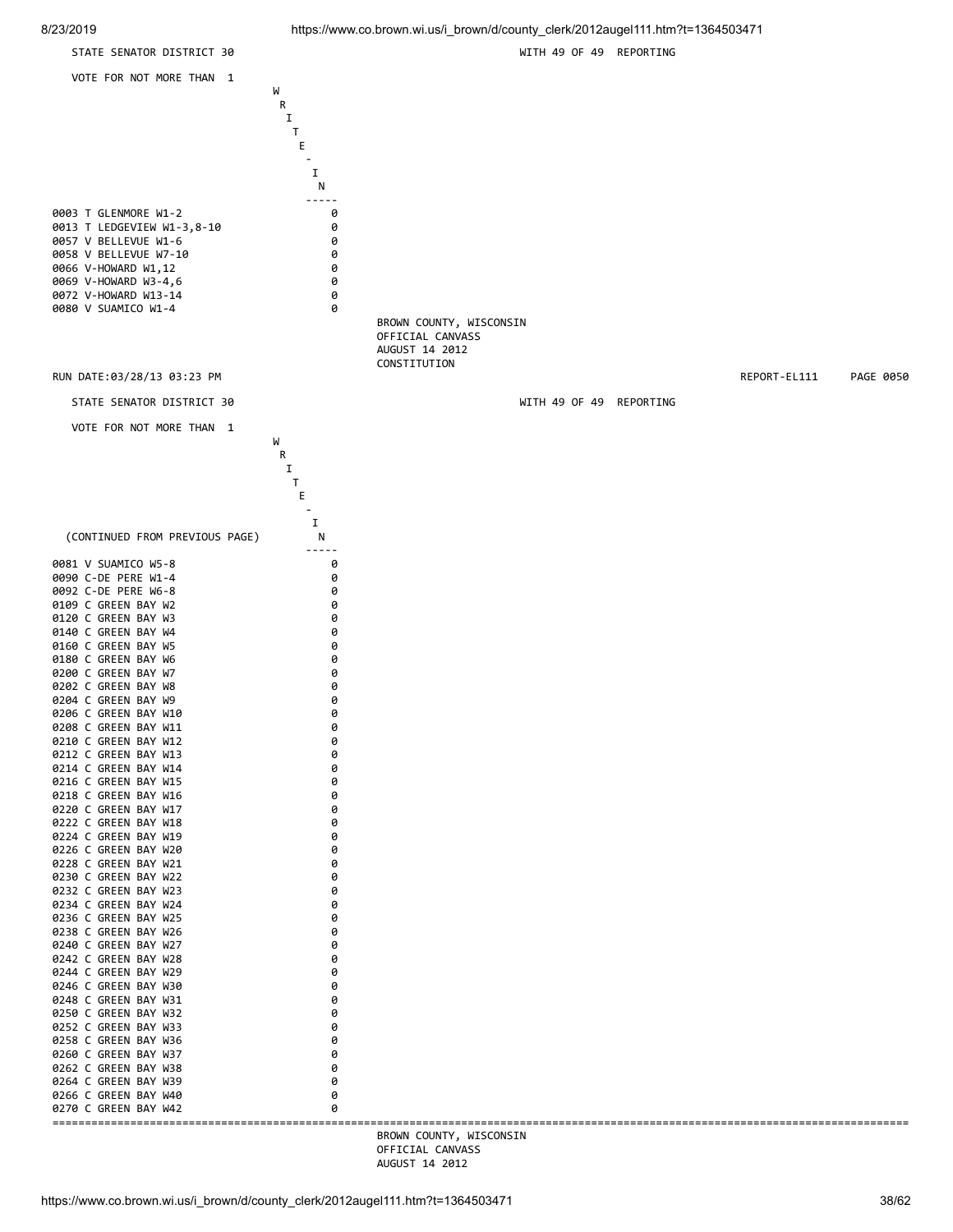![](_page_37_Figure_0.jpeg)

8/23/2019 https://www.co.brown.wi.us/i\_brown/d/county\_clerk/2012augel111.htm?t=1364503471

![](_page_37_Figure_2.jpeg)

https://www.co.brown.wi.us/i\_brown/d/county\_clerk/2012augel111.htm?t=1364503471 38/62

AUGUST 14 2012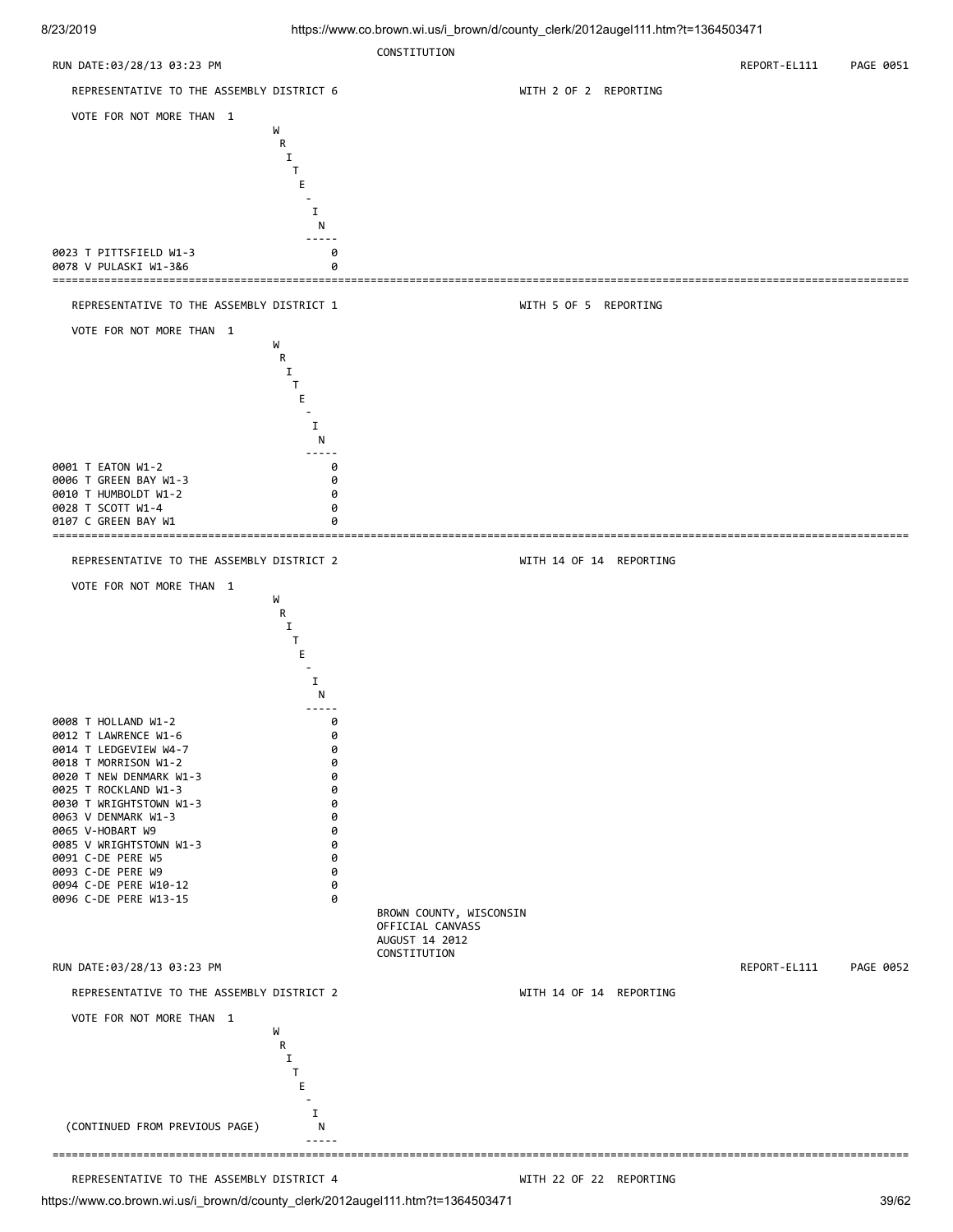![](_page_38_Figure_2.jpeg)

# REPRESENTATIVE TO THE ASSEMBLY DISTRICT 4 WELL MAKE WITH 22 OF 22 REPORTING

https://www.co.brown.wi.us/i\_brown/d/county\_clerk/2012augel111.htm?t=1364503471 39/62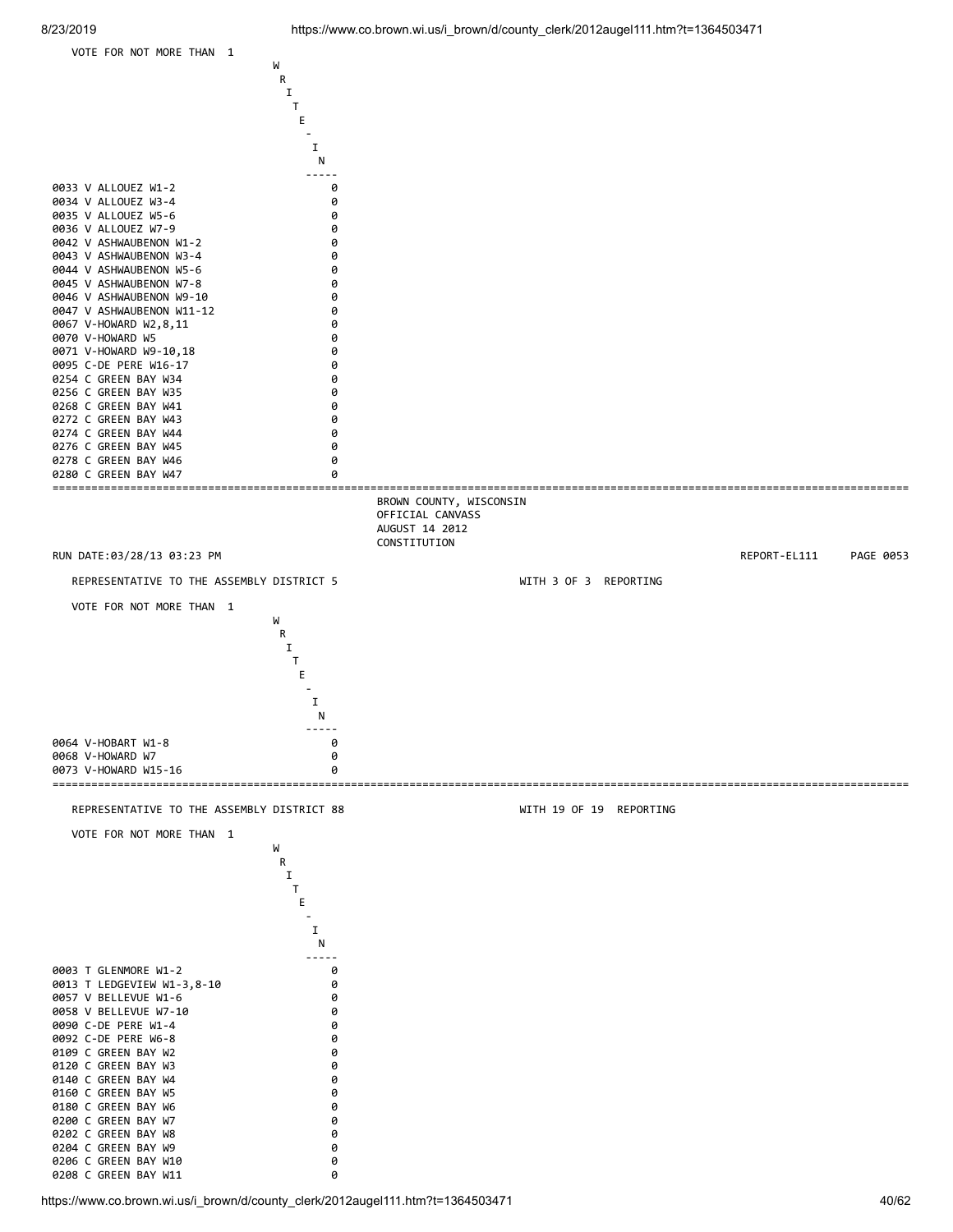![](_page_39_Figure_1.jpeg)

https://www.co.brown.wi.us/i\_brown/d/county\_clerk/2012augel111.htm?t=1364503471 40/62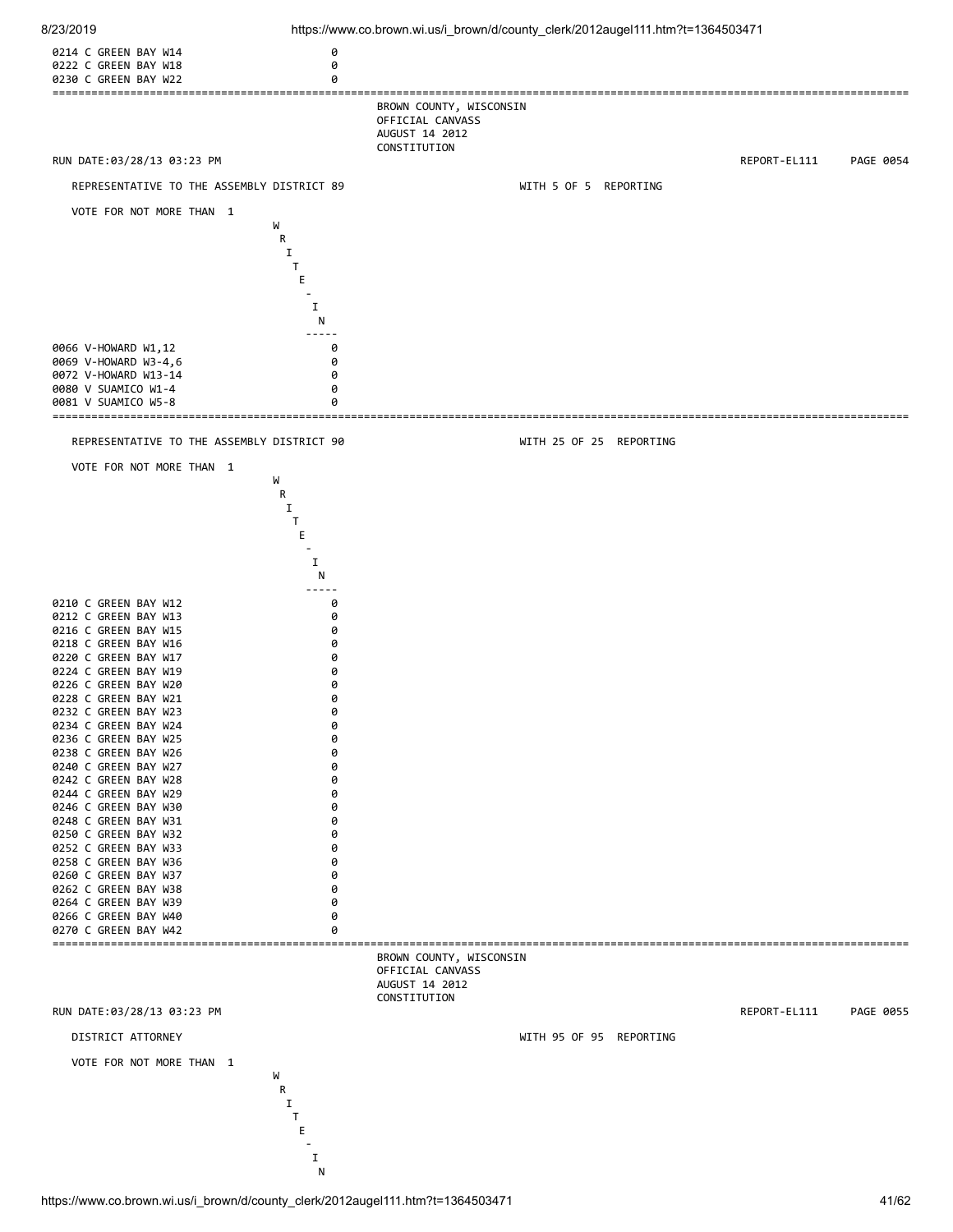![](_page_40_Figure_0.jpeg)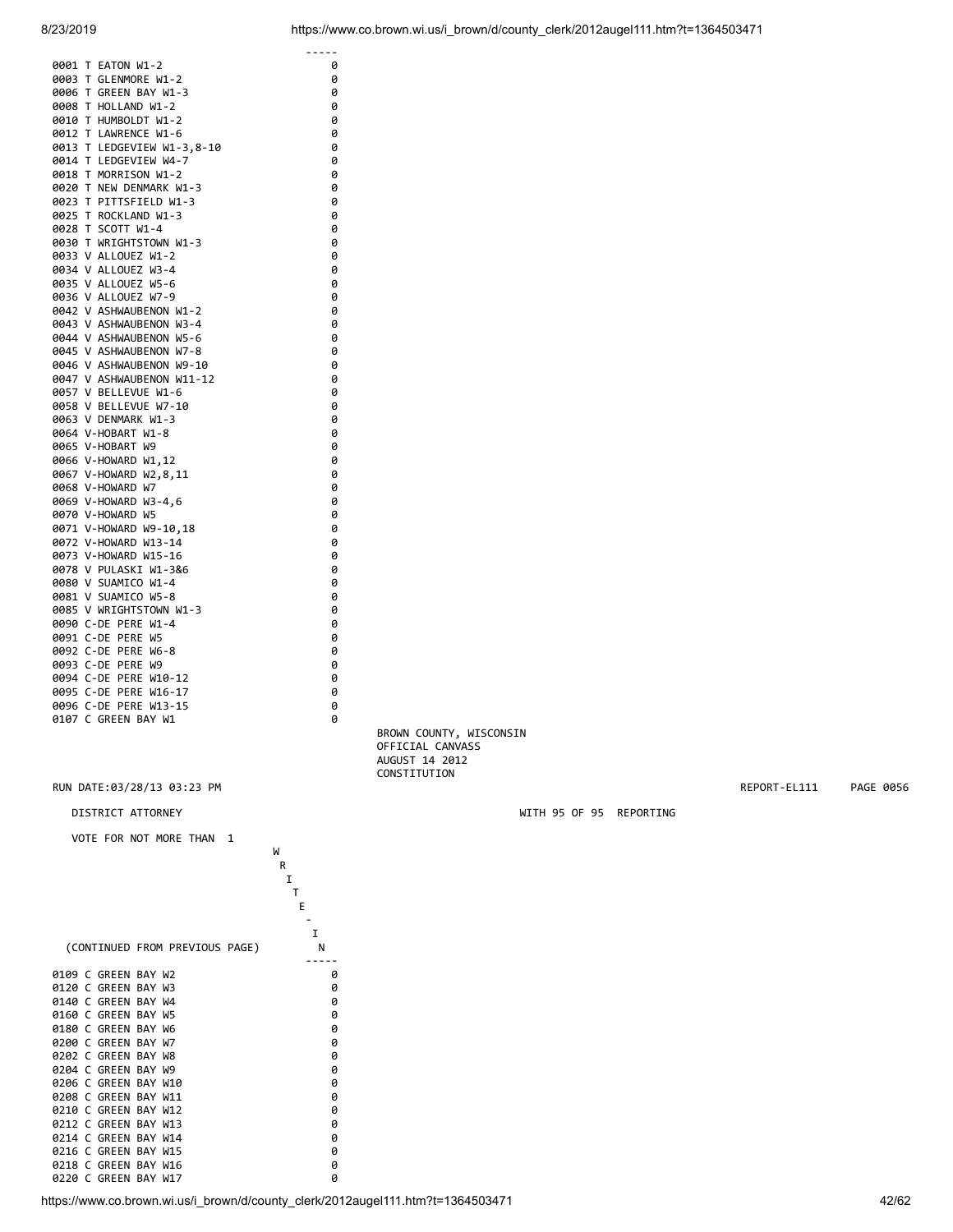| 0001<br>T EATON W1-2       | 0 |
|----------------------------|---|
| 0003<br>T GLENMORE W1-2    | 0 |
| T GREEN BAY W1-3<br>0006   | 0 |
| 0008 T HOLLAND W1-2        | 0 |
| 0010 T HUMBOLDT W1-2       | 0 |
| 0012 T LAWRENCE W1-6       | 0 |
| 0013 T LEDGEVIEW W1-3,8-10 | 0 |
| 0014 T LEDGEVIEW W4-7      | 0 |
| 0018 T MORRISON W1-2       | 0 |
| 0020 T NEW DENMARK W1-3    | 0 |
| 0023 T PITTSFIELD W1-3     | 0 |
| 0025 T ROCKLAND W1-3       | 0 |
| 0028 T SCOTT W1-4          | 0 |
| 0030 T WRIGHTSTOWN W1-3    | 0 |
| 0033 V ALLOUEZ W1-2        | 0 |
| 0034 V ALLOUEZ W3-4        | 0 |
| 0035 V ALLOUEZ W5-6        | 0 |
| 0036 V ALLOUEZ W7-9        | 0 |
| 0042 V ASHWAUBENON W1-2    | 0 |
| 0043 V ASHWAUBENON W3-4    | 0 |
| 0044 V ASHWAUBENON W5-6    | 0 |
| 0045 V ASHWAUBENON W7-8    | 0 |
| 0046 V ASHWAUBENON W9-10   | 0 |
| 0047 V ASHWAUBENON W11-12  | 0 |
| 0057 V BELLEVUE W1-6       | 0 |
| 0058 V BELLEVUE W7-10      | 0 |
| 0063 V DENMARK W1-3        | 0 |
| 0064 V-HOBART W1-8         | 0 |
| 0065 V-HOBART W9           | 0 |
| 0066 V-HOWARD W1,12        | 0 |
| 0067 V-HOWARD W2,8,11      | 0 |
| 0068 V-HOWARD W7           | 0 |
| 0069 V-HOWARD W3-4,6       | 0 |
| 0070 V-HOWARD W5           | 0 |
| 0071 V-HOWARD W9-10,18     | 0 |
| 0072 V-HOWARD W13-14       | 0 |
| 0073 V-HOWARD W15-16       | 0 |
| 0078 V PULASKI W1-3&6      | 0 |
| 0080 V SUAMICO W1-4        | 0 |
| 0081 V SUAMICO W5-8        | 0 |
| 0085 V WRIGHTSTOWN W1-3    | 0 |
| 0090 C-DE PERE W1-4        | 0 |
| 0091 C-DE PERE W5          | 0 |
| 0092 C-DE PERE W6-8        | 0 |
| 0093 C-DE PERE W9          | 0 |
| 0094 C-DE<br>PERE W10-12   | 0 |
| 0095 C-DE PERE W16-17      | 0 |
| 0096 C-DE PERE W13-15      | 0 |
| C GREEN BAY W1<br>0107     | 0 |
|                            |   |

-----

 BROWN COUNTY, WISCONSIN OFFICIAL CANVASS AUGUST 14 2012 CONSTITUTION

DISTRICT ATTORNEY WITH 95 OF 95 REPORTING

VOTE FOR NOT MORE THAN 1

|                      |               |        |                                | W |   |
|----------------------|---------------|--------|--------------------------------|---|---|
|                      |               |        |                                | R |   |
|                      |               |        |                                | I |   |
|                      |               |        |                                | т |   |
|                      |               |        |                                | E |   |
|                      |               |        |                                |   |   |
|                      |               |        |                                |   | I |
|                      |               |        | (CONTINUED FROM PREVIOUS PAGE) |   | N |
|                      |               |        |                                |   |   |
| 0109 C GREEN BAY W2  |               |        |                                |   | 0 |
| 0120 C GREEN         |               | BAY W3 |                                |   | 0 |
| 0140 C GREEN BAY W4  |               |        |                                |   | 0 |
| 0160 C GREEN BAY W5  |               |        |                                |   | 0 |
| 0180 C GREEN BAY W6  |               |        |                                |   | 0 |
| 0200 C GREEN BAY W7  |               |        |                                |   | 0 |
| 0202 C GREEN BAY W8  |               |        |                                |   | 0 |
| 0204 C GREEN BAY W9  |               |        |                                |   | 0 |
| 0206 C GREEN BAY W10 |               |        |                                |   | 0 |
| 0208 C GREEN BAY W11 |               |        |                                |   | 0 |
| 0210 C GREEN BAY W12 |               |        |                                |   | 0 |
| 0212 C GREEN BAY W13 |               |        |                                |   | 0 |
| 0214 C               | GREEN BAY W14 |        |                                |   | 0 |
| 0216 C GREEN BAY W15 |               |        |                                |   | 0 |
| 0218 C GREEN BAY W16 |               |        |                                |   | 0 |
| 0220 C GREEN BAY W17 |               |        |                                |   | ø |
|                      |               |        |                                |   |   |

RUN DATE:03/28/13 03:23 PM **REPORT-EL111** PAGE 0056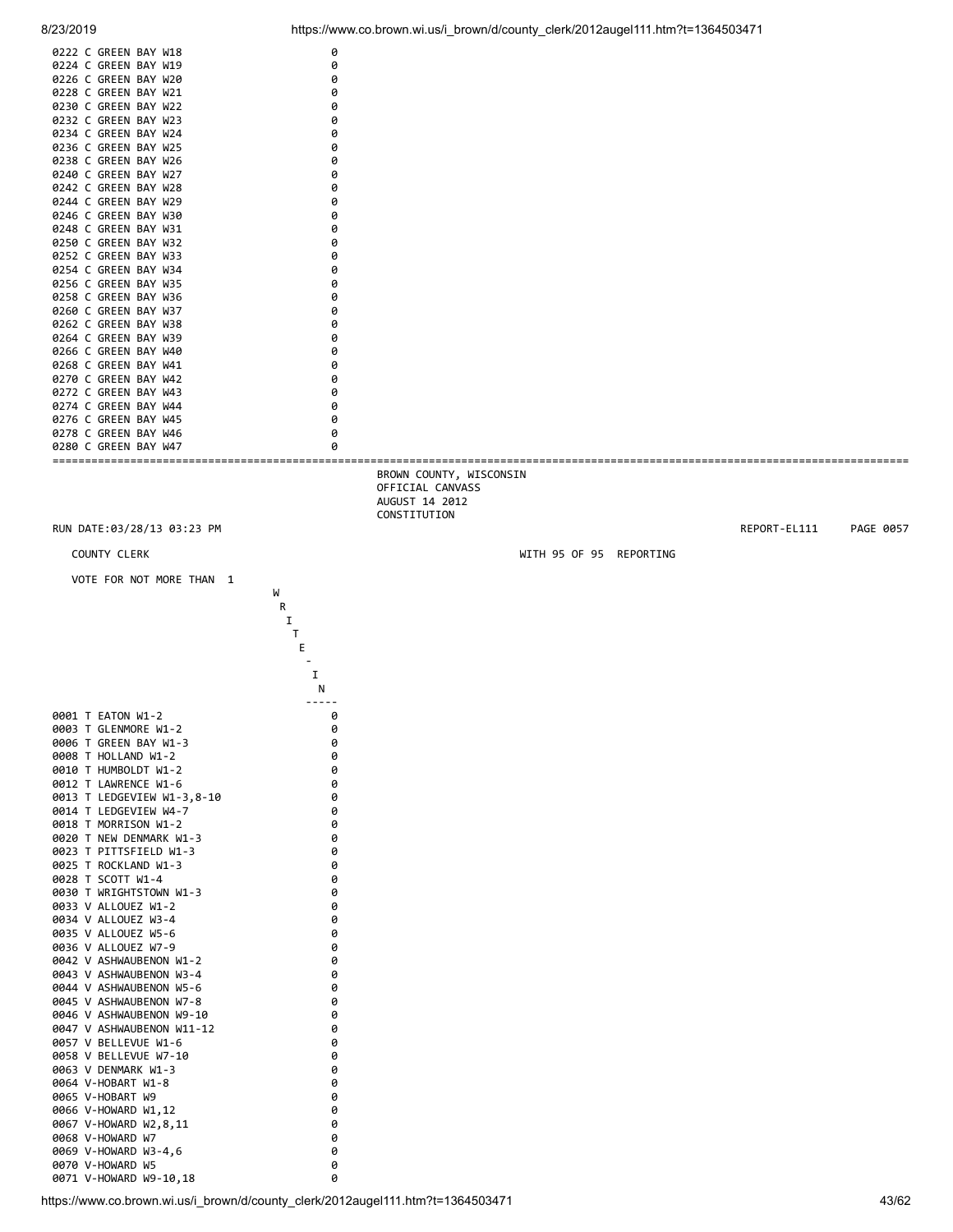![](_page_42_Figure_2.jpeg)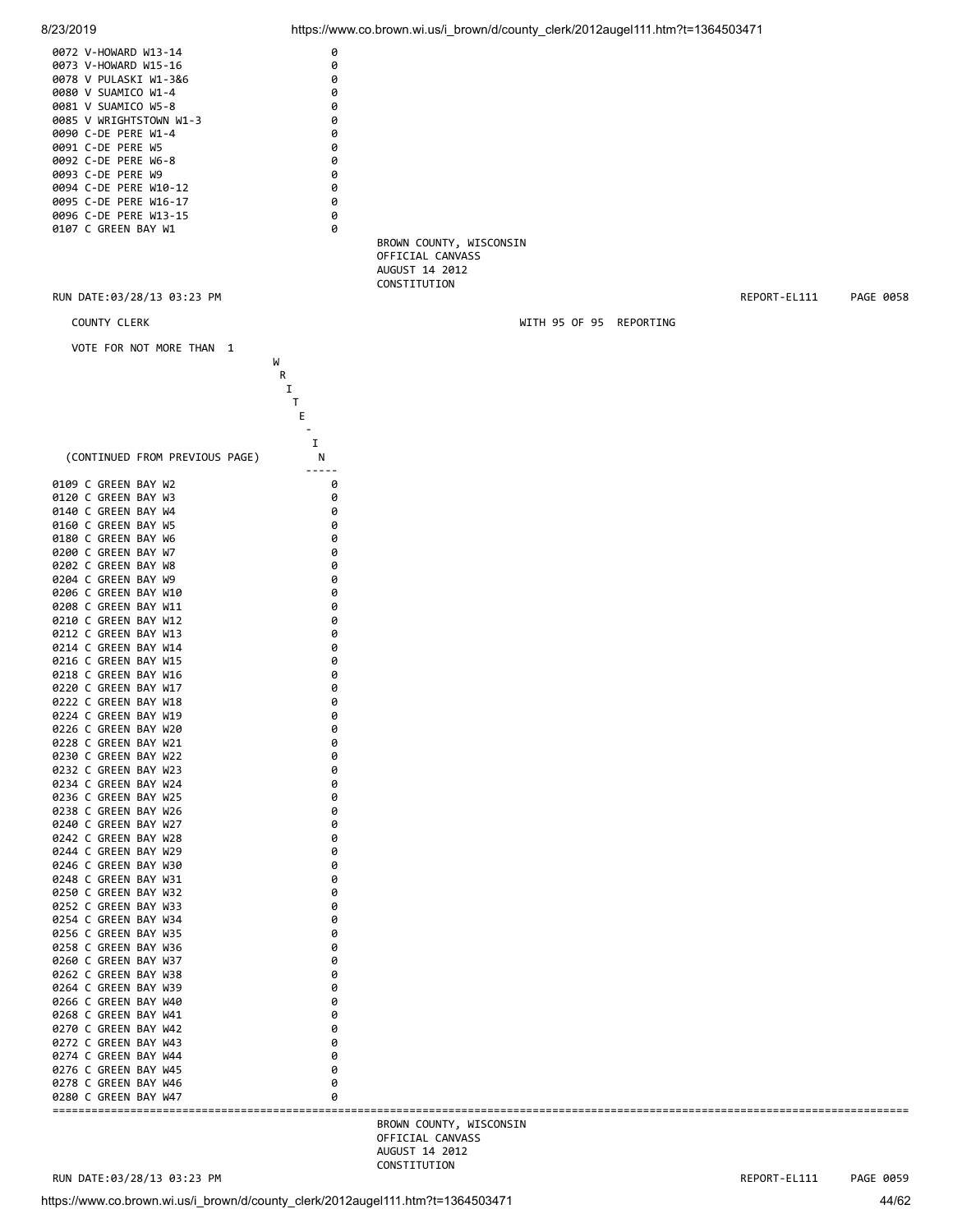![](_page_43_Figure_0.jpeg)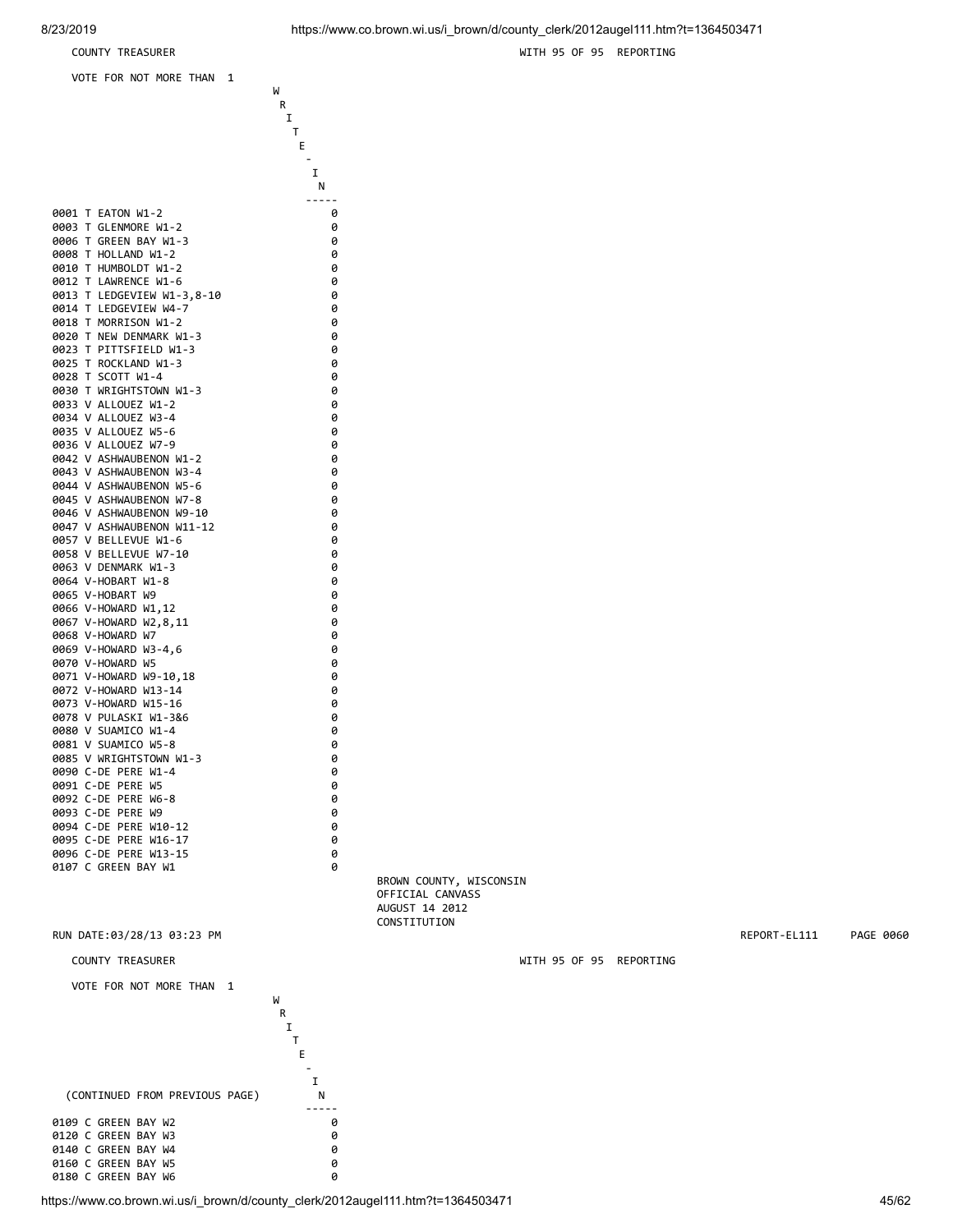0008 T HOLLAND W1-2 0

0012 T LAWRENCE W1-6 0

0023 T PITTSFIELD W1-3 0

0028 T SCOTT W1-4 0

0034 V ALLOUEZ W3-4 0

0042 V ASHWAUBENON W1-2

0044 V ASHWAUBENON W5-6

where the contract of the contract of the contract of the contract of the contract of the contract of the contract of the contract of the contract of the contract of the contract of the contract of the contract of the cont **R R I T T** Experience of the control of the control of the Experience of the Control of the Control of the Experience of the contract of the contract of the contract of the contract of the contract of I N ----- 0001 T EATON W1-2 0 0003 T GLENMORE W1-2 0 0006 T GREEN BAY W1-3 0<br>0008 T HOLLAND W1-2 0

0010 T HUMBOLDT W1-2 0<br>0012 T LAWRENCE W1-6 0 0 0

0013 T LEDGEVIEW W1-3,8-10<br>0014 T LEDGEVIEW W4-7 0 0014 T LEDGEVIEW W4-7 0<br>0018 T MORRTSON W1-2 0 0 0018 T MORRISON W1-2 0<br>0020 T NEW DENMARK W1-3 0 0020 T NEW DENMARK W1-3 0

0025 T ROCKLAND W1-3 0

0030 TWRIGHTSTOWN W1-3<br>0033 V ALLOUEZ W1-2 0033 V ALLOUEZ W1-2<br>0034 V ALLOUEZ W3-4 0

0035 V ALLOUEZ W5-6 0 0036 V ALLOUEZ W7-9<br>0042 V ASHWAUBENON W1-2 0

0043 V ASHWAUBENON W3-4<br>0044 V ASHWAUBENON W5-6 0

0045 V ASHWAUBENON W7-8 0<br>0046 V ASHWAUBENON W9-10 0

COUNTY TREASURER WITH 95 OF 95 REPORTING

![](_page_44_Figure_5.jpeg)

 BROWN COUNTY, WISCONSIN OFFICIAL CANVASS AUGUST 14 2012 CONSTITUTION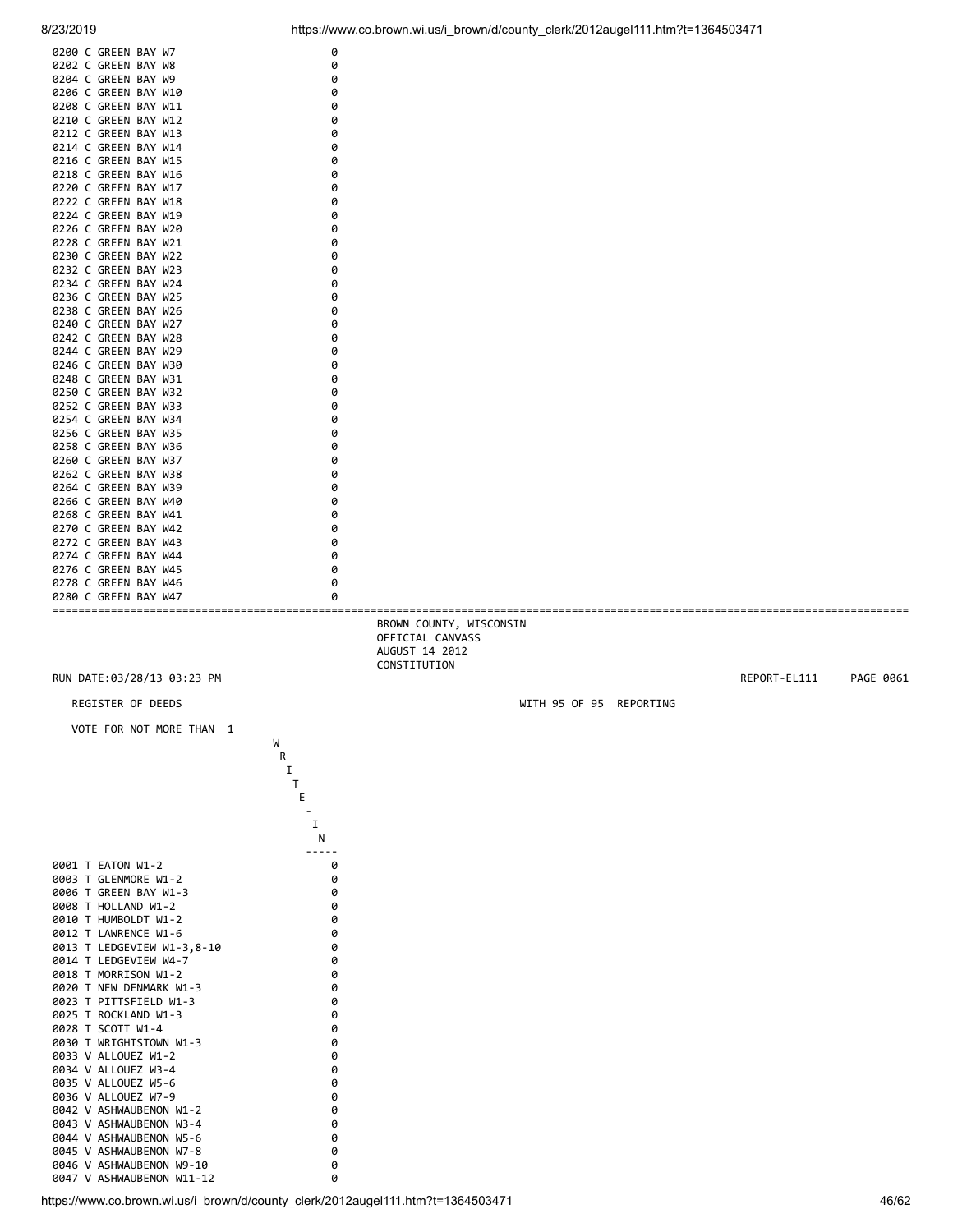![](_page_45_Figure_0.jpeg)

![](_page_45_Figure_2.jpeg)

https://www.co.brown.wi.us/i\_brown/d/county\_clerk/2012augel111.htm?t=1364503471 46/62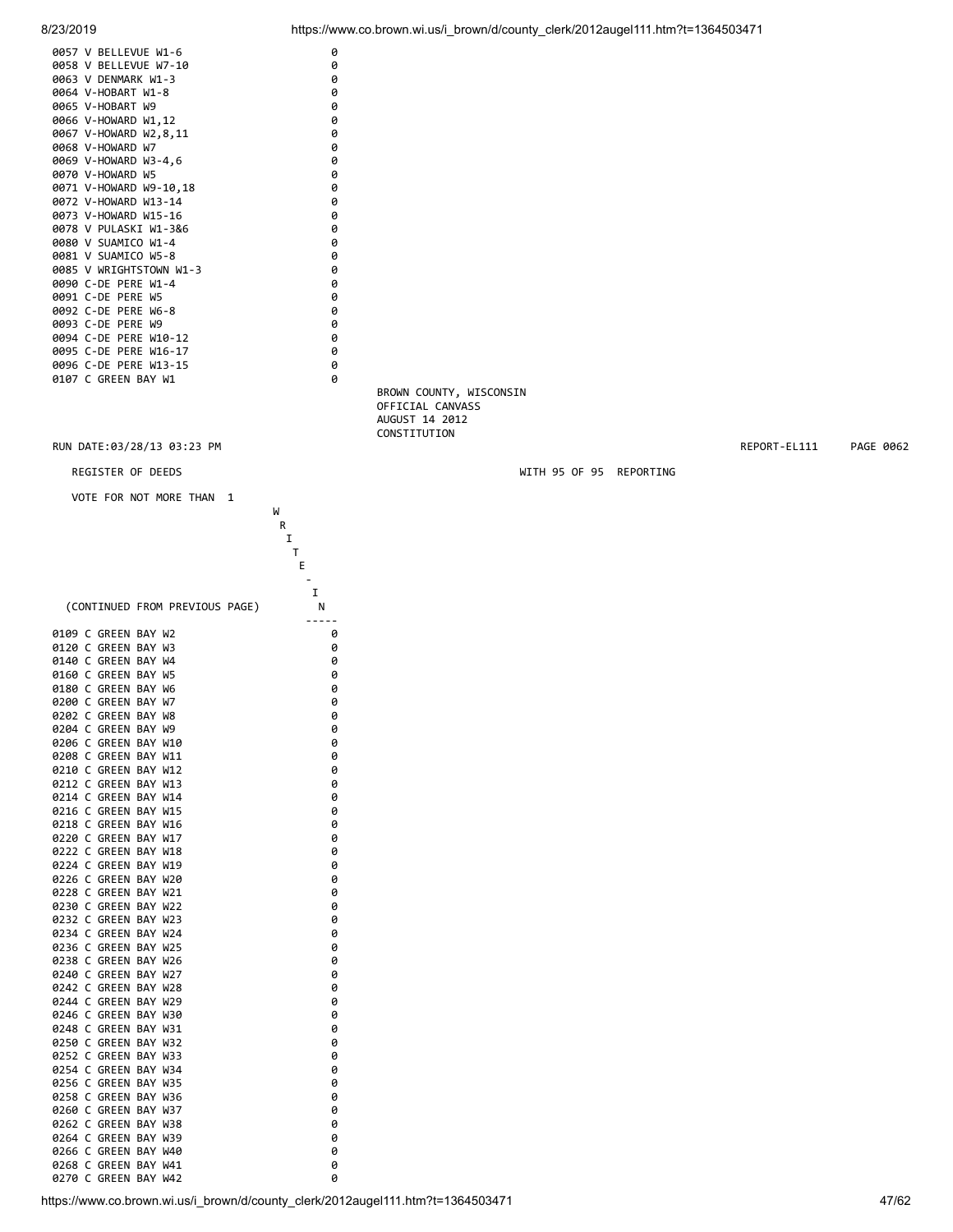![](_page_46_Figure_0.jpeg)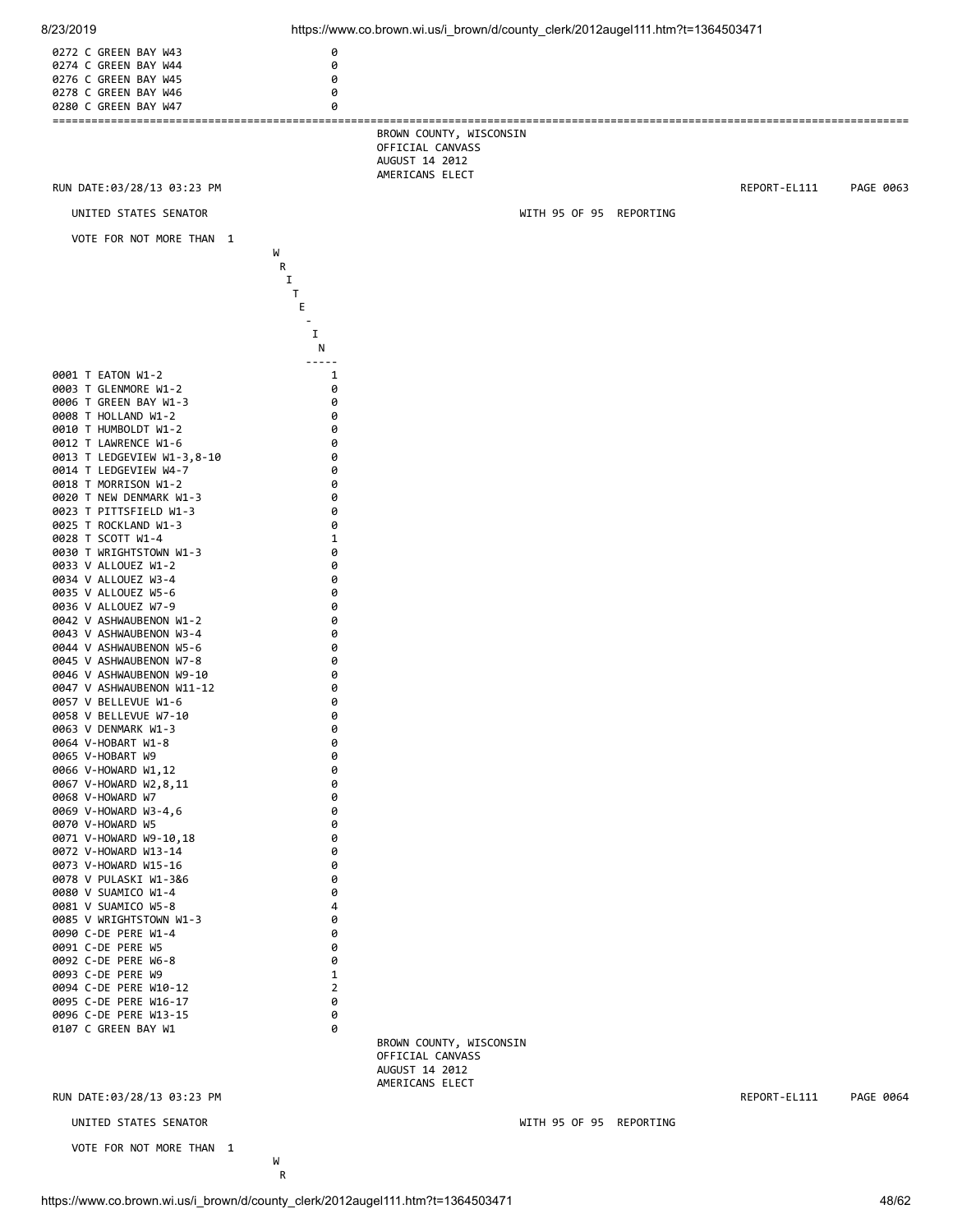| 8/23/2019                                                                                    |                  | https://www.co.brown.wi.us/i_brown/d/county_clerk/2012augel111.htm?t=1364503471 |                         |              |           |
|----------------------------------------------------------------------------------------------|------------------|---------------------------------------------------------------------------------|-------------------------|--------------|-----------|
| 0272 C GREEN BAY W43<br>0274 C GREEN BAY W44<br>0276 C GREEN BAY W45<br>0278 C GREEN BAY W46 | 0<br>0<br>0<br>0 |                                                                                 |                         |              |           |
| 0280 C GREEN BAY W47                                                                         | 0                |                                                                                 |                         |              |           |
|                                                                                              |                  | BROWN COUNTY, WISCONSIN<br>OFFICIAL CANVASS<br>AUGUST 14 2012                   |                         |              |           |
| RUN DATE:03/28/13 03:23 PM                                                                   |                  | AMERICANS ELECT                                                                 |                         | REPORT-EL111 | PAGE 0063 |
| UNITED STATES SENATOR                                                                        |                  |                                                                                 | WITH 95 OF 95 REPORTING |              |           |
| VOTE FOR NOT MORE THAN 1                                                                     |                  |                                                                                 |                         |              |           |
|                                                                                              | W<br>R           |                                                                                 |                         |              |           |
|                                                                                              | 1<br>T           |                                                                                 |                         |              |           |
|                                                                                              | Е                |                                                                                 |                         |              |           |
|                                                                                              | 1                |                                                                                 |                         |              |           |
|                                                                                              | N                |                                                                                 |                         |              |           |
| 0001 T EATON W1-2<br>0003 T GLENMORE W1-2                                                    | 1<br>0           |                                                                                 |                         |              |           |
| 0006 T GREEN BAY W1-3<br>0008 T HOLLAND W1-2                                                 | 0<br>0           |                                                                                 |                         |              |           |
| 0010 T HUMBOLDT W1-2                                                                         | 0                |                                                                                 |                         |              |           |
| 0012 T LAWRENCE W1-6<br>0013 T LEDGEVIEW W1-3,8-10                                           | 0<br>0           |                                                                                 |                         |              |           |
| 0014 T LEDGEVIEW W4-7<br>0018 T MORRISON W1-2                                                | 0<br>0           |                                                                                 |                         |              |           |
| 0020 T NEW DENMARK W1-3<br>0023 T PITTSFIELD W1-3                                            | 0<br>0           |                                                                                 |                         |              |           |
| 0025 T ROCKLAND W1-3                                                                         | 0                |                                                                                 |                         |              |           |
| 0028 T SCOTT W1-4<br>0030 T WRIGHTSTOWN W1-3                                                 | 1<br>0           |                                                                                 |                         |              |           |
| 0033 V ALLOUEZ W1-2<br>0034 V ALLOUEZ W3-4                                                   | 0<br>0           |                                                                                 |                         |              |           |
| 0035 V ALLOUEZ W5-6                                                                          | 0<br>0           |                                                                                 |                         |              |           |
| 0036 V ALLOUEZ W7-9<br>0042 V ASHWAUBENON W1-2                                               | 0                |                                                                                 |                         |              |           |
| 0043 V ASHWAUBENON W3-4<br>0044 V ASHWAUBENON W5-6                                           | 0<br>0           |                                                                                 |                         |              |           |
| 0045 V ASHWAUBENON W7-8<br>0046 V ASHWAUBENON W9-10                                          | 0<br>0           |                                                                                 |                         |              |           |
| 0047 V ASHWAUBENON W11-12                                                                    | 0<br>0           |                                                                                 |                         |              |           |
| 0057 V BELLEVUE W1-6<br>0058 V BELLEVUE W7-10                                                | 0                |                                                                                 |                         |              |           |
| 0063 V DENMARK W1-3<br>0064 V-HOBART W1-8                                                    | 0<br>0           |                                                                                 |                         |              |           |
| 0065 V-HOBART W9<br>0066 V-HOWARD W1,12                                                      | 0<br>0           |                                                                                 |                         |              |           |
| 0067 V-HOWARD W2,8,11                                                                        | 0<br>0           |                                                                                 |                         |              |           |
| 0068 V-HOWARD W7<br>0069 V-HOWARD W3-4,6                                                     | 0                |                                                                                 |                         |              |           |
| 0070 V-HOWARD W5<br>0071 V-HOWARD W9-10,18                                                   | 0<br>0           |                                                                                 |                         |              |           |
| 0072 V-HOWARD W13-14<br>0073 V-HOWARD W15-16                                                 | 0<br>0           |                                                                                 |                         |              |           |
| 0078 V PULASKI W1-3&6                                                                        | 0<br>0           |                                                                                 |                         |              |           |
| 0080 V SUAMICO W1-4<br>0081 V SUAMICO W5-8                                                   | 4                |                                                                                 |                         |              |           |
| 0085 V WRIGHTSTOWN W1-3<br>0090 C-DE PERE W1-4                                               | 0<br>0           |                                                                                 |                         |              |           |
| 0091 C-DE PERE W5<br>0092 C-DE PERE W6-8                                                     | 0<br>0           |                                                                                 |                         |              |           |
| 0093 C-DE PERE W9                                                                            | 1                |                                                                                 |                         |              |           |
| 0094 C-DE PERE W10-12<br>0095 C-DE PERE W16-17                                               | 2<br>0           |                                                                                 |                         |              |           |
| 0096 C-DE PERE W13-15<br>0107 C GREEN BAY W1                                                 | 0<br>0           |                                                                                 |                         |              |           |
|                                                                                              |                  | BROWN COUNTY, WISCONSIN<br>OFFICIAL CANVASS                                     |                         |              |           |
|                                                                                              |                  | AUGUST 14 2012                                                                  |                         |              |           |
| RUN DATE:03/28/13 03:23 PM                                                                   |                  | AMERICANS ELECT                                                                 |                         | REPORT-EL111 | PAGE 0064 |
| UNITED STATES SENATOR                                                                        |                  |                                                                                 | WITH 95 OF 95 REPORTING |              |           |
| VOTE FOR NOT MORE THAN 1                                                                     |                  |                                                                                 |                         |              |           |
|                                                                                              | W<br>R           |                                                                                 |                         |              |           |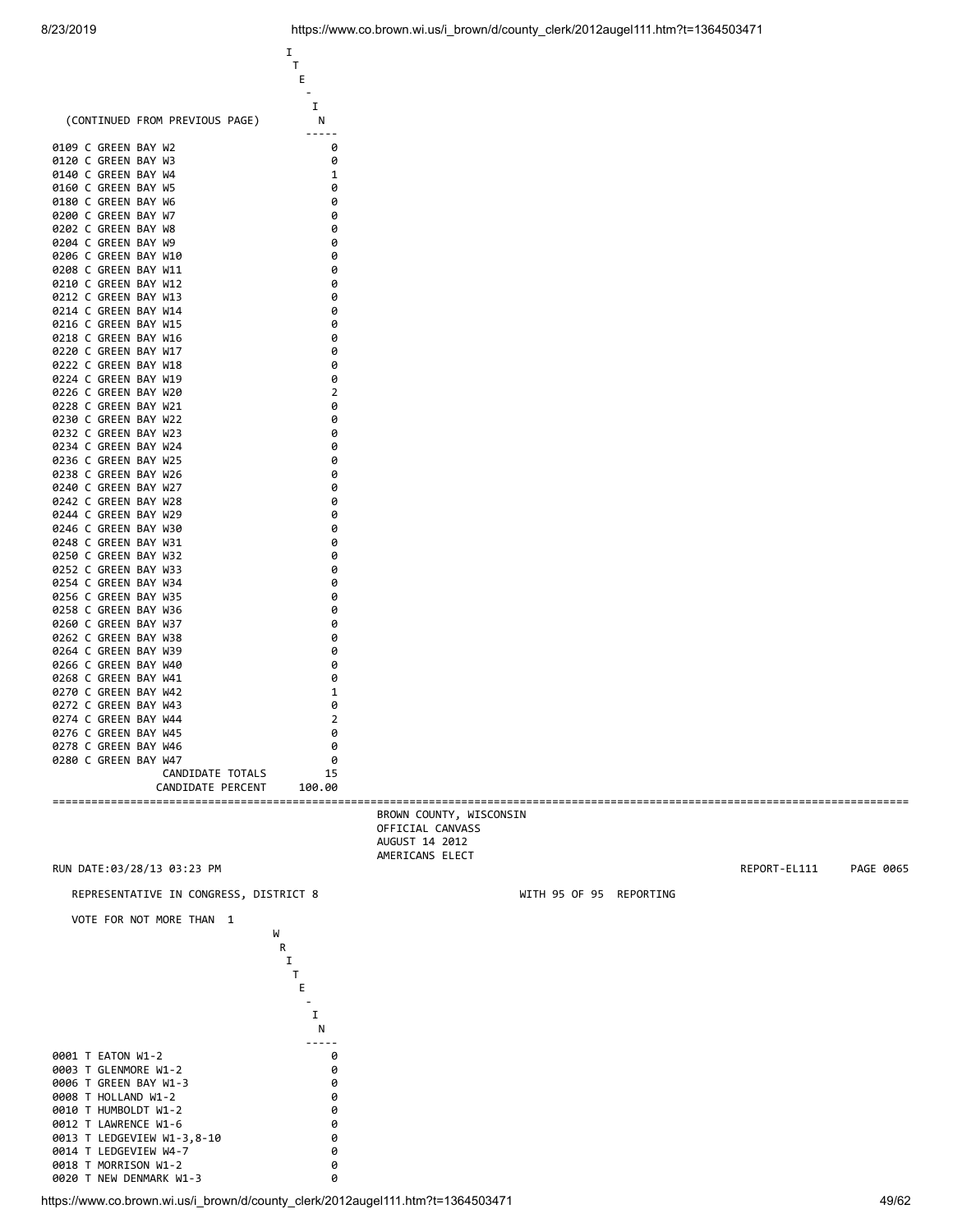![](_page_48_Figure_2.jpeg)

https://www.co.brown.wi.us/i\_brown/d/county\_clerk/2012augel111.htm?t=1364503471 49/62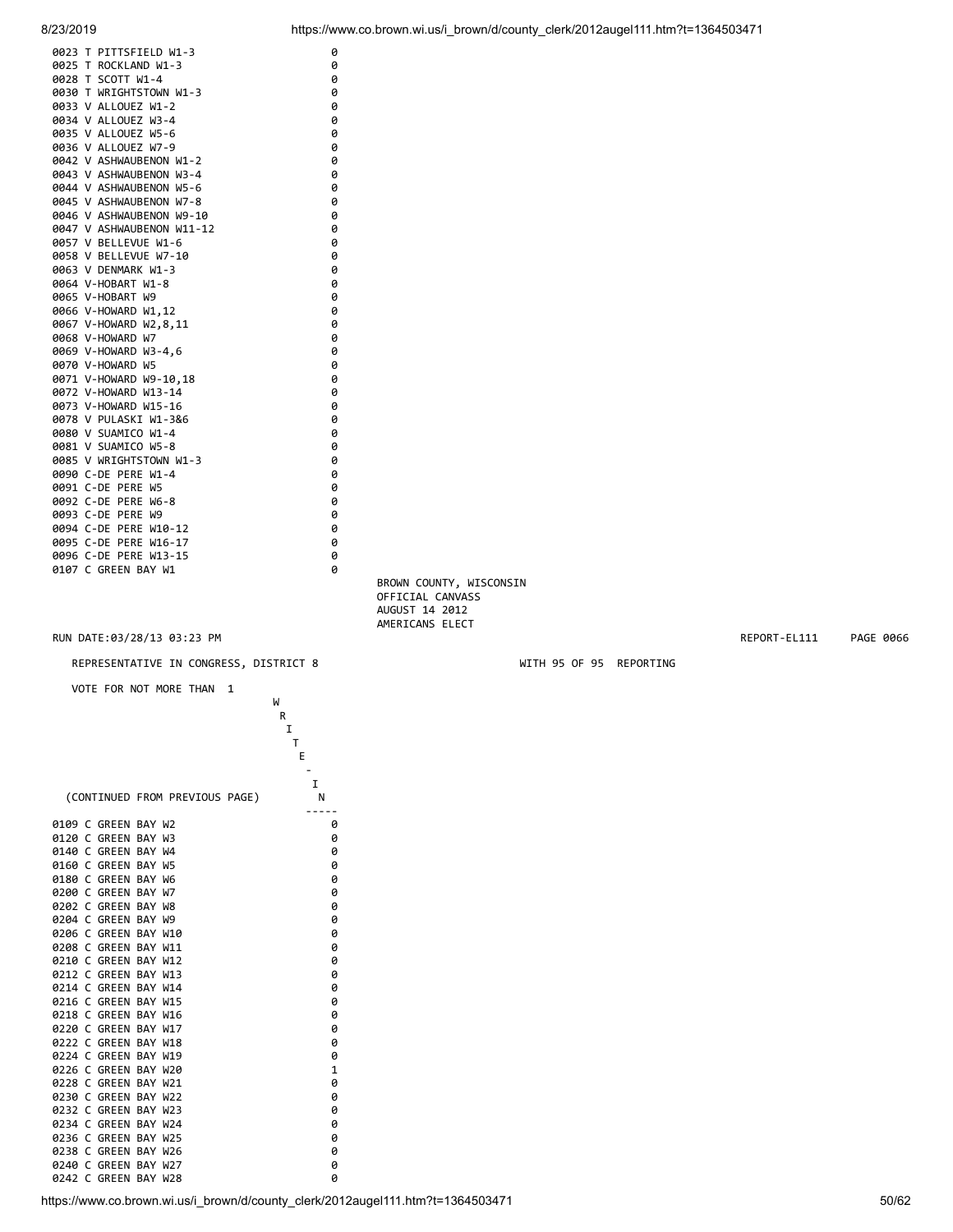| 0023 T PITTSFIELD W1-3                            | 0      |
|---------------------------------------------------|--------|
| 0025 T ROCKLAND W1-3                              | 0      |
| 0028 T SCOTT W1-4                                 | 0      |
| 0030 T WRIGHTSTOWN W1-3                           | 0      |
| 0033 V ALLOUEZ W1-2                               | 0      |
| 0034 V ALLOUEZ W3-4                               | 0      |
| 0035 V ALLOUEZ W5-6<br>0036 V ALLOUEZ W7-9        | 0<br>0 |
| 0042 V ASHWAUBENON W1-2                           | 0      |
| 0043 V ASHWAUBENON W3-4                           | 0      |
| 0044 V ASHWAUBENON W5-6                           | 0      |
| 0045 V ASHWAUBENON W7-8                           | 0      |
| 0046 V ASHWAUBENON W9-10                          | 0      |
|                                                   | 0      |
| 0047 V ASHWAUBENON W11-12<br>0057 V BELLEVUE W1-6 | 0      |
| 0058 V BELLEVUE W7-10                             |        |
| 0063 V DENMARK W1-3                               | 0<br>0 |
| 0064 V-HOBART W1-8                                | 0      |
| 0065 V-HOBART W9                                  | 0      |
| 0066 V-HOWARD W1,12                               |        |
| 0067 V-HOWARD W2,8,11                             | 0<br>0 |
| 0068 V-HOWARD W7                                  | 0      |
| 0069 V-HOWARD W3-4.6                              | 0      |
| 0070 V-HOWARD W5                                  | 0      |
| 0071 V-HOWARD W9-10.18                            | 0      |
| 0072 V-HOWARD W13-14                              | 0      |
| 0073 V-HOWARD W15-16                              | 0      |
| 0078 V PULASKI W1-3&6                             | 0      |
| 0080 V SUAMICO W1-4                               | 0      |
| 0081 V SUAMICO W5-8                               | 0      |
| 0085 V WRIGHTSTOWN W1-3                           | 0      |
| 0090 C-DE PERE W1-4                               | 0      |
| 0091 C-DE PERE W5                                 | 0      |
| 0092 C-DE PERE W6-8                               | 0      |
| 0093 C-DE PERE W9                                 | 0      |
| 0094 C-DE PERE W10-12                             | 0      |
| 0095 C-DE PERE W16-17                             | 0      |
| 0096 C-DE PERE W13-15                             | 0      |
| 0107 C GREEN BAY W1                               | 0      |
|                                                   |        |
|                                                   |        |
|                                                   |        |

 BROWN COUNTY, WISCONSIN OFFICIAL CANVASS AUGUST 14 2012 AMERICANS ELECT

REPRESENTATIVE IN CONGRESS, DISTRICT 8 WITH 95 OF 95 REPORTING

VOTE FOR NOT MORE THAN 1

|                                      |                                | W |
|--------------------------------------|--------------------------------|---|
|                                      |                                | R |
|                                      |                                | I |
|                                      |                                | т |
|                                      |                                | E |
|                                      |                                |   |
|                                      |                                | I |
|                                      | (CONTINUED FROM PREVIOUS PAGE) | N |
| 0109 C GREEN                         | BAY W2                         | 0 |
| 0120<br>C<br><b>GREEN</b>            | BAY W3                         | 0 |
| 0140<br>C<br><b>GREEN</b>            | BAY W4                         | 0 |
| 0160<br>C<br><b>GREEN</b>            | BAY<br>W <sub>5</sub>          | 0 |
| $\mathsf{C}$<br>GREEN<br>0180        | BAY<br>W <sub>6</sub>          | 0 |
| 0200<br>C<br>GREEN                   | BAY<br>W7                      | 0 |
| 0202<br>C<br><b>GREEN</b>            | BAY<br>W8                      | 0 |
| 0204<br>C<br>GREEN                   | BAY<br>W <sub>9</sub>          | 0 |
| 0206<br>C<br><b>GREEN</b>            | BAY W10                        | 0 |
| C<br><b>GREEN</b><br>0208            | BAY W11                        | 0 |
| 0210<br>C<br><b>GREEN</b>            | BAY<br>W <sub>12</sub>         | 0 |
| C<br>0212<br><b>GREEN</b>            | BAY<br>W13                     | 0 |
| C<br>0214<br><b>GREEN</b>            | BAY W14                        | 0 |
| C<br>0216<br><b>GREEN</b>            | BAY<br>W <sub>15</sub>         | 0 |
| 0218<br>$\mathsf{C}$<br><b>GREEN</b> | BAY W16                        | 0 |
| 0220<br>$\mathsf{C}$<br><b>GREEN</b> | BAY<br>W17                     | 0 |
| 0222<br><b>GREEN</b><br>r            | BAY<br>W <sub>18</sub>         | 0 |
| 0224<br>C<br><b>GREEN</b>            | BAY<br>W19                     | 0 |
| $\mathsf{C}$<br>0226<br>GREEN        | BAY<br>W20                     | 1 |
| 0228<br>C<br>GREEN                   | BAY<br>W <sub>21</sub>         | 0 |
| 0230<br>C<br><b>GREEN</b>            | BAY<br>W <sub>22</sub>         | 0 |
| 0232<br>C<br><b>GREEN</b>            | BAY<br>W <sub>23</sub>         | 0 |
| 0234<br>C<br><b>GREEN</b>            | BAY W24                        | 0 |
| 0236<br>C<br><b>GREEN</b>            | BAY<br>W <sub>25</sub>         | 0 |
| 0238<br>C<br><b>GREEN</b>            | BAY<br>W <sub>26</sub>         | 0 |
| C<br>0240<br>GREEN                   | BAY<br>W <sub>27</sub>         | 0 |
| C<br>0242<br><b>GREEN</b>            | BAY<br>W <sub>28</sub>         | 0 |

RUN DATE:03/28/13 03:23 PM REPORT-EL111 PAGE 0066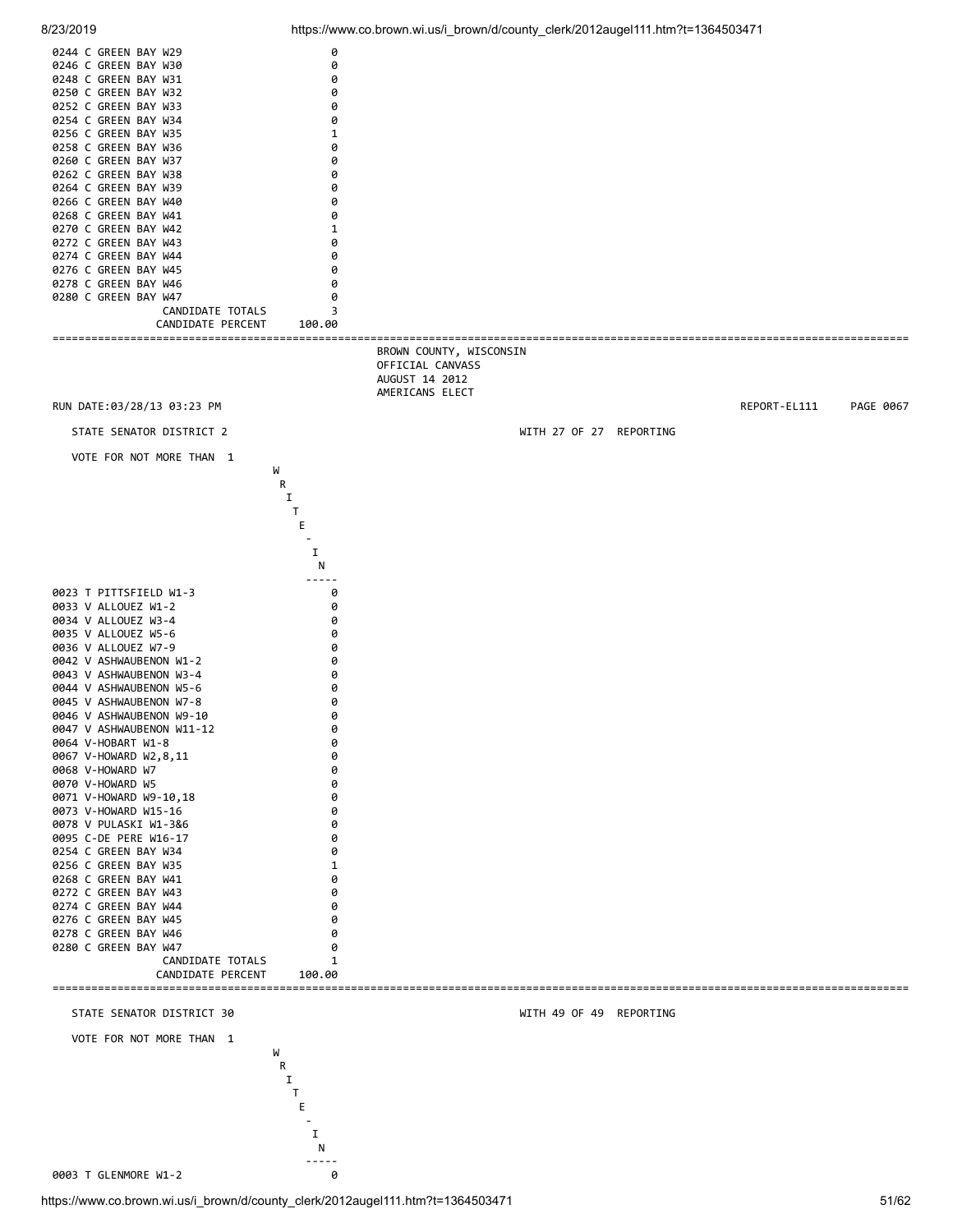![](_page_50_Figure_0.jpeg)

![](_page_50_Figure_2.jpeg)

-----

0003 T GLENMORE W1-2 0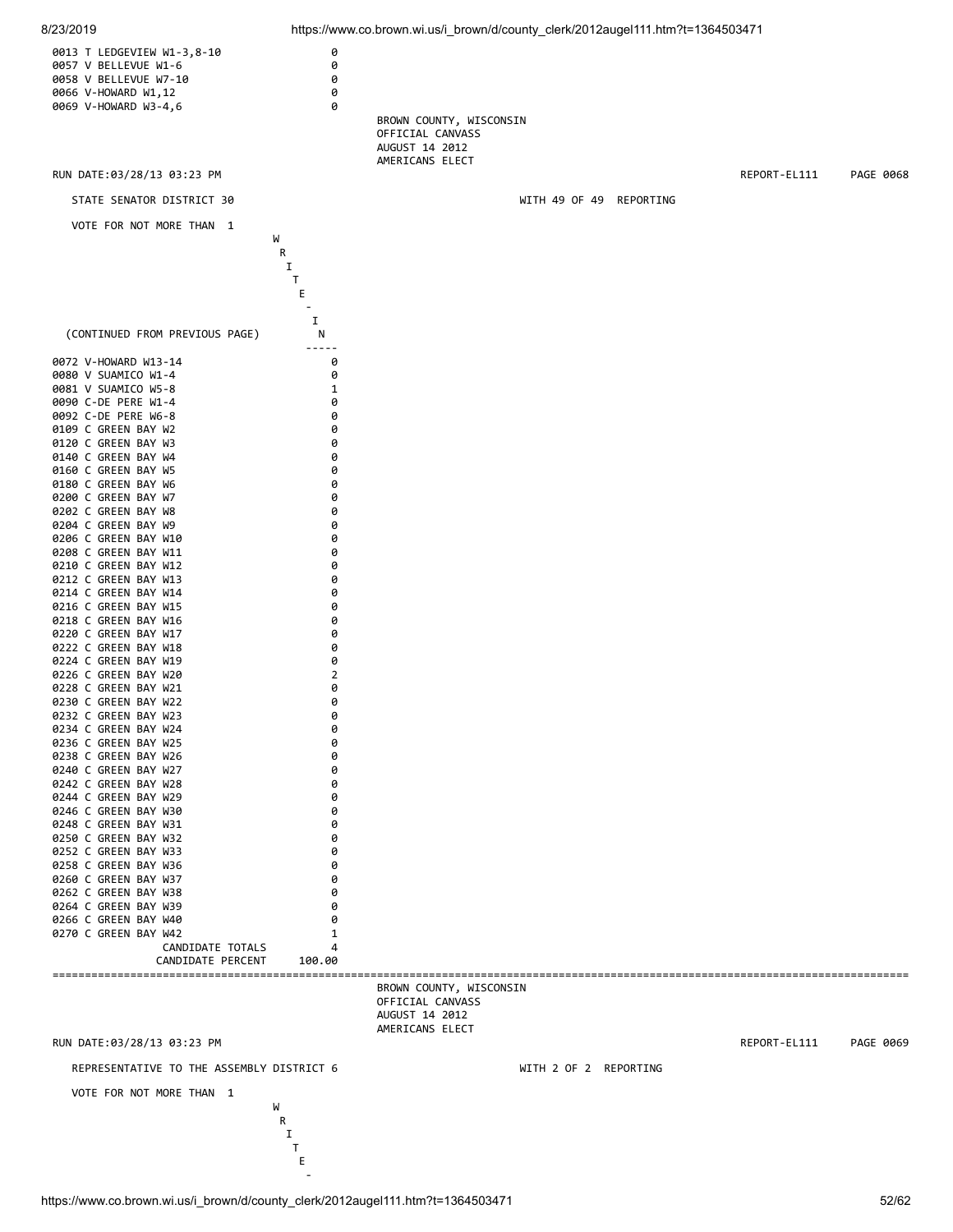![](_page_51_Figure_0.jpeg)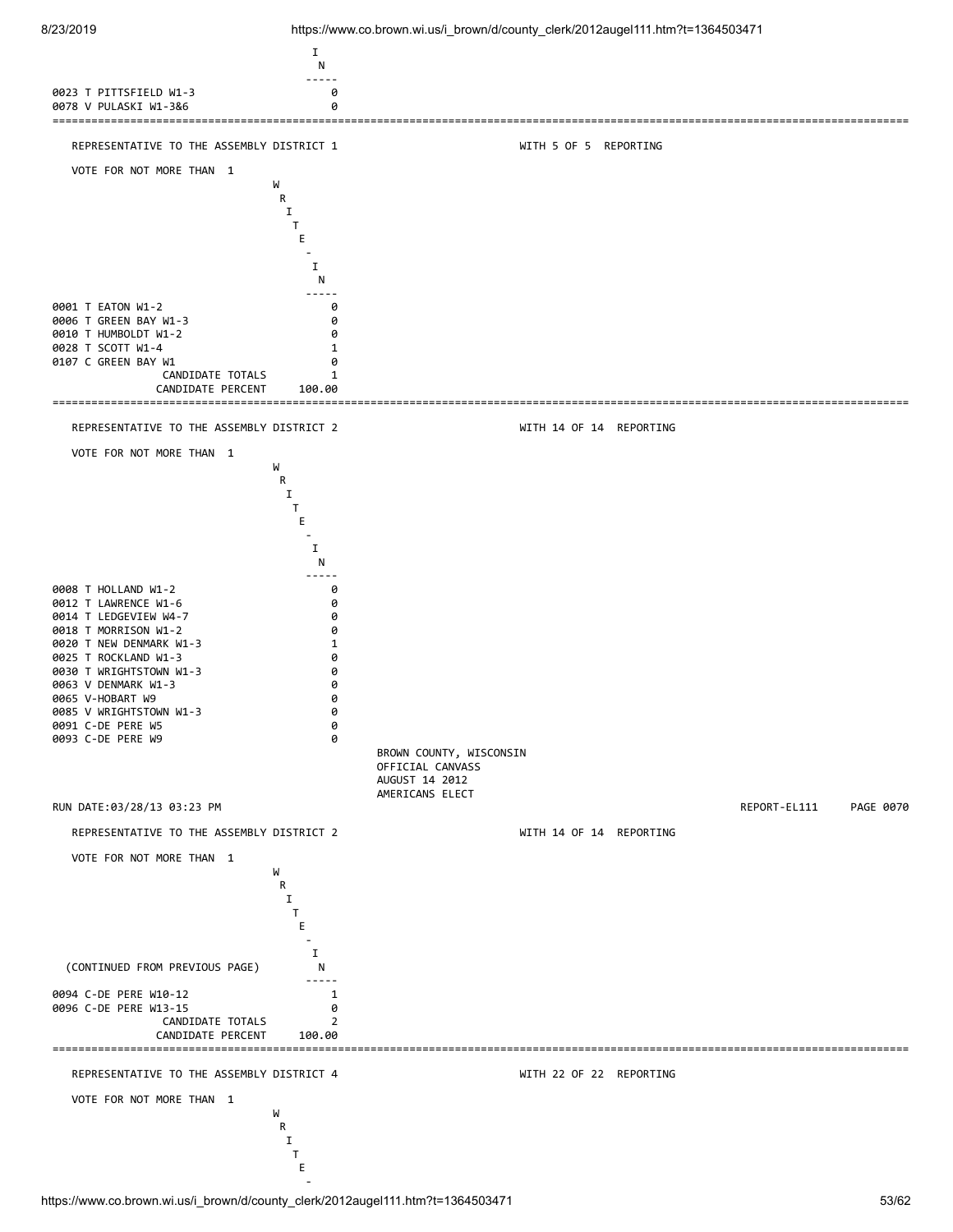![](_page_52_Figure_2.jpeg)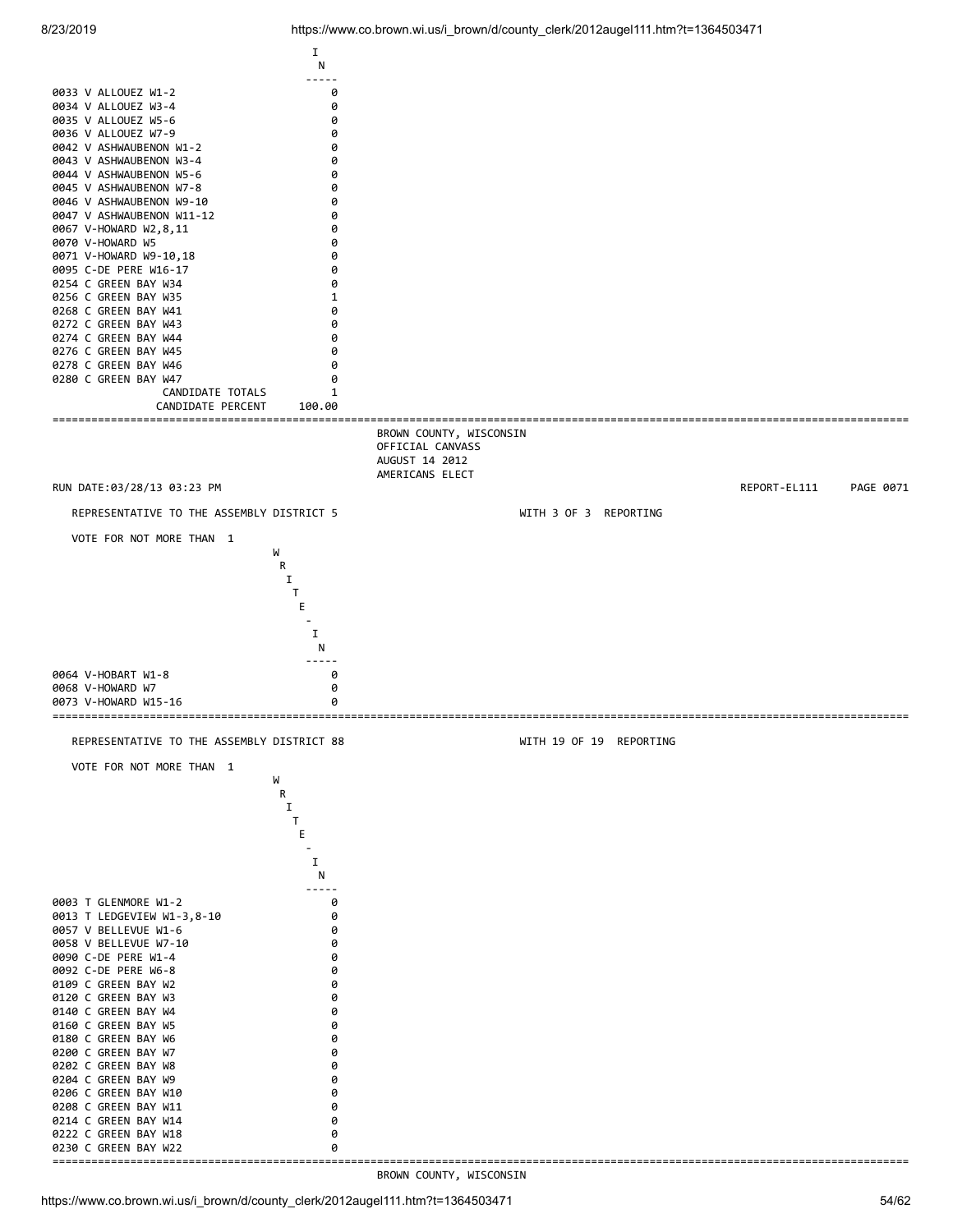![](_page_53_Figure_2.jpeg)

BROWN COUNTY, WISCONSIN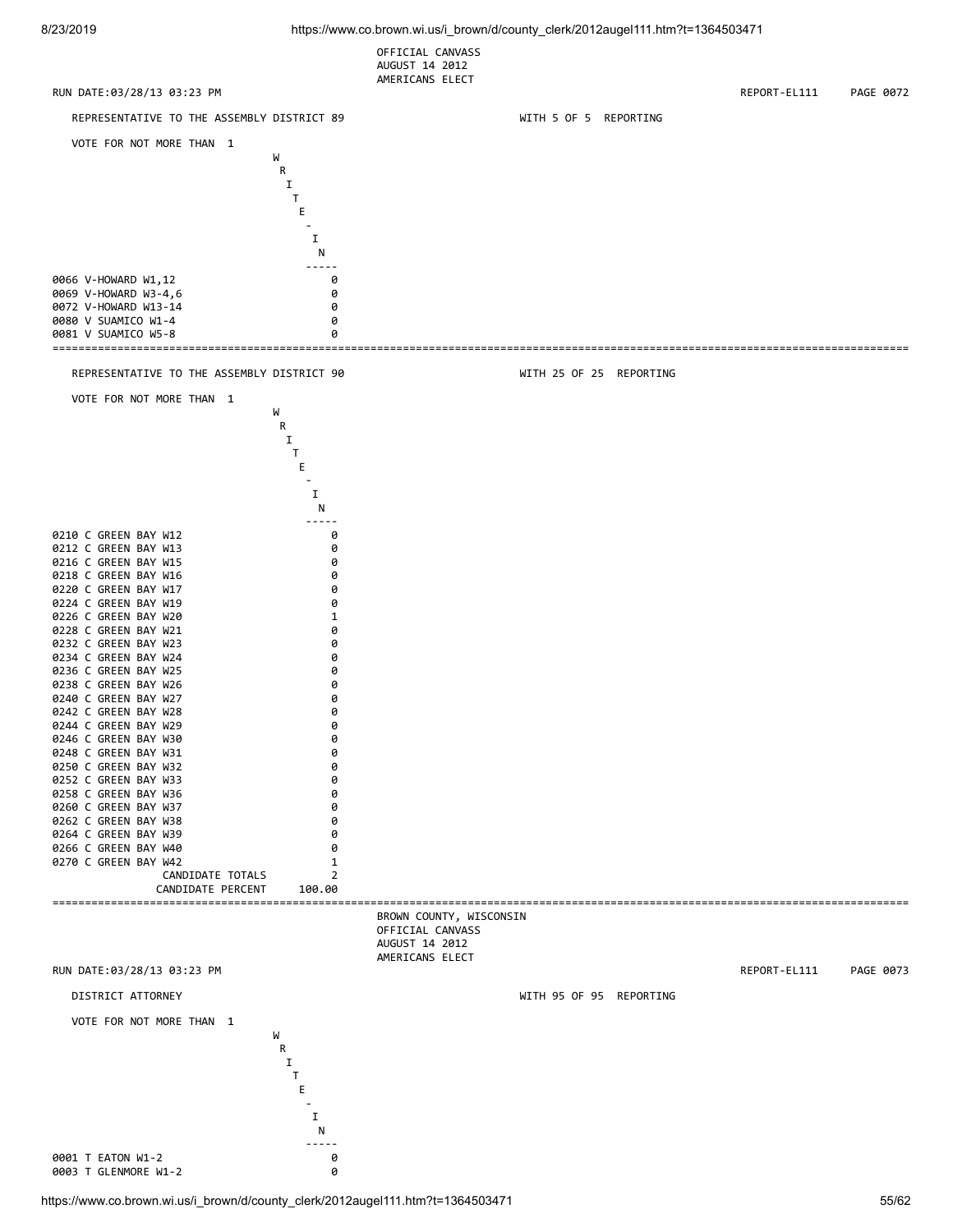OFFICIAL CANVASS AUGUST 14 2012 AMERICANS ELECT

![](_page_54_Figure_3.jpeg)

https://www.co.brown.wi.us/i\_brown/d/county\_clerk/2012augel111.htm?t=1364503471 55/62

0003 T GLENMORE W1-2 0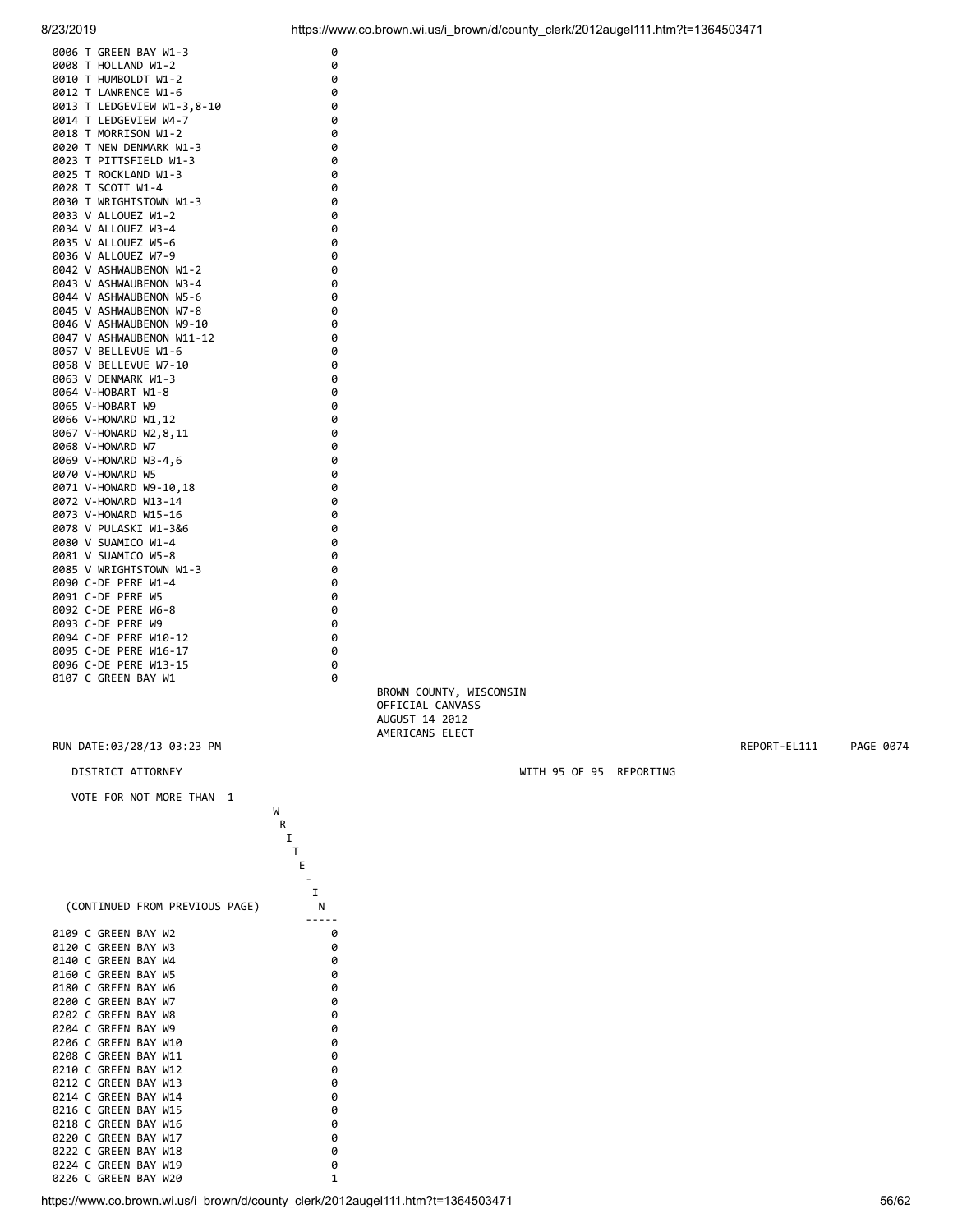![](_page_55_Figure_0.jpeg)

| 0006 T GREEN BAY W1-3                        |                                | 0            |                                                                                 |                         |              |           |
|----------------------------------------------|--------------------------------|--------------|---------------------------------------------------------------------------------|-------------------------|--------------|-----------|
| 0008 T HOLLAND W1-2                          |                                | 0            |                                                                                 |                         |              |           |
| 0010 T HUMBOLDT W1-2                         |                                | 0            |                                                                                 |                         |              |           |
| 0012 T LAWRENCE W1-6                         |                                | 0<br>0       |                                                                                 |                         |              |           |
| 0014 T LEDGEVIEW W4-7                        | 0013 T LEDGEVIEW W1-3,8-10     | 0            |                                                                                 |                         |              |           |
| 0018 T MORRISON W1-2                         |                                | 0            |                                                                                 |                         |              |           |
| 0020 T NEW DENMARK W1-3                      |                                | 0            |                                                                                 |                         |              |           |
| 0023 T PITTSFIELD W1-3                       |                                | 0            |                                                                                 |                         |              |           |
| 0025 T ROCKLAND W1-3                         |                                | 0            |                                                                                 |                         |              |           |
| 0028 T SCOTT W1-4                            |                                | 0            |                                                                                 |                         |              |           |
| 0030 T WRIGHTSTOWN W1-3                      |                                | 0            |                                                                                 |                         |              |           |
| 0033 V ALLOUEZ W1-2                          |                                | 0            |                                                                                 |                         |              |           |
| 0034 V ALLOUEZ W3-4                          |                                | 0            |                                                                                 |                         |              |           |
| 0035 V ALLOUEZ W5-6<br>0036 V ALLOUEZ W7-9   |                                | 0<br>0       |                                                                                 |                         |              |           |
| 0042 V ASHWAUBENON W1-2                      |                                | 0            |                                                                                 |                         |              |           |
| 0043 V ASHWAUBENON W3-4                      |                                | 0            |                                                                                 |                         |              |           |
| 0044 V ASHWAUBENON W5-6                      |                                | 0            |                                                                                 |                         |              |           |
| 0045 V ASHWAUBENON W7-8                      |                                | 0            |                                                                                 |                         |              |           |
|                                              | 0046 V ASHWAUBENON W9-10       | 0            |                                                                                 |                         |              |           |
|                                              | 0047 V ASHWAUBENON W11-12      | 0            |                                                                                 |                         |              |           |
| 0057 V BELLEVUE W1-6                         |                                | 0            |                                                                                 |                         |              |           |
| 0058 V BELLEVUE W7-10                        |                                | 0            |                                                                                 |                         |              |           |
| 0063 V DENMARK W1-3                          |                                | 0            |                                                                                 |                         |              |           |
| 0064 V-HOBART W1-8                           |                                | 0            |                                                                                 |                         |              |           |
| 0065 V-HOBART W9                             |                                | 0            |                                                                                 |                         |              |           |
| 0066 V-HOWARD W1,12                          |                                | 0<br>0       |                                                                                 |                         |              |           |
| 0067 V-HOWARD W2,8,11<br>0068 V-HOWARD W7    |                                | 0            |                                                                                 |                         |              |           |
| 0069 V-HOWARD W3-4,6                         |                                | 0            |                                                                                 |                         |              |           |
| 0070 V-HOWARD W5                             |                                | 0            |                                                                                 |                         |              |           |
| 0071 V-HOWARD W9-10,18                       |                                | 0            |                                                                                 |                         |              |           |
| 0072 V-HOWARD W13-14                         |                                | 0            |                                                                                 |                         |              |           |
| 0073 V-HOWARD W15-16                         |                                | 0            |                                                                                 |                         |              |           |
| 0078 V PULASKI W1-3&6                        |                                | 0            |                                                                                 |                         |              |           |
| 0080 V SUAMICO W1-4                          |                                | 0            |                                                                                 |                         |              |           |
| 0081 V SUAMICO W5-8                          |                                | 0            |                                                                                 |                         |              |           |
| 0085 V WRIGHTSTOWN W1-3                      |                                | 0            |                                                                                 |                         |              |           |
| 0090 C-DE PERE W1-4                          |                                | 0            |                                                                                 |                         |              |           |
| 0091 C-DE PERE W5<br>0092 C-DE PERE W6-8     |                                | 0<br>0       |                                                                                 |                         |              |           |
| 0093 C-DE PERE W9                            |                                | 0            |                                                                                 |                         |              |           |
| 0094 C-DE PERE W10-12                        |                                | 0            |                                                                                 |                         |              |           |
| 0095 C-DE PERE W16-17                        |                                | 0            |                                                                                 |                         |              |           |
| 0096 C-DE PERE W13-15                        |                                | 0            |                                                                                 |                         |              |           |
| 0107 C GREEN BAY W1                          |                                | 0            |                                                                                 |                         |              |           |
|                                              |                                |              | BROWN COUNTY, WISCONSIN                                                         |                         |              |           |
|                                              |                                |              | OFFICIAL CANVASS                                                                |                         |              |           |
|                                              |                                |              | AUGUST 14 2012                                                                  |                         |              |           |
|                                              |                                |              | AMERICANS ELECT                                                                 |                         |              |           |
|                                              | RUN DATE:03/28/13 03:23 PM     |              |                                                                                 |                         | REPORT-EL111 | PAGE 0074 |
| DISTRICT ATTORNEY                            |                                |              |                                                                                 | WITH 95 OF 95 REPORTING |              |           |
|                                              |                                |              |                                                                                 |                         |              |           |
|                                              | VOTE FOR NOT MORE THAN 1       |              |                                                                                 |                         |              |           |
|                                              |                                | W            |                                                                                 |                         |              |           |
|                                              |                                | R            |                                                                                 |                         |              |           |
|                                              |                                | I            |                                                                                 |                         |              |           |
|                                              |                                | T.<br>Е      |                                                                                 |                         |              |           |
|                                              |                                |              |                                                                                 |                         |              |           |
|                                              |                                | 1            |                                                                                 |                         |              |           |
|                                              | (CONTINUED FROM PREVIOUS PAGE) | N            |                                                                                 |                         |              |           |
|                                              |                                |              |                                                                                 |                         |              |           |
| 0109 C GREEN BAY W2                          |                                | 0            |                                                                                 |                         |              |           |
| 0120 C GREEN BAY W3                          |                                | 0            |                                                                                 |                         |              |           |
| 0140 C GREEN BAY W4                          |                                | 0            |                                                                                 |                         |              |           |
| 0160 C GREEN BAY W5                          |                                | 0            |                                                                                 |                         |              |           |
| 0180 C GREEN BAY W6                          |                                | 0            |                                                                                 |                         |              |           |
| 0200 C GREEN BAY W7                          |                                | 0            |                                                                                 |                         |              |           |
| 0202 C GREEN BAY W8                          |                                | 0            |                                                                                 |                         |              |           |
| 0204 C GREEN BAY W9                          |                                | 0            |                                                                                 |                         |              |           |
| 0206 C GREEN BAY W10<br>0208 C GREEN BAY W11 |                                | 0<br>0       |                                                                                 |                         |              |           |
| 0210 C GREEN BAY W12                         |                                | 0            |                                                                                 |                         |              |           |
| 0212 C GREEN BAY W13                         |                                | 0            |                                                                                 |                         |              |           |
| 0214 C GREEN BAY W14                         |                                | 0            |                                                                                 |                         |              |           |
| 0216 C GREEN BAY W15                         |                                | 0            |                                                                                 |                         |              |           |
| 0218 C GREEN BAY W16                         |                                | 0            |                                                                                 |                         |              |           |
| 0220 C GREEN BAY W17                         |                                | 0            |                                                                                 |                         |              |           |
| 0222 C GREEN BAY W18                         |                                | 0            |                                                                                 |                         |              |           |
| 0224 C GREEN BAY W19                         |                                | 0            |                                                                                 |                         |              |           |
| 0226 C GREEN BAY W20                         |                                | $\mathbf{1}$ |                                                                                 |                         |              |           |
|                                              |                                |              | https://www.co.brown.wi.us/i_brown/d/county_clerk/2012augel111.htm?t=1364503471 |                         |              | 56/62     |
|                                              |                                |              |                                                                                 |                         |              |           |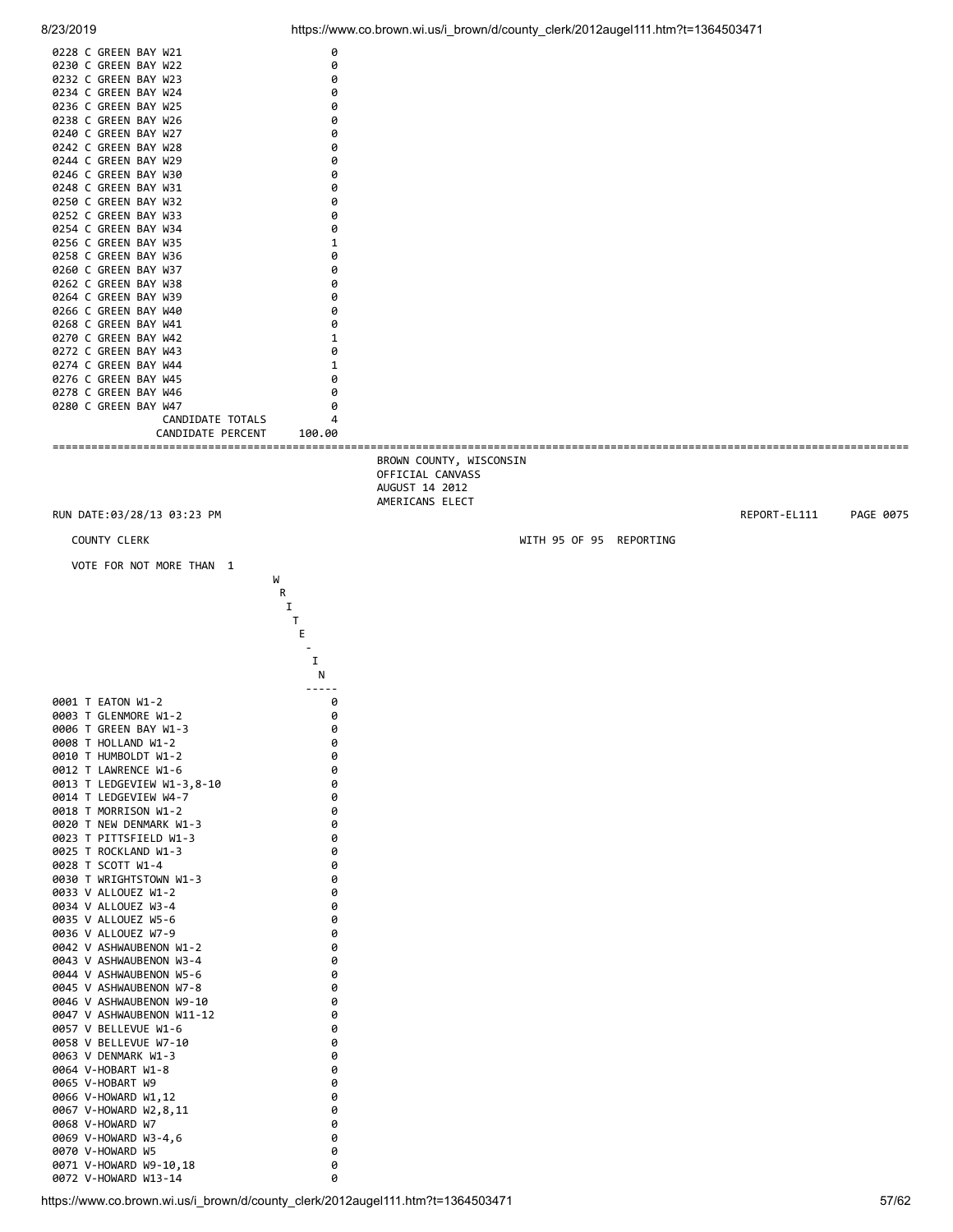![](_page_56_Figure_2.jpeg)

0072 V-HOWARD W13-14 0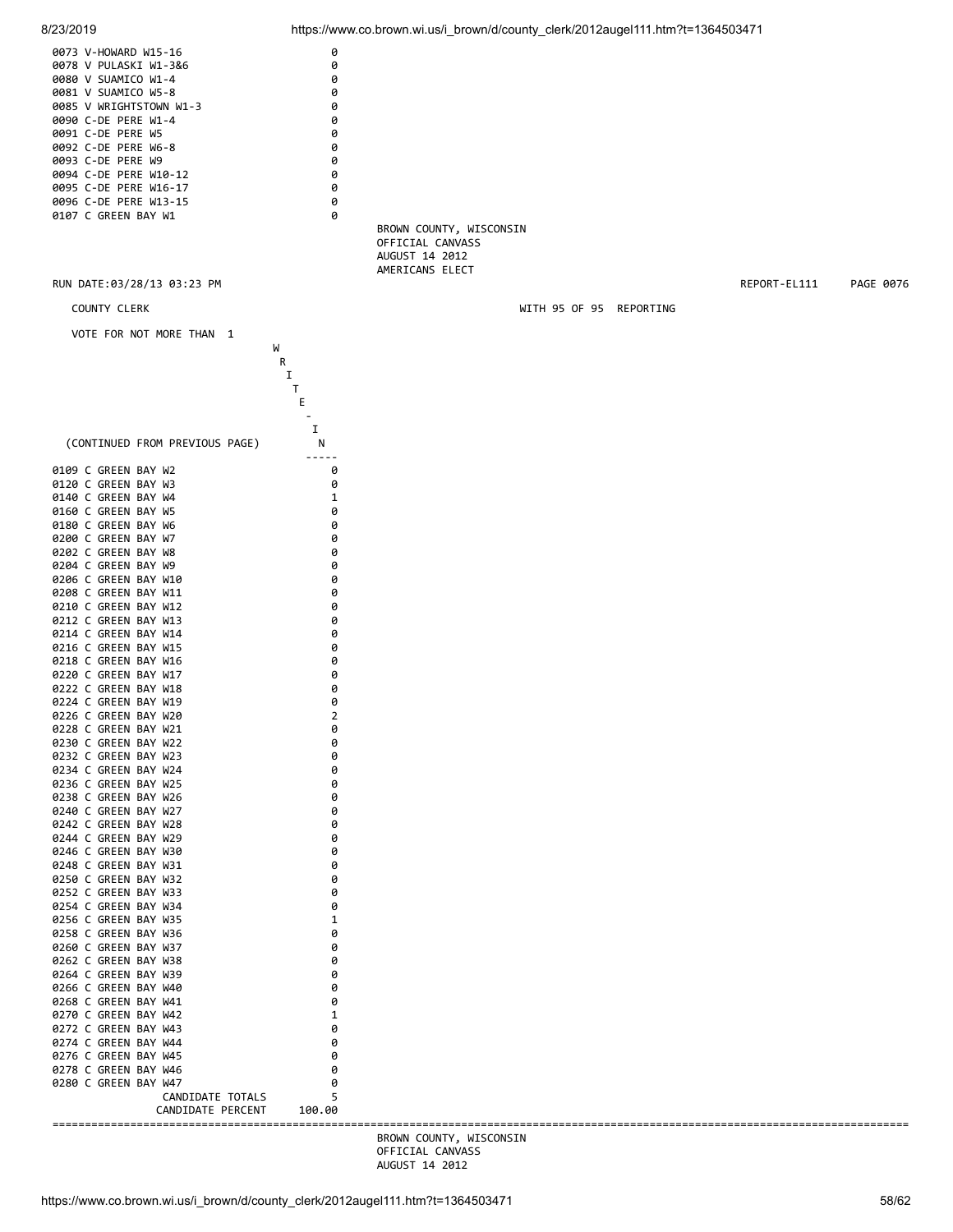![](_page_57_Figure_0.jpeg)

 OFFICIAL CANVASS AUGUST 14 2012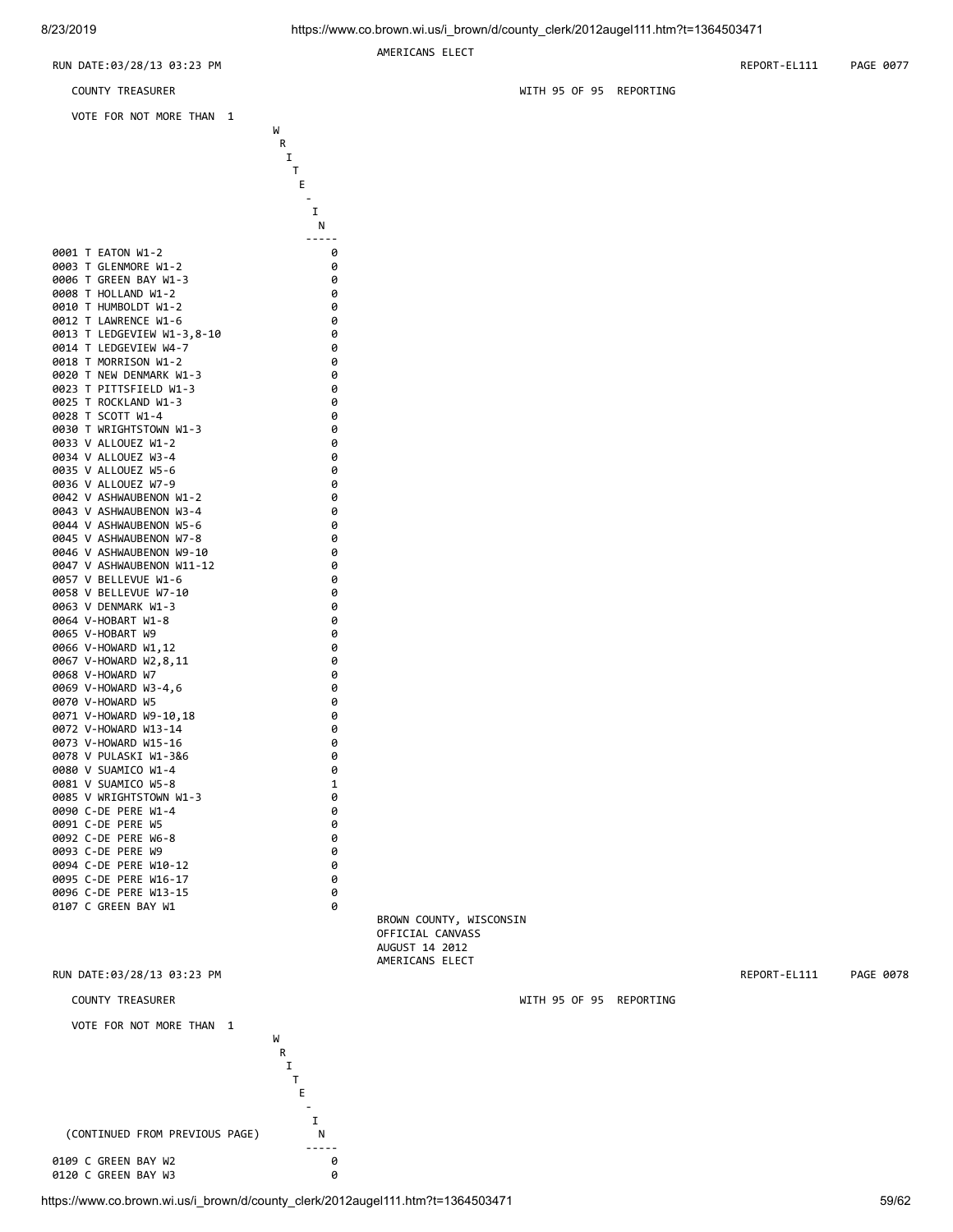![](_page_58_Figure_2.jpeg)

https://www.co.brown.wi.us/i\_brown/d/county\_clerk/2012augel111.htm?t=1364503471 59/62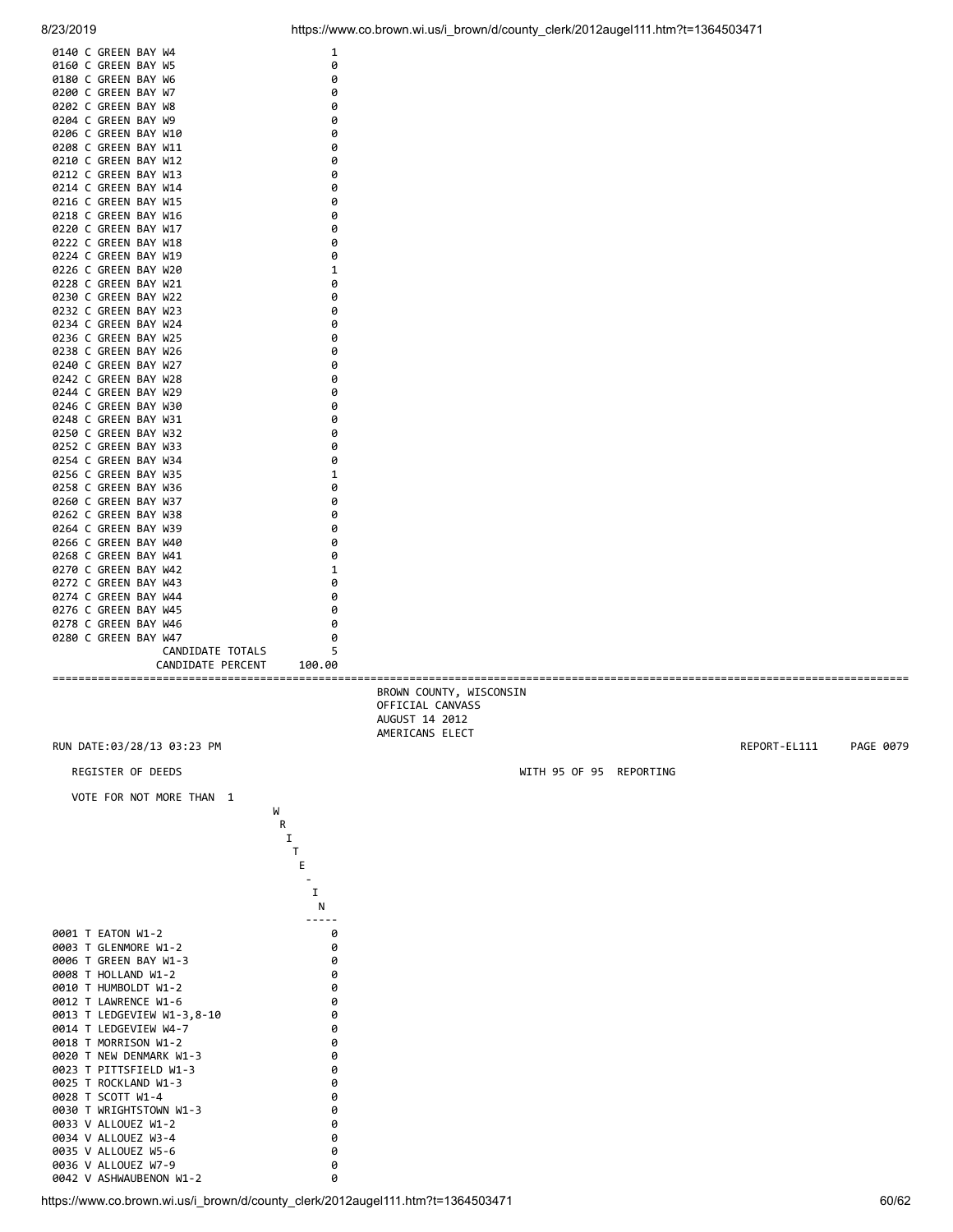![](_page_59_Figure_0.jpeg)

https://www.co.brown.wi.us/i\_brown/d/county\_clerk/2012augel111.htm?t=1364503471 60/62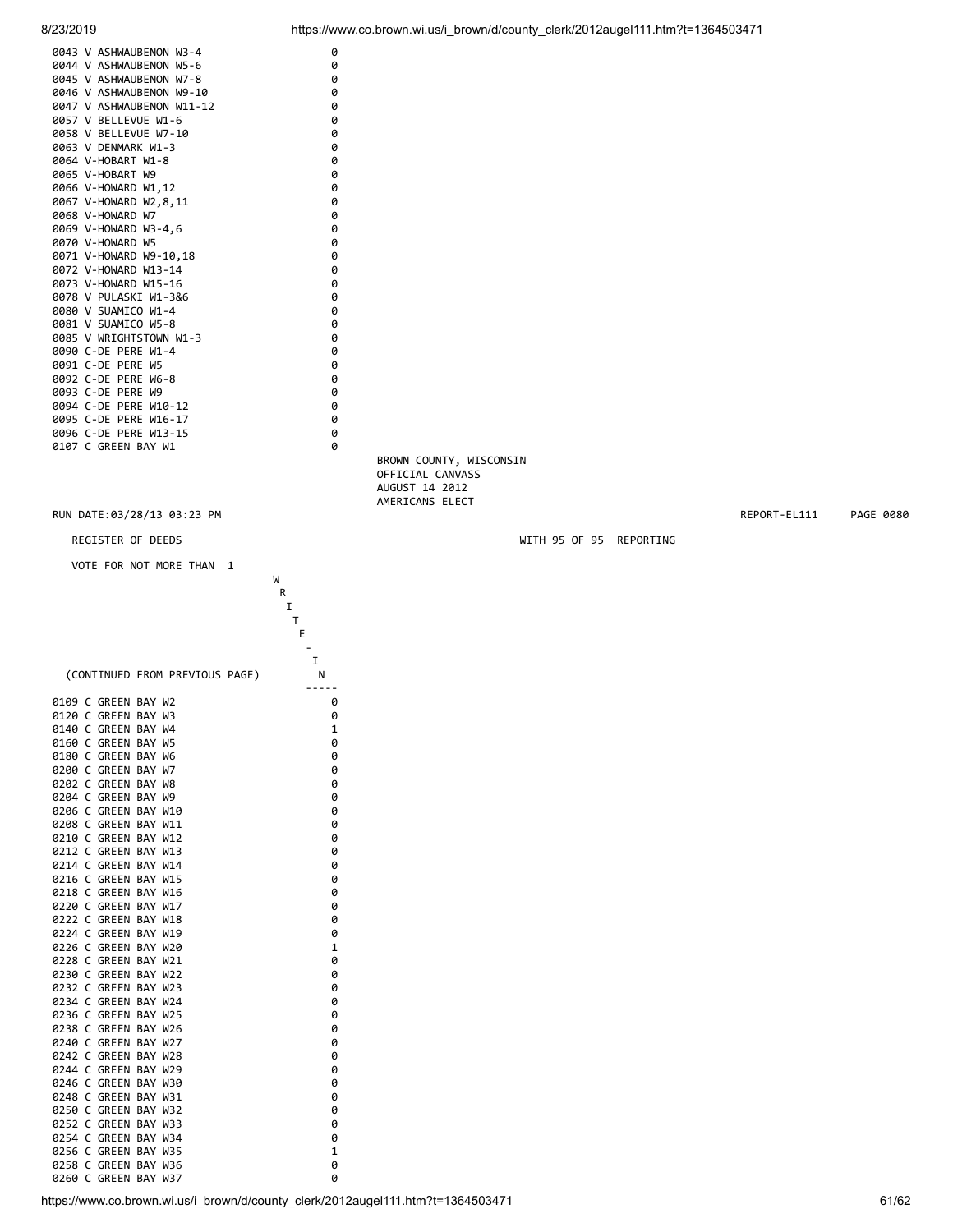![](_page_60_Figure_0.jpeg)